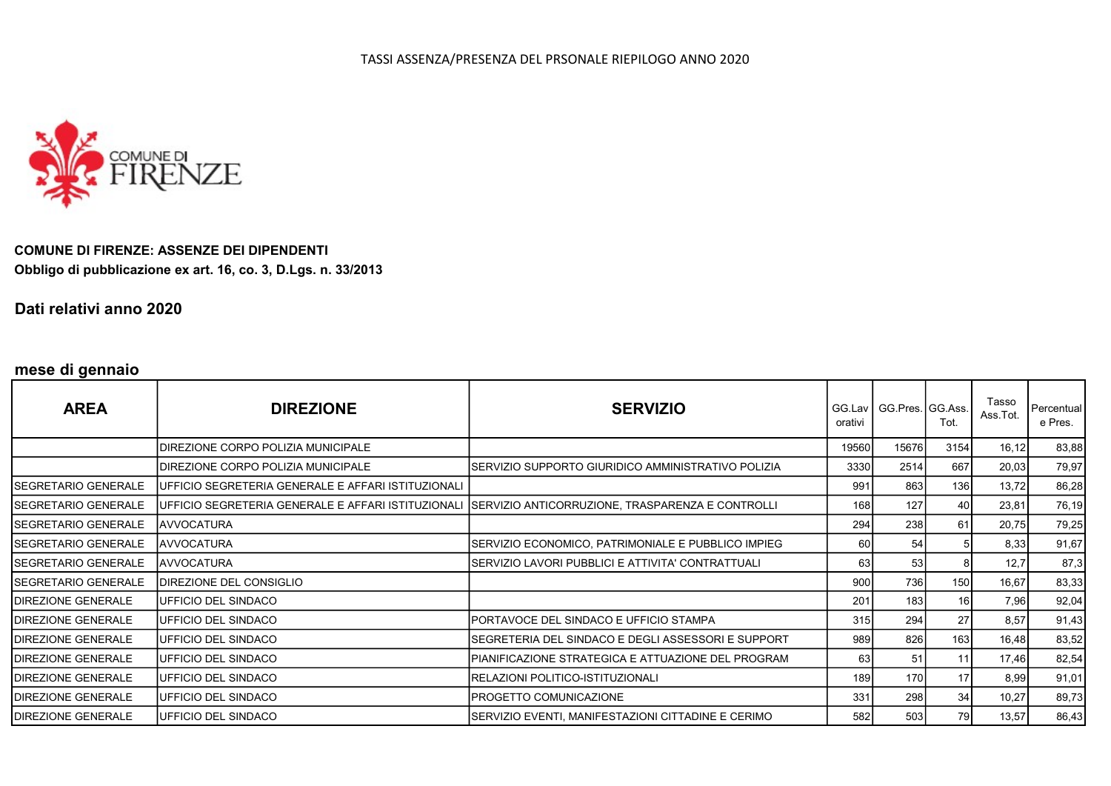

COMUNE DI FIRENZE: ASSENZE DEI DIPENDENTI Obbligo di pubblicazione ex art. 16, co. 3, D.Lgs. n. 33/2013

Dati relativi anno 2020

## mese di gennaio

| <b>AREA</b>                | <b>DIREZIONE</b>                                           | <b>SERVIZIO</b>                                                                                     | orativi | GG.Lav   GG.Pres.   GG.Ass. | Tot.            | Tasso<br>Ass.Tot. | <b>Percentual</b><br>e Pres. |
|----------------------------|------------------------------------------------------------|-----------------------------------------------------------------------------------------------------|---------|-----------------------------|-----------------|-------------------|------------------------------|
|                            | IDIREZIONE CORPO POLIZIA MUNICIPALE                        |                                                                                                     | 19560   | 15676                       | 3154            | 16,12             | 83,88                        |
|                            | DIREZIONE CORPO POLIZIA MUNICIPALE                         | SERVIZIO SUPPORTO GIURIDICO AMMINISTRATIVO POLIZIA                                                  | 3330    | 2514                        | 667             | 20,03             | 79,97                        |
| ISEGRETARIO GENERALE       | <b>JUFFICIO SEGRETERIA GENERALE E AFFARI ISTITUZIONALI</b> |                                                                                                     | 991     | 863                         | 136             | 13,72             | 86,28                        |
| SEGRETARIO GENERALE        |                                                            | UFFICIO SEGRETERIA GENERALE E AFFARI ISTITUZIONALI SERVIZIO ANTICORRUZIONE, TRASPARENZA E CONTROLLI | 168     | 127                         | 40              | 23,81             | 76,19                        |
| SEGRETARIO GENERALE        | <b>AVVOCATURA</b>                                          |                                                                                                     | 294     | 238                         | 61              | 20,75             | 79,25                        |
| ISEGRETARIO GENERALE       | <b>AVVOCATURA</b>                                          | SERVIZIO ECONOMICO, PATRIMONIALE E PUBBLICO IMPIEG                                                  | 60 l    | 54                          |                 | 8,33              | 91,67                        |
| ISEGRETARIO GENERALE       | <b>JAVVOCATURA</b>                                         | SERVIZIO LAVORI PUBBLICI E ATTIVITA' CONTRATTUALI                                                   | 63      | 53                          |                 | 12,7              | 87,3                         |
| SEGRETARIO GENERALE        | DIREZIONE DEL CONSIGLIO                                    |                                                                                                     | 900     | 736                         | 150             | 16,67             | 83,33                        |
| <b>IDIREZIONE GENERALE</b> | UFFICIO DEL SINDACO                                        |                                                                                                     | 201     | 183                         | 16              | 7,96              | 92,04                        |
| <b>IDIREZIONE GENERALE</b> | <b>I</b> UFFICIO DEL SINDACO                               | IPORTAVOCE DEL SINDACO E UFFICIO STAMPA                                                             | 315     | 294                         | 27              | 8,57              | 91,43                        |
| <b>IDIREZIONE GENERALE</b> | <b>IUFFICIO DEL SINDACO</b>                                | ISEGRETERIA DEL SINDACO E DEGLI ASSESSORI E SUPPORT                                                 | 989     | 826                         | 163             | 16,48             | 83,52                        |
| <b>IDIREZIONE GENERALE</b> | <b>IUFFICIO DEL SINDACO</b>                                | PIANIFICAZIONE STRATEGICA E ATTUAZIONE DEL PROGRAM                                                  | 63      | 51                          | 11              | 17,46             | 82,54                        |
| <b>IDIREZIONE GENERALE</b> | <b>IUFFICIO DEL SINDACO</b>                                | RELAZIONI POLITICO-ISTITUZIONALI                                                                    | 189     | 170I                        | 17 <sup>1</sup> | 8,99              | 91,01                        |
| <b>IDIREZIONE GENERALE</b> | <b>IUFFICIO DEL SINDACO</b>                                | IPROGETTO COMUNICAZIONE                                                                             | 331     | 298                         | 34              | 10,27             | 89,73                        |
| <b>IDIREZIONE GENERALE</b> | <b>IUFFICIO DEL SINDACO</b>                                | SERVIZIO EVENTI, MANIFESTAZIONI CITTADINE E CERIMO                                                  | 582     | 503                         | 79              | 13,57             | 86,43                        |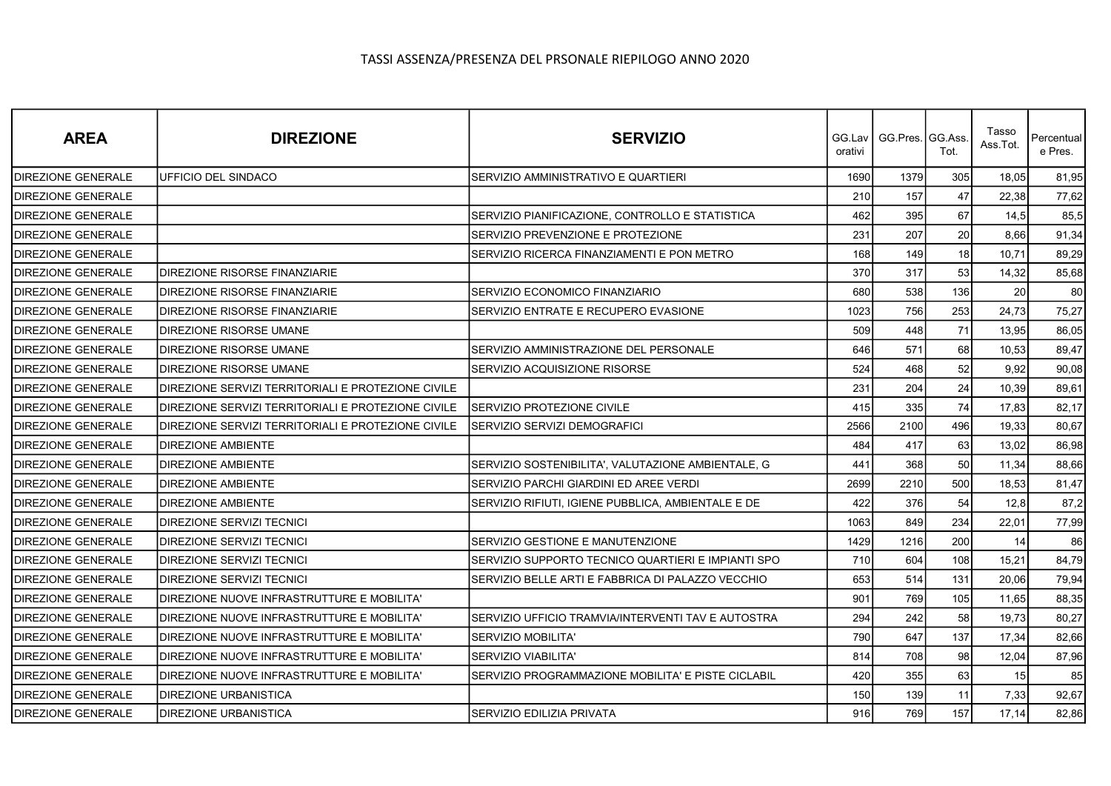| <b>AREA</b>               | <b>DIREZIONE</b>                                   | <b>SERVIZIO</b>                                    | orativi | GG.Lav   GG.Pres.   GG.Ass. | Tot. | Tasso<br>Ass.Tot. | Percentual<br>e Pres. |
|---------------------------|----------------------------------------------------|----------------------------------------------------|---------|-----------------------------|------|-------------------|-----------------------|
| DIREZIONE GENERALE        | UFFICIO DEL SINDACO                                | SERVIZIO AMMINISTRATIVO E QUARTIERI                | 1690    | 1379                        | 305  | 18,05             | 81,95                 |
| DIREZIONE GENERALE        |                                                    |                                                    | 210     | 157                         | 47   | 22,38             | 77,62                 |
| DIREZIONE GENERALE        |                                                    | SERVIZIO PIANIFICAZIONE, CONTROLLO E STATISTICA    | 462     | 395                         | 67   | 14,5              | 85,5                  |
| DIREZIONE GENERALE        |                                                    | SERVIZIO PREVENZIONE E PROTEZIONE                  | 231     | 207                         | 20   | 8,66              | 91,34                 |
| DIREZIONE GENERALE        |                                                    | SERVIZIO RICERCA FINANZIAMENTI E PON METRO         | 168     | 149                         | 18   | 10,71             | 89,29                 |
| DIREZIONE GENERALE        | DIREZIONE RISORSE FINANZIARIE                      |                                                    | 370     | 317                         | 53   | 14,32             | 85,68                 |
| DIREZIONE GENERALE        | DIREZIONE RISORSE FINANZIARIE                      | SERVIZIO ECONOMICO FINANZIARIO                     | 680     | 538                         | 136  | 20                | 80                    |
| DIREZIONE GENERALE        | DIREZIONE RISORSE FINANZIARIE                      | SERVIZIO ENTRATE E RECUPERO EVASIONE               | 1023    | 756                         | 253  | 24,73             | 75,27                 |
| DIREZIONE GENERALE        | DIREZIONE RISORSE UMANE                            |                                                    | 509     | 448                         | 71   | 13,95             | 86,05                 |
| <b>DIREZIONE GENERALE</b> | DIREZIONE RISORSE UMANE                            | SERVIZIO AMMINISTRAZIONE DEL PERSONALE             | 646     | 571                         | 68   | 10,53             | 89,47                 |
| DIREZIONE GENERALE        | <b>DIREZIONE RISORSE UMANE</b>                     | SERVIZIO ACQUISIZIONE RISORSE                      | 524     | 468                         | 52   | 9,92              | 90,08                 |
| DIREZIONE GENERALE        | DIREZIONE SERVIZI TERRITORIALI E PROTEZIONE CIVILE |                                                    | 231     | 204                         | 24   | 10,39             | 89,61                 |
| <b>DIREZIONE GENERALE</b> | DIREZIONE SERVIZI TERRITORIALI E PROTEZIONE CIVILE | <b>SERVIZIO PROTEZIONE CIVILE</b>                  | 415     | 335                         | 74   | 17,83             | 82,17                 |
| DIREZIONE GENERALE        | DIREZIONE SERVIZI TERRITORIALI E PROTEZIONE CIVILE | SERVIZIO SERVIZI DEMOGRAFICI                       | 2566    | 2100                        | 496  | 19,33             | 80,67                 |
| DIREZIONE GENERALE        | <b>DIREZIONE AMBIENTE</b>                          |                                                    | 484     | 417                         | 63   | 13,02             | 86,98                 |
| DIREZIONE GENERALE        | DIREZIONE AMBIENTE                                 | SERVIZIO SOSTENIBILITA', VALUTAZIONE AMBIENTALE, G | 441     | 368                         | 50   | 11,34             | 88,66                 |
| DIREZIONE GENERALE        | <b>DIREZIONE AMBIENTE</b>                          | SERVIZIO PARCHI GIARDINI ED AREE VERDI             | 2699    | 2210                        | 500  | 18,53             | 81,47                 |
| DIREZIONE GENERALE        | DIREZIONE AMBIENTE                                 | SERVIZIO RIFIUTI, IGIENE PUBBLICA, AMBIENTALE E DE | 422     | 376                         | 54   | 12,8              | 87,2                  |
| DIREZIONE GENERALE        | DIREZIONE SERVIZI TECNICI                          |                                                    | 1063    | 849                         | 234  | 22,01             | 77,99                 |
| DIREZIONE GENERALE        | DIREZIONE SERVIZI TECNICI                          | SERVIZIO GESTIONE E MANUTENZIONE                   | 1429    | 1216                        | 200  | 14                | 86                    |
| DIREZIONE GENERALE        | DIREZIONE SERVIZI TECNICI                          | SERVIZIO SUPPORTO TECNICO QUARTIERI E IMPIANTI SPO | 710     | 604                         | 108  | 15,21             | 84,79                 |
| DIREZIONE GENERALE        | DIREZIONE SERVIZI TECNICI                          | SERVIZIO BELLE ARTI E FABBRICA DI PALAZZO VECCHIO  | 653     | 514                         | 131  | 20,06             | 79,94                 |
| DIREZIONE GENERALE        | DIREZIONE NUOVE INFRASTRUTTURE E MOBILITA'         |                                                    | 901     | 769                         | 105  | 11,65             | 88,35                 |
| DIREZIONE GENERALE        | DIREZIONE NUOVE INFRASTRUTTURE E MOBILITA'         | SERVIZIO UFFICIO TRAMVIA/INTERVENTI TAV E AUTOSTRA | 294     | 242                         | 58   | 19,73             | 80,27                 |
| DIREZIONE GENERALE        | DIREZIONE NUOVE INFRASTRUTTURE E MOBILITA'         | <b>SERVIZIO MOBILITA'</b>                          | 790     | 647                         | 137  | 17,34             | 82,66                 |
| DIREZIONE GENERALE        | DIREZIONE NUOVE INFRASTRUTTURE E MOBILITA'         | SERVIZIO VIABILITA'                                | 814     | 708                         | 98   | 12,04             | 87,96                 |
| <b>DIREZIONE GENERALE</b> | DIREZIONE NUOVE INFRASTRUTTURE E MOBILITA'         | SERVIZIO PROGRAMMAZIONE MOBILITA' E PISTE CICLABIL | 420     | 355                         | 63   | 15                | 85                    |
| DIREZIONE GENERALE        | DIREZIONE URBANISTICA                              |                                                    | 150     | 139                         | 11   | 7,33              | 92,67                 |
| DIREZIONE GENERALE        | <b>DIREZIONE URBANISTICA</b>                       | SERVIZIO EDILIZIA PRIVATA                          | 916     | 769                         | 157  | 17,14             | 82,86                 |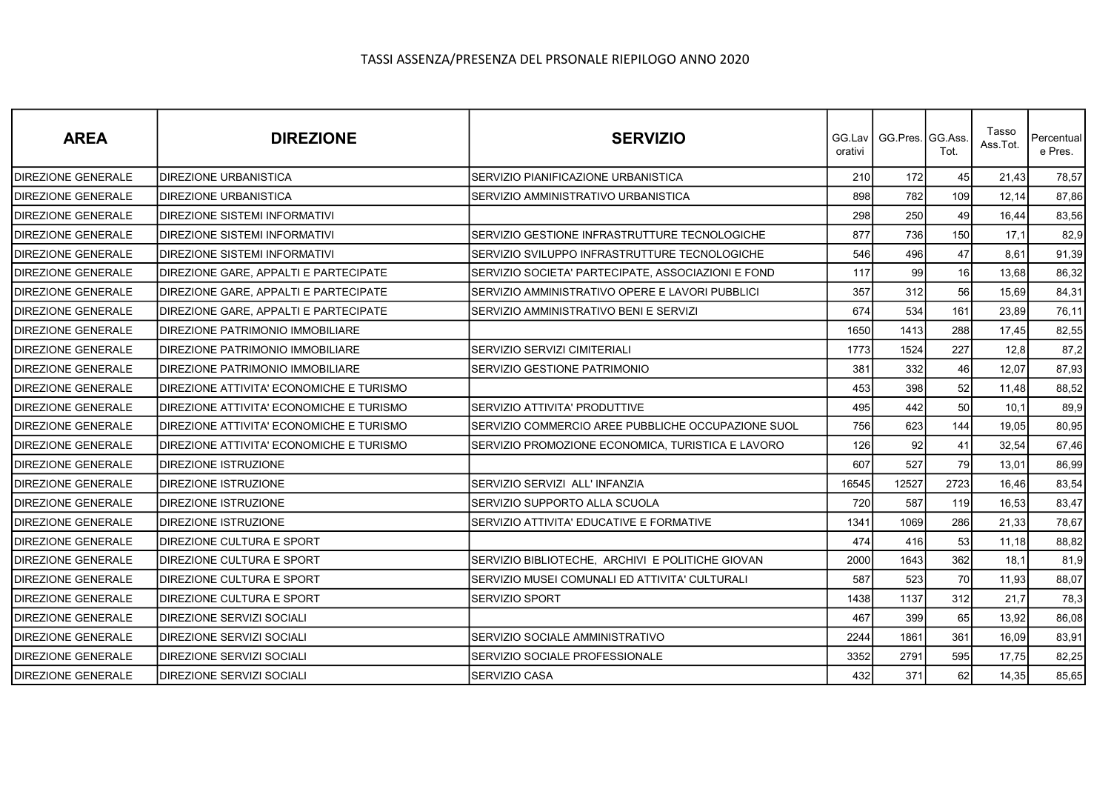| <b>AREA</b>        | <b>DIREZIONE</b>                             | <b>SERVIZIO</b>                                    | orativi | GG.Lav   GG.Pres.   GG.Ass. | Tot.             | Tasso<br>Ass.Tot. | Percentual<br>e Pres. |
|--------------------|----------------------------------------------|----------------------------------------------------|---------|-----------------------------|------------------|-------------------|-----------------------|
| DIREZIONE GENERALE | <b>DIREZIONE URBANISTICA</b>                 | SERVIZIO PIANIFICAZIONE URBANISTICA                | 210     | 172                         | 45               | 21,43             | 78,57                 |
| DIREZIONE GENERALE | DIREZIONE URBANISTICA                        | SERVIZIO AMMINISTRATIVO URBANISTICA                | 898     | 782                         | 109 <sup>l</sup> | 12.14             | 87,86                 |
| DIREZIONE GENERALE | <b>DIREZIONE SISTEMI INFORMATIVI</b>         |                                                    | 298     | 250                         | 49               | 16.44             | 83,56                 |
| DIREZIONE GENERALE | DIREZIONE SISTEMI INFORMATIVI                | SERVIZIO GESTIONE INFRASTRUTTURE TECNOLOGICHE      | 877     | 736                         | 150              | 17,1              | 82,9                  |
| DIREZIONE GENERALE | <b>DIREZIONE SISTEMI INFORMATIVI</b>         | SERVIZIO SVILUPPO INFRASTRUTTURE TECNOLOGICHE      | 546     | 496                         | 47               | 8,61              | 91,39                 |
| DIREZIONE GENERALE | DIREZIONE GARE, APPALTI E PARTECIPATE        | SERVIZIO SOCIETA' PARTECIPATE. ASSOCIAZIONI E FOND | 117     | 99                          | 16               | 13,68             | 86,32                 |
| DIREZIONE GENERALE | <b>DIREZIONE GARE, APPALTI E PARTECIPATE</b> | SERVIZIO AMMINISTRATIVO OPERE E LAVORI PUBBLICI    | 357     | 312                         | 56               | 15,69             | 84,31                 |
| DIREZIONE GENERALE | DIREZIONE GARE, APPALTI E PARTECIPATE        | SERVIZIO AMMINISTRATIVO BENI E SERVIZI             | 674     | 534                         | 161              | 23,89             | 76,11                 |
| DIREZIONE GENERALE | DIREZIONE PATRIMONIO IMMOBILIARE             |                                                    | 1650    | 1413                        | 288              | 17,45             | 82,55                 |
| DIREZIONE GENERALE | DIREZIONE PATRIMONIO IMMOBILIARE             | <b>SERVIZIO SERVIZI CIMITERIALI</b>                | 1773    | 1524                        | 227              | 12,8              | 87,2                  |
| DIREZIONE GENERALE | DIREZIONE PATRIMONIO IMMOBILIARE             | SERVIZIO GESTIONE PATRIMONIO                       | 381     | 332                         | 46               | 12,07             | 87,93                 |
| DIREZIONE GENERALE | DIREZIONE ATTIVITA' ECONOMICHE E TURISMO     |                                                    | 453     | 398                         | 52               | 11,48             | 88,52                 |
| DIREZIONE GENERALE | DIREZIONE ATTIVITA' ECONOMICHE E TURISMO     | SERVIZIO ATTIVITA' PRODUTTIVE                      | 495     | 442                         | 50               | 10,1              | 89,9                  |
| DIREZIONE GENERALE | DIREZIONE ATTIVITA' ECONOMICHE E TURISMO     | SERVIZIO COMMERCIO AREE PUBBLICHE OCCUPAZIONE SUOL | 756     | 623                         | 144              | 19,05             | 80,95                 |
| DIREZIONE GENERALE | DIREZIONE ATTIVITA' ECONOMICHE E TURISMO     | SERVIZIO PROMOZIONE ECONOMICA, TURISTICA E LAVORO  | 126     | 92                          | 41               | 32,54             | 67,46                 |
| DIREZIONE GENERALE | DIREZIONE ISTRUZIONE                         |                                                    | 607     | 527                         | 79               | 13,01             | 86,99                 |
| DIREZIONE GENERALE | <b>DIREZIONE ISTRUZIONE</b>                  | SERVIZIO SERVIZI ALL' INFANZIA                     | 16545   | 12527                       | 2723             | 16,46             | 83,54                 |
| DIREZIONE GENERALE | DIREZIONE ISTRUZIONE                         | SERVIZIO SUPPORTO ALLA SCUOLA                      | 720     | 587                         | 119              | 16,53             | 83,47                 |
| DIREZIONE GENERALE | <b>DIREZIONE ISTRUZIONE</b>                  | SERVIZIO ATTIVITA' EDUCATIVE E FORMATIVE           | 1341    | 1069                        | 286              | 21,33             | 78,67                 |
| DIREZIONE GENERALE | DIREZIONE CULTURA E SPORT                    |                                                    | 474     | 416                         | 53               | 11,18             | 88,82                 |
| DIREZIONE GENERALE | <b>DIREZIONE CULTURA E SPORT</b>             | SERVIZIO BIBLIOTECHE, ARCHIVI E POLITICHE GIOVAN   | 2000    | 1643                        | 362              | 18,1              | 81,9                  |
| DIREZIONE GENERALE | DIREZIONE CULTURA E SPORT                    | SERVIZIO MUSEI COMUNALI ED ATTIVITA' CULTURALI     | 587     | 523                         | 70               | 11,93             | 88,07                 |
| DIREZIONE GENERALE | <b>DIREZIONE CULTURA E SPORT</b>             | SERVIZIO SPORT                                     | 1438    | 1137                        | 312              | 21,7              | 78,3                  |
| DIREZIONE GENERALE | DIREZIONE SERVIZI SOCIALI                    |                                                    | 467     | 399                         | 65               | 13,92             | 86,08                 |
| DIREZIONE GENERALE | <b>DIREZIONE SERVIZI SOCIALI</b>             | SERVIZIO SOCIALE AMMINISTRATIVO                    | 2244    | 1861                        | 361              | 16,09             | 83,91                 |
| DIREZIONE GENERALE | DIREZIONE SERVIZI SOCIALI                    | SERVIZIO SOCIALE PROFESSIONALE                     | 3352    | 2791                        | 595              | 17,75             | 82,25                 |
| DIREZIONE GENERALE | DIREZIONE SERVIZI SOCIALI                    | <b>SERVIZIO CASA</b>                               | 432     | 371                         | 62               | 14,35             | 85,65                 |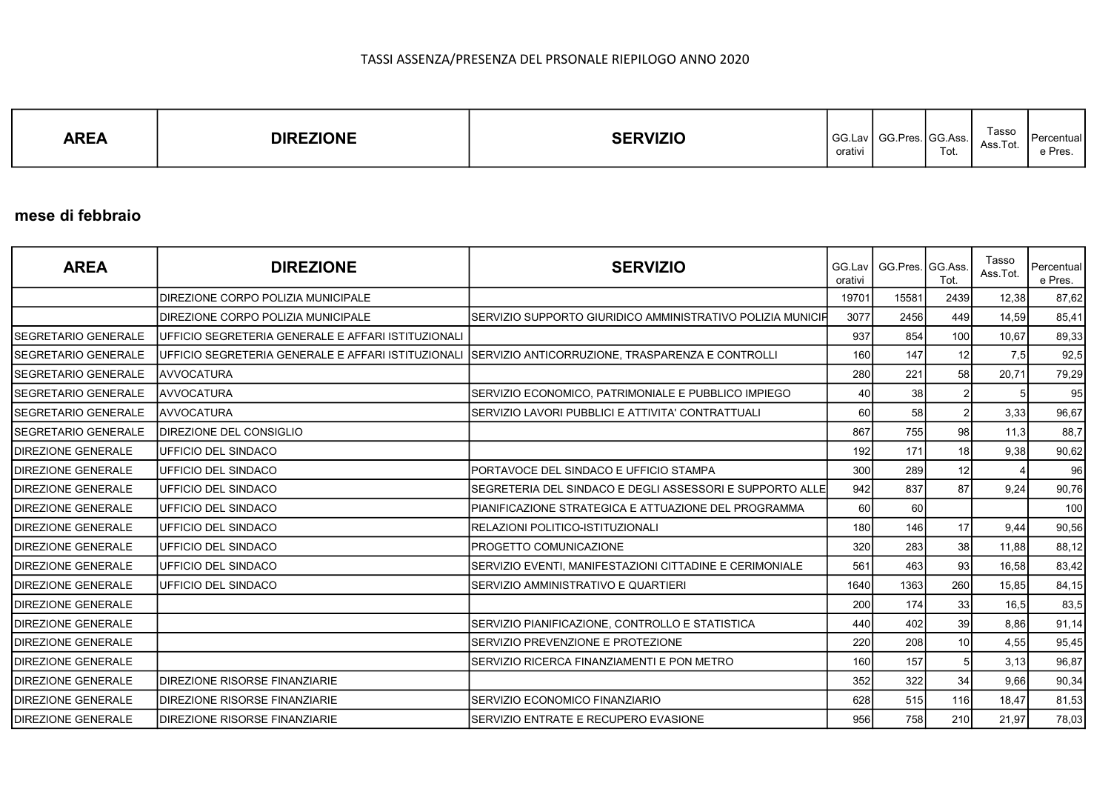| Tasso<br><b>DIREZIONE</b><br><b>SFRVIZIO</b><br><b>AREA</b><br>GG.<br>$\sim$<br>$\sim$<br>: Acc<br>55 N.S.<br>Ass.Tot.<br>Tot.<br>orativi | l Percentual<br>e Pres. |
|-------------------------------------------------------------------------------------------------------------------------------------------|-------------------------|
|-------------------------------------------------------------------------------------------------------------------------------------------|-------------------------|

### mese di febbraio

| <b>AREA</b>                | <b>DIREZIONE</b>                                   | <b>SERVIZIO</b>                                                                                     | GG.Lav<br>orativi | GG.Pres. GG.Ass. | Tot.            | Tasso<br>Ass.Tot. | Percentual<br>e Pres. |
|----------------------------|----------------------------------------------------|-----------------------------------------------------------------------------------------------------|-------------------|------------------|-----------------|-------------------|-----------------------|
|                            | DIREZIONE CORPO POLIZIA MUNICIPALE                 |                                                                                                     | 19701             | 15581            | 2439            | 12,38             | 87,62                 |
|                            | DIREZIONE CORPO POLIZIA MUNICIPALE                 | ISERVIZIO SUPPORTO GIURIDICO AMMINISTRATIVO POLIZIA MUNICIFI                                        | 3077              | 2456             | 449             | 14,59             | 85,41                 |
| ISEGRETARIO GENERALE       | UFFICIO SEGRETERIA GENERALE E AFFARI ISTITUZIONALI |                                                                                                     | 937               | 854              | 100             | 10.67             | 89,33                 |
| SEGRETARIO GENERALE        |                                                    | UFFICIO SEGRETERIA GENERALE E AFFARI ISTITUZIONALI SERVIZIO ANTICORRUZIONE, TRASPARENZA E CONTROLLI | 160               | 147              | 12              | 7,5               | 92,5                  |
| ISEGRETARIO GENERALE       | <b>AVVOCATURA</b>                                  |                                                                                                     | 280               | 221              | 58              | 20,71             | 79,29                 |
| ISEGRETARIO GENERALE       | <b>AVVOCATURA</b>                                  | SERVIZIO ECONOMICO, PATRIMONIALE E PUBBLICO IMPIEGO                                                 | 40                | 38               |                 |                   | 95                    |
| SEGRETARIO GENERALE        | <b>AVVOCATURA</b>                                  | SERVIZIO LAVORI PUBBLICI E ATTIVITA' CONTRATTUALI                                                   | 60                | 58               |                 | 3,33              | 96,67                 |
| SEGRETARIO GENERALE        | DIREZIONE DEL CONSIGLIO                            |                                                                                                     | 867               | 755              | 98              | 11,3              | 88,7                  |
| <b>DIREZIONE GENERALE</b>  | UFFICIO DEL SINDACO                                |                                                                                                     | 192               | 171              | 18 <sup>1</sup> | 9,38              | 90,62                 |
| <b>DIREZIONE GENERALE</b>  | UFFICIO DEL SINDACO                                | PORTAVOCE DEL SINDACO E UFFICIO STAMPA                                                              | 300               | 289              | 12              |                   | 96                    |
| <b>DIREZIONE GENERALE</b>  | UFFICIO DEL SINDACO                                | SEGRETERIA DEL SINDACO E DEGLI ASSESSORI E SUPPORTO ALLE                                            | 942               | 837              | 87              | 9,24              | 90,76                 |
| <b>IDIREZIONE GENERALE</b> | UFFICIO DEL SINDACO                                | IPIANIFICAZIONE STRATEGICA E ATTUAZIONE DEL PROGRAMMA                                               | 60                | 60               |                 |                   | 100                   |
| <b>DIREZIONE GENERALE</b>  | UFFICIO DEL SINDACO                                | RELAZIONI POLITICO-ISTITUZIONALI                                                                    | 180               | 146              | 17              | 9,44              | 90,56                 |
| <b>IDIREZIONE GENERALE</b> | UFFICIO DEL SINDACO                                | <b>PROGETTO COMUNICAZIONE</b>                                                                       | 320               | 283              | 38              | 11,88             | 88,12                 |
| <b>DIREZIONE GENERALE</b>  | UFFICIO DEL SINDACO                                | SERVIZIO EVENTI, MANIFESTAZIONI CITTADINE E CERIMONIALE                                             | 561               | 463              | 93              | 16,58             | 83,42                 |
| <b>IDIREZIONE GENERALE</b> | UFFICIO DEL SINDACO                                | SERVIZIO AMMINISTRATIVO E QUARTIERI                                                                 | 1640              | 1363             | 260             | 15,85             | 84, 15                |
| <b>DIREZIONE GENERALE</b>  |                                                    |                                                                                                     | 200               | 174              | 33              | 16,5              | 83,5                  |
| <b>IDIREZIONE GENERALE</b> |                                                    | SERVIZIO PIANIFICAZIONE, CONTROLLO E STATISTICA                                                     | 440               | 402              | 39              | 8,86              | 91,14                 |
| <b>IDIREZIONE GENERALE</b> |                                                    | ISERVIZIO PREVENZIONE E PROTEZIONE                                                                  | 220               | 208              | 10 <sup>1</sup> | 4,55              | 95,45                 |
| <b>IDIREZIONE GENERALE</b> |                                                    | SERVIZIO RICERCA FINANZIAMENTI E PON METRO                                                          | 160               | 157              |                 | 3,13              | 96,87                 |
| <b>DIREZIONE GENERALE</b>  | DIREZIONE RISORSE FINANZIARIE                      |                                                                                                     | 352               | 322              | 34              | 9,66              | 90,34                 |
| <b>IDIREZIONE GENERALE</b> | DIREZIONE RISORSE FINANZIARIE                      | ISERVIZIO ECONOMICO FINANZIARIO                                                                     | 628               | 515              | 116             | 18,47             | 81,53                 |
| <b>DIREZIONE GENERALE</b>  | <b>DIREZIONE RISORSE FINANZIARIE</b>               | SERVIZIO ENTRATE E RECUPERO EVASIONE                                                                | 956               | 758              | 210             | 21,97             | 78,03                 |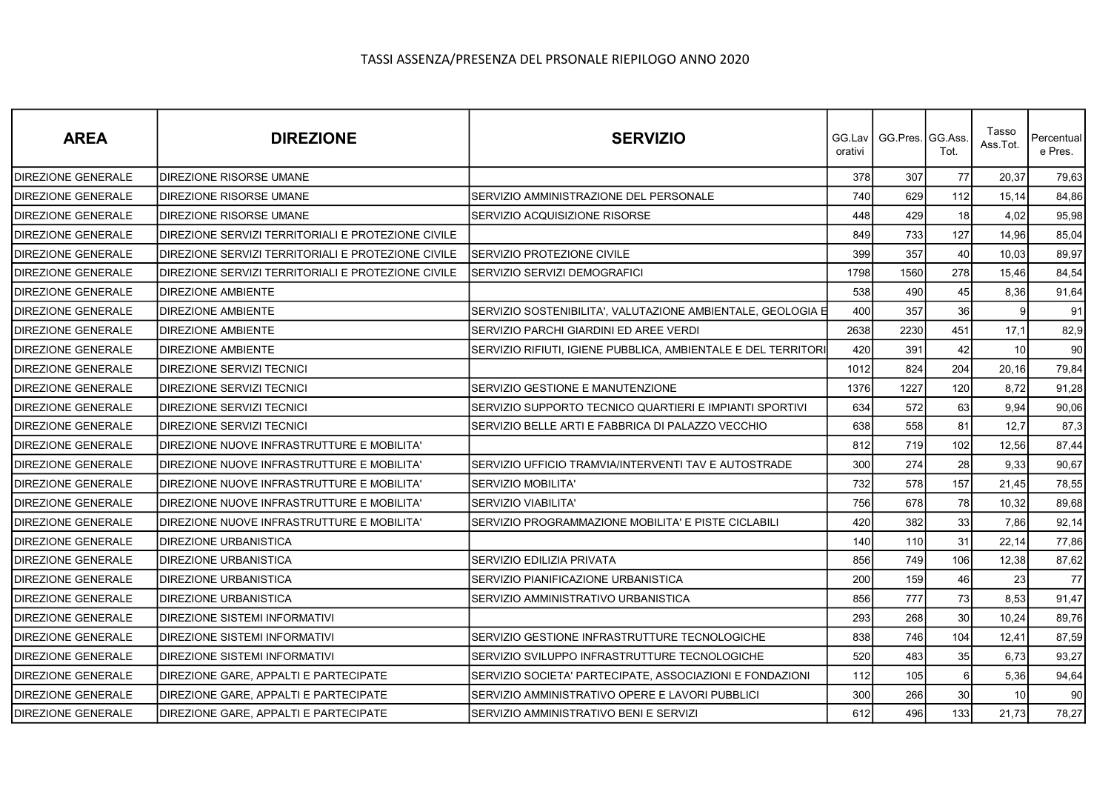| <b>AREA</b>               | <b>DIREZIONE</b>                                   | <b>SERVIZIO</b>                                               | orativi | GG.Lav丨GG.Pres.丨GG.Ass | Tot.            | Tasso<br>Ass.Tot. | Percentual<br>e Pres. |
|---------------------------|----------------------------------------------------|---------------------------------------------------------------|---------|------------------------|-----------------|-------------------|-----------------------|
| <b>DIREZIONE GENERALE</b> | <b>DIREZIONE RISORSE UMANE</b>                     |                                                               | 378     | 307                    | 77              | 20,37             | 79,63                 |
| <b>DIREZIONE GENERALE</b> | DIREZIONE RISORSE UMANE                            | SERVIZIO AMMINISTRAZIONE DEL PERSONALE                        | 740     | 629                    | 112             | 15,14             | 84,86                 |
| <b>DIREZIONE GENERALE</b> | <b>DIREZIONE RISORSE UMANE</b>                     | SERVIZIO ACQUISIZIONE RISORSE                                 | 448     | 429                    | 18              | 4,02              | 95,98                 |
| <b>DIREZIONE GENERALE</b> | DIREZIONE SERVIZI TERRITORIALI E PROTEZIONE CIVILE |                                                               | 849     | 733                    | 127             | 14,96             | 85,04                 |
| <b>DIREZIONE GENERALE</b> | DIREZIONE SERVIZI TERRITORIALI E PROTEZIONE CIVILE | SERVIZIO PROTEZIONE CIVILE                                    | 399     | 357                    | 40              | 10,03             | 89,97                 |
| <b>DIREZIONE GENERALE</b> | DIREZIONE SERVIZI TERRITORIALI E PROTEZIONE CIVILE | SERVIZIO SERVIZI DEMOGRAFICI                                  | 1798    | 1560                   | 278             | 15,46             | 84,54                 |
| <b>DIREZIONE GENERALE</b> | <b>DIREZIONE AMBIENTE</b>                          |                                                               | 538     | 490                    | 45              | 8,36              | 91,64                 |
| <b>DIREZIONE GENERALE</b> | <b>DIREZIONE AMBIENTE</b>                          | SERVIZIO SOSTENIBILITA', VALUTAZIONE AMBIENTALE, GEOLOGIA E   | 400     | 357                    | 36              | 9                 | 91                    |
| <b>DIREZIONE GENERALE</b> | <b>DIREZIONE AMBIENTE</b>                          | SERVIZIO PARCHI GIARDINI ED AREE VERDI                        | 2638    | 2230                   | 451             | 17,1              | 82,9                  |
| <b>DIREZIONE GENERALE</b> | <b>DIREZIONE AMBIENTE</b>                          | SERVIZIO RIFIUTI, IGIENE PUBBLICA, AMBIENTALE E DEL TERRITORI | 420     | 391                    | 42              | 10                | 90                    |
| <b>DIREZIONE GENERALE</b> | <b>DIREZIONE SERVIZI TECNICI</b>                   |                                                               | 1012    | 824                    | 204             | 20,16             | 79,84                 |
| <b>DIREZIONE GENERALE</b> | <b>DIREZIONE SERVIZI TECNICI</b>                   | SERVIZIO GESTIONE E MANUTENZIONE                              | 1376    | 1227                   | 120             | 8,72              | 91,28                 |
| <b>DIREZIONE GENERALE</b> | DIREZIONE SERVIZI TECNICI                          | SERVIZIO SUPPORTO TECNICO QUARTIERI E IMPIANTI SPORTIVI       | 634     | 572                    | 63              | 9,94              | 90,06                 |
| <b>DIREZIONE GENERALE</b> | <b>DIREZIONE SERVIZI TECNICI</b>                   | SERVIZIO BELLE ARTI E FABBRICA DI PALAZZO VECCHIO             | 638     | 558                    | 81              | 12,7              | 87,3                  |
| <b>DIREZIONE GENERALE</b> | DIREZIONE NUOVE INFRASTRUTTURE E MOBILITA'         |                                                               | 812     | 719                    | 102             | 12,56             | 87,44                 |
| <b>DIREZIONE GENERALE</b> | DIREZIONE NUOVE INFRASTRUTTURE E MOBILITA'         | SERVIZIO UFFICIO TRAMVIA/INTERVENTI TAV E AUTOSTRADE          | 300     | 274                    | 28              | 9,33              | 90,67                 |
| <b>DIREZIONE GENERALE</b> | DIREZIONE NUOVE INFRASTRUTTURE E MOBILITA'         | SERVIZIO MOBILITA'                                            | 732     | 578                    | 157             | 21,45             | 78,55                 |
| DIREZIONE GENERALE        | DIREZIONE NUOVE INFRASTRUTTURE E MOBILITA'         | SERVIZIO VIABILITA'                                           | 756     | 678                    | 78              | 10,32             | 89,68                 |
| <b>DIREZIONE GENERALE</b> | DIREZIONE NUOVE INFRASTRUTTURE E MOBILITA'         | SERVIZIO PROGRAMMAZIONE MOBILITA' E PISTE CICLABILI           | 420     | 382                    | 33              | 7,86              | 92,14                 |
| DIREZIONE GENERALE        | <b>DIREZIONE URBANISTICA</b>                       |                                                               | 140     | 110                    | 31              | 22,14             | 77,86                 |
| <b>DIREZIONE GENERALE</b> | <b>DIREZIONE URBANISTICA</b>                       | SERVIZIO EDILIZIA PRIVATA                                     | 856     | 749                    | 106             | 12,38             | 87,62                 |
| <b>DIREZIONE GENERALE</b> | <b>DIREZIONE URBANISTICA</b>                       | SERVIZIO PIANIFICAZIONE URBANISTICA                           | 200     | 159                    | 46              | 23                | 77                    |
| <b>DIREZIONE GENERALE</b> | <b>DIREZIONE URBANISTICA</b>                       | SERVIZIO AMMINISTRATIVO URBANISTICA                           | 856     | 777                    | 73              | 8,53              | 91,47                 |
| DIREZIONE GENERALE        | <b>DIREZIONE SISTEMI INFORMATIVI</b>               |                                                               | 293     | 268                    | 30              | 10,24             | 89,76                 |
| <b>DIREZIONE GENERALE</b> | <b>DIREZIONE SISTEMI INFORMATIVI</b>               | SERVIZIO GESTIONE INFRASTRUTTURE TECNOLOGICHE                 | 838     | 746                    | 104             | 12,41             | 87,59                 |
| DIREZIONE GENERALE        | <b>DIREZIONE SISTEMI INFORMATIVI</b>               | SERVIZIO SVILUPPO INFRASTRUTTURE TECNOLOGICHE                 | 520     | 483                    | 35              | 6,73              | 93,27                 |
| <b>DIREZIONE GENERALE</b> | <b>DIREZIONE GARE, APPALTI E PARTECIPATE</b>       | SERVIZIO SOCIETA' PARTECIPATE, ASSOCIAZIONI E FONDAZIONI      | 112     | 105                    | $6 \mid$        | 5,36              | 94,64                 |
| <b>DIREZIONE GENERALE</b> | DIREZIONE GARE, APPALTI E PARTECIPATE              | SERVIZIO AMMINISTRATIVO OPERE E LAVORI PUBBLICI               | 300     | 266                    | 30 <sup>°</sup> | 10                | 90                    |
| DIREZIONE GENERALE        | DIREZIONE GARE, APPALTI E PARTECIPATE              | SERVIZIO AMMINISTRATIVO BENI E SERVIZI                        | 612     | 496                    | 133             | 21,73             | 78,27                 |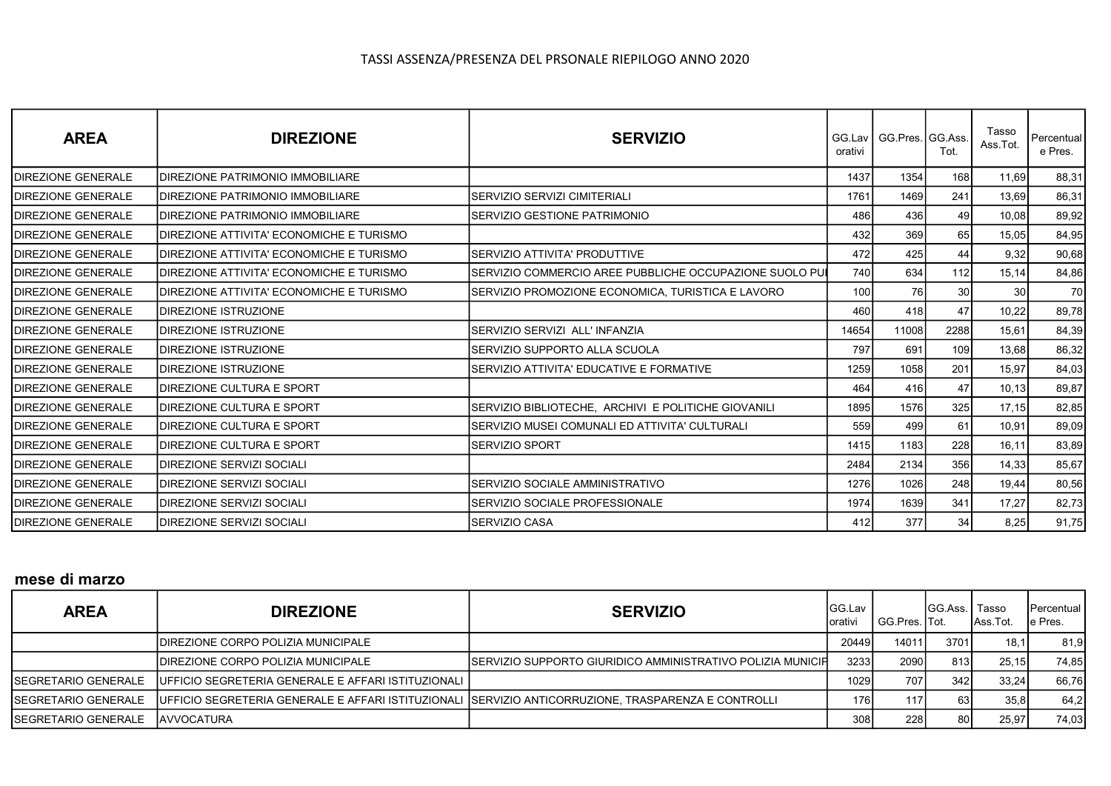| <b>AREA</b>               | <b>DIREZIONE</b>                          | <b>SERVIZIO</b>                                          | orativi | GG.Lav   GG.Pres. GG.Ass. | Tot.            | Tasso<br>Ass.Tot. | Percentual<br>e Pres. |
|---------------------------|-------------------------------------------|----------------------------------------------------------|---------|---------------------------|-----------------|-------------------|-----------------------|
| <b>DIREZIONE GENERALE</b> | <b>IDIREZIONE PATRIMONIO IMMOBILIARE</b>  |                                                          | 1437    | 1354                      | 168I            | 11.69             | 88,31                 |
| <b>DIREZIONE GENERALE</b> | <b>IDIREZIONE PATRIMONIO IMMOBILIARE</b>  | SERVIZIO SERVIZI CIMITERIALI                             | 1761    | 1469                      | 241             | 13,69             | 86,31                 |
| <b>DIREZIONE GENERALE</b> | <b>IDIREZIONE PATRIMONIO IMMOBILIARE</b>  | SERVIZIO GESTIONE PATRIMONIO                             | 486     | 436                       | 49              | 10,08             | 89,92                 |
| <b>DIREZIONE GENERALE</b> | IDIREZIONE ATTIVITA' ECONOMICHE E TURISMO |                                                          | 432     | 369                       | 65              | 15,05             | 84,95                 |
| <b>DIREZIONE GENERALE</b> | IDIREZIONE ATTIVITA' ECONOMICHE E TURISMO | SERVIZIO ATTIVITA' PRODUTTIVE                            | 472     | 425                       | 44              | 9,32              | 90,68                 |
| <b>DIREZIONE GENERALE</b> | DIREZIONE ATTIVITA' ECONOMICHE E TURISMO  | ISERVIZIO COMMERCIO AREE PUBBLICHE OCCUPAZIONE SUOLO PU∎ | 740     | 634                       | 112             | 15,14             | 84,86                 |
| <b>DIREZIONE GENERALE</b> | DIREZIONE ATTIVITA' ECONOMICHE E TURISMO  | SERVIZIO PROMOZIONE ECONOMICA, TURISTICA E LAVORO        | 100     | 76                        | 30 <sup>l</sup> | 30                | 70I                   |
| <b>DIREZIONE GENERALE</b> | <b>IDIREZIONE ISTRUZIONE</b>              |                                                          | 460     | 418                       | 47              | 10,22             | 89,78                 |
| <b>DIREZIONE GENERALE</b> | <b>IDIREZIONE ISTRUZIONE</b>              | SERVIZIO SERVIZI ALL'INFANZIA                            | 14654   | 11008                     | 2288            | 15,61             | 84,39                 |
| <b>DIREZIONE GENERALE</b> | <b>IDIREZIONE ISTRUZIONE</b>              | SERVIZIO SUPPORTO ALLA SCUOLA                            | 797     | 691                       | 109l            | 13,68             | 86,32                 |
| <b>DIREZIONE GENERALE</b> | <b>IDIREZIONE ISTRUZIONE</b>              | SERVIZIO ATTIVITA' EDUCATIVE E FORMATIVE                 | 1259    | 1058                      | 201             | 15,97             | 84,03                 |
| <b>DIREZIONE GENERALE</b> | IDIREZIONE CULTURA E SPORT                |                                                          | 464     | 416                       | 47              | 10,13             | 89,87                 |
| <b>DIREZIONE GENERALE</b> | <b>IDIREZIONE CULTURA E SPORT</b>         | SERVIZIO BIBLIOTECHE, ARCHIVI E POLITICHE GIOVANILI      | 1895    | 1576                      | 325             | 17,15             | 82,85                 |
| <b>DIREZIONE GENERALE</b> | <b>IDIREZIONE CULTURA E SPORT</b>         | SERVIZIO MUSEI COMUNALI ED ATTIVITA' CULTURALI           | 559     | 499                       | 61              | 10,91             | 89,09                 |
| <b>DIREZIONE GENERALE</b> | IDIREZIONE CULTURA E SPORT                | ISERVIZIO SPORT                                          | 1415    | 1183                      | 228             | 16,11             | 83,89                 |
| <b>DIREZIONE GENERALE</b> | IDIREZIONE SERVIZI SOCIALI                |                                                          | 2484    | 2134                      | 356             | 14,33             | 85,67                 |
| <b>DIREZIONE GENERALE</b> | IDIREZIONE SERVIZI SOCIALI                | SERVIZIO SOCIALE AMMINISTRATIVO                          | 1276    | 1026                      | 248             | 19,44             | 80,56                 |
| <b>DIREZIONE GENERALE</b> | IDIREZIONE SERVIZI SOCIALI                | SERVIZIO SOCIALE PROFESSIONALE                           | 1974    | 1639                      | 341             | 17,27             | 82,73                 |
| <b>DIREZIONE GENERALE</b> | IDIREZIONE SERVIZI SOCIALI                | <b>SERVIZIO CASA</b>                                     | 412     | 377                       | 34              | 8,25              | 91,75                 |

# mese di marzo

| <b>AREA</b>          | <b>DIREZIONE</b>                                      | <b>SERVIZIO</b>                                                                                      | <b>IGG.Lav</b><br>orativi | <sup>1</sup> GG.Pres. ITot. | <b>IGG.Ass. I Tasso</b> | Ass.Tot. | <b>IPercentual I</b><br>le Pres. |
|----------------------|-------------------------------------------------------|------------------------------------------------------------------------------------------------------|---------------------------|-----------------------------|-------------------------|----------|----------------------------------|
|                      | IDIREZIONE CORPO POLIZIA MUNICIPALE                   |                                                                                                      | 20449                     | 14011                       | 3701                    | 18.1I    | 81,9                             |
|                      | IDIREZIONE CORPO POLIZIA MUNICIPALE                   | ISERVIZIO SUPPORTO GIURIDICO AMMINISTRATIVO POLIZIA MUNICIFI                                         | 3233I                     | 2090                        | 813I                    | 25.15    | 74,85                            |
| ISEGRETARIO GENERALE | IUFFICIO SEGRETERIA GENERALE E AFFARI ISTITUZIONALI I |                                                                                                      | 1029 <b>1</b>             | 707                         | 342                     | 33.24    | 66,76                            |
| ISEGRETARIO GENERALE |                                                       | UFFICIO SEGRETERIA GENERALE E AFFARI ISTITUZIONALI (SERVIZIO ANTICORRUZIONE, TRASPARENZA E CONTROLLI | 176 I                     | 117                         | 63I                     | 35.8     | 64,2                             |
| ISEGRETARIO GENERALE | <b>IAVVOCATURA</b>                                    |                                                                                                      | 308I                      | 228                         | 80 l                    | 25,97    | 74,03                            |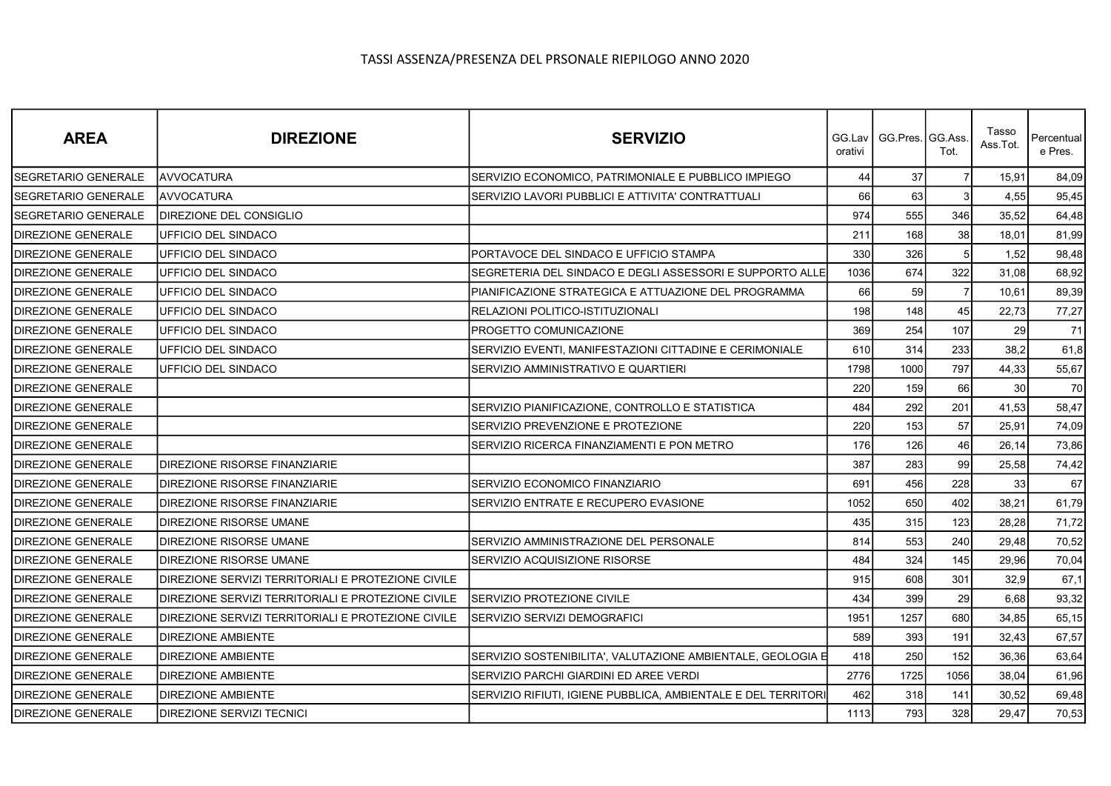| <b>AREA</b>                | <b>DIREZIONE</b>                                   | <b>SERVIZIO</b>                                               | orativi | GG.Lav   GG.Pres.   GG.Ass. | Tot.           | Tasso<br>Ass.Tot. | Percentual<br>e Pres. |
|----------------------------|----------------------------------------------------|---------------------------------------------------------------|---------|-----------------------------|----------------|-------------------|-----------------------|
| <b>SEGRETARIO GENERALE</b> | <b>AVVOCATURA</b>                                  | SERVIZIO ECONOMICO, PATRIMONIALE E PUBBLICO IMPIEGO           | 44      | 37                          |                | 15,91             | 84,09                 |
| <b>SEGRETARIO GENERALE</b> | <b>AVVOCATURA</b>                                  | SERVIZIO LAVORI PUBBLICI E ATTIVITA' CONTRATTUALI             | 66      | 63                          |                | 4,55              | 95,45                 |
| SEGRETARIO GENERALE        | <b>DIREZIONE DEL CONSIGLIO</b>                     |                                                               | 974     | 555                         | 346            | 35,52             | 64,48                 |
| <b>DIREZIONE GENERALE</b>  | UFFICIO DEL SINDACO                                |                                                               | 211     | 168                         | 38             | 18,01             | 81,99                 |
| <b>DIREZIONE GENERALE</b>  | UFFICIO DEL SINDACO                                | PORTAVOCE DEL SINDACO E UFFICIO STAMPA                        | 330     | 326                         |                | 1,52              | 98,48                 |
| <b>DIREZIONE GENERALE</b>  | UFFICIO DEL SINDACO                                | SEGRETERIA DEL SINDACO E DEGLI ASSESSORI E SUPPORTO ALLE      | 1036    | 674                         | 322            | 31,08             | 68,92                 |
| <b>DIREZIONE GENERALE</b>  | UFFICIO DEL SINDACO                                | PIANIFICAZIONE STRATEGICA E ATTUAZIONE DEL PROGRAMMA          | 66      | 59                          | $\overline{7}$ | 10,61             | 89,39                 |
| <b>DIREZIONE GENERALE</b>  | UFFICIO DEL SINDACO                                | RELAZIONI POLITICO-ISTITUZIONALI                              | 198     | 148                         | 45             | 22,73             | 77,27                 |
| <b>DIREZIONE GENERALE</b>  | UFFICIO DEL SINDACO                                | PROGETTO COMUNICAZIONE                                        | 369     | 254                         | 107            | 29                | 71                    |
| DIREZIONE GENERALE         | UFFICIO DEL SINDACO                                | SERVIZIO EVENTI, MANIFESTAZIONI CITTADINE E CERIMONIALE       | 610     | 314                         | 233            | 38,2              | 61,8                  |
| <b>DIREZIONE GENERALE</b>  | UFFICIO DEL SINDACO                                | SERVIZIO AMMINISTRATIVO E QUARTIERI                           | 1798    | 1000                        | 797            | 44,33             | 55,67                 |
| DIREZIONE GENERALE         |                                                    |                                                               | 220     | 159                         | 66             | 30                | 70                    |
| <b>DIREZIONE GENERALE</b>  |                                                    | SERVIZIO PIANIFICAZIONE, CONTROLLO E STATISTICA               | 484     | 292                         | 201            | 41,53             | 58,47                 |
| <b>DIREZIONE GENERALE</b>  |                                                    | SERVIZIO PREVENZIONE E PROTEZIONE                             | 220     | 153                         | 57             | 25,91             | 74,09                 |
| DIREZIONE GENERALE         |                                                    | SERVIZIO RICERCA FINANZIAMENTI E PON METRO                    | 176     | 126                         | 46             | 26,14             | 73,86                 |
| <b>DIREZIONE GENERALE</b>  | DIREZIONE RISORSE FINANZIARIE                      |                                                               | 387     | 283                         | 99             | 25,58             | 74,42                 |
| DIREZIONE GENERALE         | DIREZIONE RISORSE FINANZIARIE                      | SERVIZIO ECONOMICO FINANZIARIO                                | 691     | 456                         | 228            | 33                | 67                    |
| <b>DIREZIONE GENERALE</b>  | DIREZIONE RISORSE FINANZIARIE                      | SERVIZIO ENTRATE E RECUPERO EVASIONE                          | 1052    | 650                         | 402            | 38,21             | 61,79                 |
| <b>DIREZIONE GENERALE</b>  | DIREZIONE RISORSE UMANE                            |                                                               | 435     | 315                         | 123            | 28,28             | 71,72                 |
| DIREZIONE GENERALE         | DIREZIONE RISORSE UMANE                            | SERVIZIO AMMINISTRAZIONE DEL PERSONALE                        | 814     | 553                         | 240            | 29,48             | 70,52                 |
| <b>DIREZIONE GENERALE</b>  | DIREZIONE RISORSE UMANE                            | SERVIZIO ACQUISIZIONE RISORSE                                 | 484     | 324                         | 145            | 29,96             | 70,04                 |
| DIREZIONE GENERALE         | DIREZIONE SERVIZI TERRITORIALI E PROTEZIONE CIVILE |                                                               | 915     | 608                         | 301            | 32,9              | 67,1                  |
| <b>DIREZIONE GENERALE</b>  | DIREZIONE SERVIZI TERRITORIALI E PROTEZIONE CIVILE | <b>SERVIZIO PROTEZIONE CIVILE</b>                             | 434     | 399                         | 29             | 6,68              | 93,32                 |
| <b>DIREZIONE GENERALE</b>  | DIREZIONE SERVIZI TERRITORIALI E PROTEZIONE CIVILE | SERVIZIO SERVIZI DEMOGRAFICI                                  | 1951    | 1257                        | 680            | 34,85             | 65,15                 |
| DIREZIONE GENERALE         | DIREZIONE AMBIENTE                                 |                                                               | 589     | 393                         | 191            | 32,43             | 67,57                 |
| <b>DIREZIONE GENERALE</b>  | <b>DIREZIONE AMBIENTE</b>                          | SERVIZIO SOSTENIBILITA', VALUTAZIONE AMBIENTALE, GEOLOGIA E   | 418     | 250                         | 152            | 36,36             | 63,64                 |
| DIREZIONE GENERALE         | <b>DIREZIONE AMBIENTE</b>                          | SERVIZIO PARCHI GIARDINI ED AREE VERDI                        | 2776    | 1725                        | 1056           | 38,04             | 61,96                 |
| <b>DIREZIONE GENERALE</b>  | <b>DIREZIONE AMBIENTE</b>                          | SERVIZIO RIFIUTI, IGIENE PUBBLICA, AMBIENTALE E DEL TERRITORI | 462     | 318                         | 141            | 30,52             | 69,48                 |
| <b>DIREZIONE GENERALE</b>  | DIREZIONE SERVIZI TECNICI                          |                                                               | 1113    | 793                         | 328            | 29,47             | 70,53                 |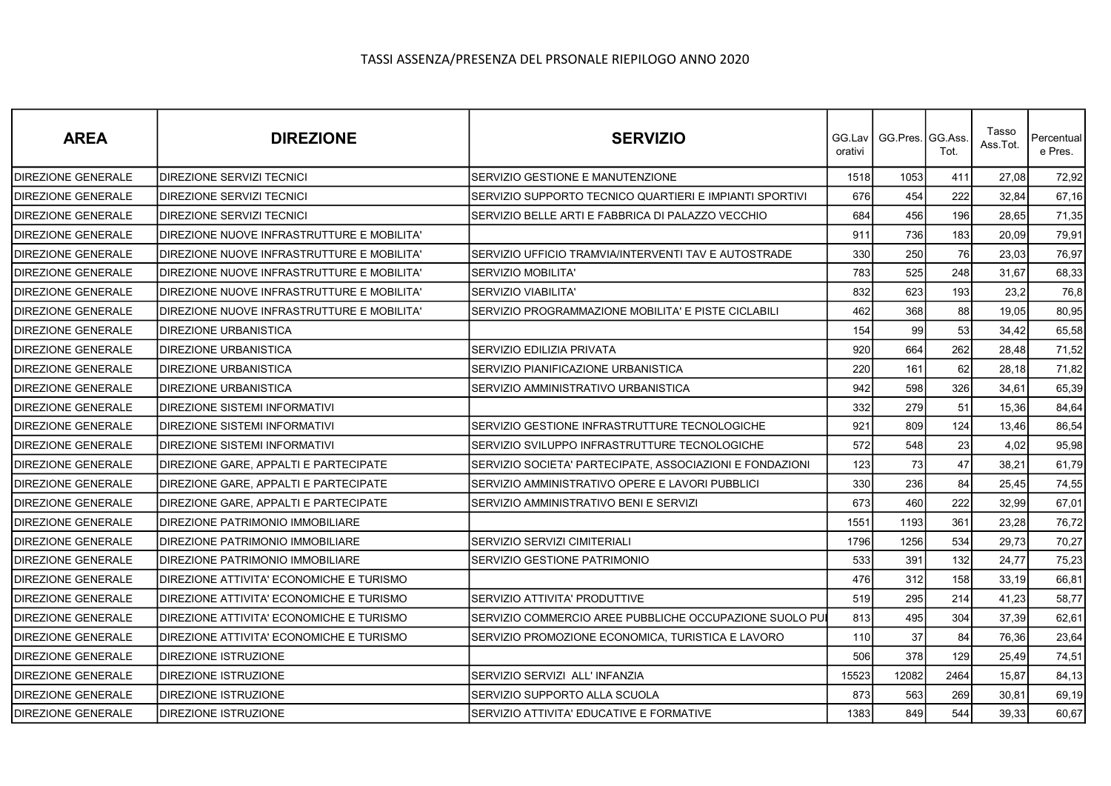| <b>AREA</b>               | <b>DIREZIONE</b>                           | <b>SERVIZIO</b>                                          | orativi | GG.Lav I GG.Pres.IGG.Ass. | Tot. | Tasso<br>Ass.Tot. | Percentual<br>e Pres. |
|---------------------------|--------------------------------------------|----------------------------------------------------------|---------|---------------------------|------|-------------------|-----------------------|
| DIREZIONE GENERALE        | DIREZIONE SERVIZI TECNICI                  | SERVIZIO GESTIONE E MANUTENZIONE                         | 1518    | 1053                      | 411  | 27.08             | 72,92                 |
| <b>DIREZIONE GENERALE</b> | DIREZIONE SERVIZI TECNICI                  | SERVIZIO SUPPORTO TECNICO QUARTIERI E IMPIANTI SPORTIVI  | 676     | 454                       | 222  | 32,84             | 67,16                 |
| DIREZIONE GENERALE        | DIREZIONE SERVIZI TECNICI                  | SERVIZIO BELLE ARTI E FABBRICA DI PALAZZO VECCHIO        | 684     | 456                       | 196  | 28,65             | 71,35                 |
| <b>DIREZIONE GENERALE</b> | DIREZIONE NUOVE INFRASTRUTTURE E MOBILITA' |                                                          | 911     | 736                       | 183  | 20,09             | 79,91                 |
| <b>DIREZIONE GENERALE</b> | DIREZIONE NUOVE INFRASTRUTTURE E MOBILITA' | SERVIZIO UFFICIO TRAMVIA/INTERVENTI TAV E AUTOSTRADE     | 330     | 250                       | 76   | 23,03             | 76,97                 |
| <b>DIREZIONE GENERALE</b> | DIREZIONE NUOVE INFRASTRUTTURE E MOBILITA' | SERVIZIO MOBILITA'                                       | 783     | 525                       | 248  | 31,67             | 68,33                 |
| <b>DIREZIONE GENERALE</b> | DIREZIONE NUOVE INFRASTRUTTURE E MOBILITA' | SERVIZIO VIABILITA'                                      | 832     | 623                       | 193  | 23,2              | 76,8                  |
| <b>DIREZIONE GENERALE</b> | DIREZIONE NUOVE INFRASTRUTTURE E MOBILITA' | SERVIZIO PROGRAMMAZIONE MOBILITA' E PISTE CICLABILI      | 462     | 368                       | 88   | 19,05             | 80,95                 |
| <b>DIREZIONE GENERALE</b> | DIREZIONE URBANISTICA                      |                                                          | 154     | 99                        | 53   | 34,42             | 65,58                 |
| <b>DIREZIONE GENERALE</b> | DIREZIONE URBANISTICA                      | SERVIZIO EDILIZIA PRIVATA                                | 920     | 664                       | 262  | 28,48             | 71,52                 |
| <b>DIREZIONE GENERALE</b> | <b>DIREZIONE URBANISTICA</b>               | SERVIZIO PIANIFICAZIONE URBANISTICA                      | 220     | 161                       | 62   | 28,18             | 71,82                 |
| <b>DIREZIONE GENERALE</b> | <b>DIREZIONE URBANISTICA</b>               | SERVIZIO AMMINISTRATIVO URBANISTICA                      | 942     | 598                       | 326  | 34,61             | 65,39                 |
| DIREZIONE GENERALE        | DIREZIONE SISTEMI INFORMATIVI              |                                                          | 332     | 279                       | 51   | 15,36             | 84,64                 |
| <b>DIREZIONE GENERALE</b> | <b>DIREZIONE SISTEMI INFORMATIVI</b>       | SERVIZIO GESTIONE INFRASTRUTTURE TECNOLOGICHE            | 921     | 809                       | 124  | 13,46             | 86,54                 |
| <b>DIREZIONE GENERALE</b> | DIREZIONE SISTEMI INFORMATIVI              | SERVIZIO SVILUPPO INFRASTRUTTURE TECNOLOGICHE            | 572     | 548                       | 23   | 4,02              | 95,98                 |
| <b>DIREZIONE GENERALE</b> | DIREZIONE GARE, APPALTI E PARTECIPATE      | SERVIZIO SOCIETA' PARTECIPATE, ASSOCIAZIONI E FONDAZIONI | 123     | 73                        | 47   | 38,21             | 61,79                 |
| <b>DIREZIONE GENERALE</b> | DIREZIONE GARE, APPALTI E PARTECIPATE      | SERVIZIO AMMINISTRATIVO OPERE E LAVORI PUBBLICI          | 330     | 236                       | 84   | 25,45             | 74,55                 |
| DIREZIONE GENERALE        | DIREZIONE GARE, APPALTI E PARTECIPATE      | SERVIZIO AMMINISTRATIVO BENI E SERVIZI                   | 673     | 460                       | 222  | 32,99             | 67,01                 |
| DIREZIONE GENERALE        | DIREZIONE PATRIMONIO IMMOBILIARE           |                                                          | 1551    | 1193                      | 361  | 23,28             | 76,72                 |
| DIREZIONE GENERALE        | DIREZIONE PATRIMONIO IMMOBILIARE           | SERVIZIO SERVIZI CIMITERIALI                             | 1796    | 1256                      | 534  | 29,73             | 70,27                 |
| <b>DIREZIONE GENERALE</b> | DIREZIONE PATRIMONIO IMMOBILIARE           | SERVIZIO GESTIONE PATRIMONIO                             | 533     | 391                       | 132  | 24,77             | 75,23                 |
| DIREZIONE GENERALE        | DIREZIONE ATTIVITA' ECONOMICHE E TURISMO   |                                                          | 476     | 312                       | 158  | 33,19             | 66,81                 |
| <b>DIREZIONE GENERALE</b> | DIREZIONE ATTIVITA' ECONOMICHE E TURISMO   | SERVIZIO ATTIVITA' PRODUTTIVE                            | 519     | 295                       | 214  | 41,23             | 58,77                 |
| <b>DIREZIONE GENERALE</b> | DIREZIONE ATTIVITA' ECONOMICHE E TURISMO   | SERVIZIO COMMERCIO AREE PUBBLICHE OCCUPAZIONE SUOLO PUI  | 813     | 495                       | 304  | 37,39             | 62,61                 |
| DIREZIONE GENERALE        | DIREZIONE ATTIVITA' ECONOMICHE E TURISMO   | SERVIZIO PROMOZIONE ECONOMICA, TURISTICA E LAVORO        | 110     | 37                        | 84   | 76,36             | 23,64                 |
| DIREZIONE GENERALE        | DIREZIONE ISTRUZIONE                       |                                                          | 506     | 378                       | 129  | 25,49             | 74,51                 |
| <b>DIREZIONE GENERALE</b> | DIREZIONE ISTRUZIONE                       | SERVIZIO SERVIZI ALL' INFANZIA                           | 15523   | 12082                     | 2464 | 15,87             | 84,13                 |
| <b>DIREZIONE GENERALE</b> | DIREZIONE ISTRUZIONE                       | SERVIZIO SUPPORTO ALLA SCUOLA                            | 873     | 563                       | 269  | 30,81             | 69,19                 |
| <b>DIREZIONE GENERALE</b> | DIREZIONE ISTRUZIONE                       | SERVIZIO ATTIVITA' EDUCATIVE E FORMATIVE                 | 1383    | 849                       | 544  | 39,33             | 60,67                 |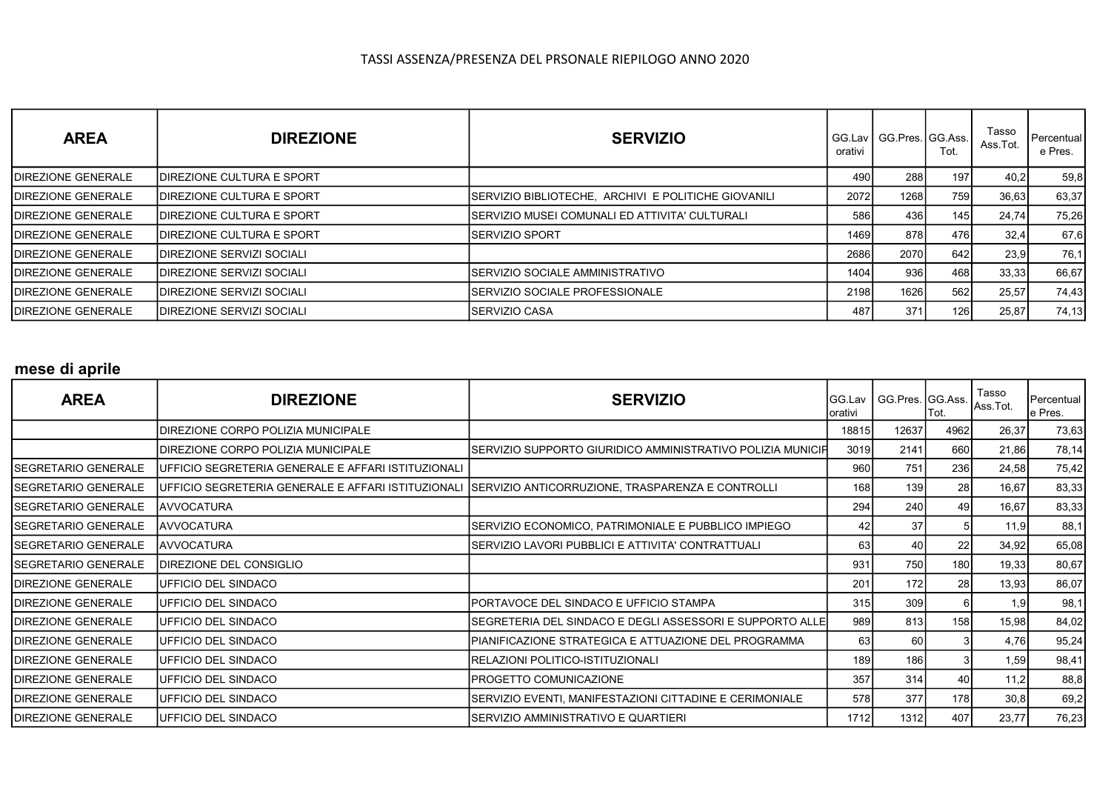| <b>AREA</b>                | <b>DIREZIONE</b>                  | <b>SERVIZIO</b>                                     | orativi | GG.Lav   GG.Pres. IGG.Ass. I | Tot. | Tasso<br>Ass.Tot. | I Percentual '<br>e Pres. |
|----------------------------|-----------------------------------|-----------------------------------------------------|---------|------------------------------|------|-------------------|---------------------------|
| <b>IDIREZIONE GENERALE</b> | <b>IDIREZIONE CULTURA E SPORT</b> |                                                     | 490     | <b>288</b>                   | 197  | 40,2              | 59,8                      |
| <b>IDIREZIONE GENERALE</b> | <b>IDIREZIONE CULTURA E SPORT</b> | SERVIZIO BIBLIOTECHE, ARCHIVI E POLITICHE GIOVANILI | 2072    | 1268 <b>I</b>                | 759  | 36,63             | 63,37                     |
| <b>IDIREZIONE GENERALE</b> | <b>IDIREZIONE CULTURA E SPORT</b> | ISERVIZIO MUSEI COMUNALI ED ATTIVITA' CULTURALI     | 586     | 436I                         | 145  | 24,74             | 75,26                     |
| <b>IDIREZIONE GENERALE</b> | <b>IDIREZIONE CULTURA E SPORT</b> | ISERVIZIO SPORT                                     | 1469    | 878I                         | 476  | 32,4              | 67,6                      |
| <b>IDIREZIONE GENERALE</b> | <b>IDIREZIONE SERVIZI SOCIALI</b> |                                                     | 2686    | 2070 <b>1</b>                | 642  | 23.9              | 76,1                      |
| <b>IDIREZIONE GENERALE</b> | <b>IDIREZIONE SERVIZI SOCIALI</b> | ISERVIZIO SOCIALE AMMINISTRATIVO                    | 1404    | 936                          | 468  | 33,33             | 66,67                     |
| <b>IDIREZIONE GENERALE</b> | <b>IDIREZIONE SERVIZI SOCIALI</b> | ISERVIZIO SOCIALE PROFESSIONALE                     | 2198    | 1626                         | 562  | 25,57             | 74,43                     |
| <b>IDIREZIONE GENERALE</b> | <b>IDIREZIONE SERVIZI SOCIALI</b> | <b>ISERVIZIO CASA</b>                               | 487     | 371                          | 126  | 25,87             | 74,13                     |

## mese di aprile

| <b>AREA</b>                 | <b>DIREZIONE</b>                                   | <b>SERVIZIO</b>                                                                                      | GG.Lav<br>lorativi | GG.Pres. GG.Ass. | ∣Tot. | Tasso<br>Ass.Tot. | Percentual<br>e Pres. |
|-----------------------------|----------------------------------------------------|------------------------------------------------------------------------------------------------------|--------------------|------------------|-------|-------------------|-----------------------|
|                             | DIREZIONE CORPO POLIZIA MUNICIPALE                 |                                                                                                      | 18815              | 12637            | 4962  | 26,37             | 73,63                 |
|                             | DIREZIONE CORPO POLIZIA MUNICIPALE                 | SERVIZIO SUPPORTO GIURIDICO AMMINISTRATIVO POLIZIA MUNICIF                                           | 3019               | 2141             | 660l  | 21,86             | 78,14                 |
| <b>ISEGRETARIO GENERALE</b> | UFFICIO SEGRETERIA GENERALE E AFFARI ISTITUZIONALI |                                                                                                      | 960                | 751              | 236   | 24,58             | 75,42                 |
| <b>ISEGRETARIO GENERALE</b> |                                                    | UFFICIO SEGRETERIA GENERALE E AFFARI ISTITUZIONALI SSERVIZIO ANTICORRUZIONE, TRASPARENZA E CONTROLLI | 168                | 139              | 28    | 16,67             | 83,33                 |
| ISEGRETARIO GENERALE        | AVVOCATURA                                         |                                                                                                      | 294                | 240              | 49    | 16,67             | 83,33                 |
| <b>ISEGRETARIO GENERALE</b> | AVVOCATURA                                         | SERVIZIO ECONOMICO, PATRIMONIALE E PUBBLICO IMPIEGO                                                  | 42                 | 37               |       | 11,9              | 88,1                  |
| <b>ISEGRETARIO GENERALE</b> | <b>AVVOCATURA</b>                                  | SERVIZIO LAVORI PUBBLICI E ATTIVITA' CONTRATTUALI                                                    | 63                 | 40               | 22    | 34,92             | 65,08                 |
| ISEGRETARIO GENERALE        | DIREZIONE DEL CONSIGLIO                            |                                                                                                      | 931                | 750              | 180   | 19,33             | 80,67                 |
| <b>IDIREZIONE GENERALE</b>  | UFFICIO DEL SINDACO                                |                                                                                                      | 201                | 172              | 28    | 13,93             | 86,07                 |
| <b>IDIREZIONE GENERALE</b>  | UFFICIO DEL SINDACO                                | IPORTAVOCE DEL SINDACO E UFFICIO STAMPA                                                              | 315                | 309              | 61    | 1,9               | 98,1                  |
| DIREZIONE GENERALE          | UFFICIO DEL SINDACO                                | SEGRETERIA DEL SINDACO E DEGLI ASSESSORI E SUPPORTO ALLE                                             | 989                | 813              | 158   | 15,98             | 84,02                 |
| <b>DIREZIONE GENERALE</b>   | UFFICIO DEL SINDACO                                | IPIANIFICAZIONE STRATEGICA E ATTUAZIONE DEL PROGRAMMA                                                | 63                 | 60 l             |       | 4,76              | 95,24                 |
| <b>IDIREZIONE GENERALE</b>  | UFFICIO DEL SINDACO                                | RELAZIONI POLITICO-ISTITUZIONALI                                                                     | 189                | 186              |       | 1,59              | 98,41                 |
| DIREZIONE GENERALE          | UFFICIO DEL SINDACO                                | PROGETTO COMUNICAZIONE                                                                               | 357                | 314              | 40I   | 11,2              | 88,8                  |
| <b>DIREZIONE GENERALE</b>   | UFFICIO DEL SINDACO                                | SERVIZIO EVENTI, MANIFESTAZIONI CITTADINE E CERIMONIALE                                              | 578                | 377              | 178   | 30,8              | 69,2                  |
| <b>DIREZIONE GENERALE</b>   | UFFICIO DEL SINDACO                                | ISERVIZIO AMMINISTRATIVO E QUARTIERI                                                                 | 1712               | 1312             | 407   | 23,77             | 76,23                 |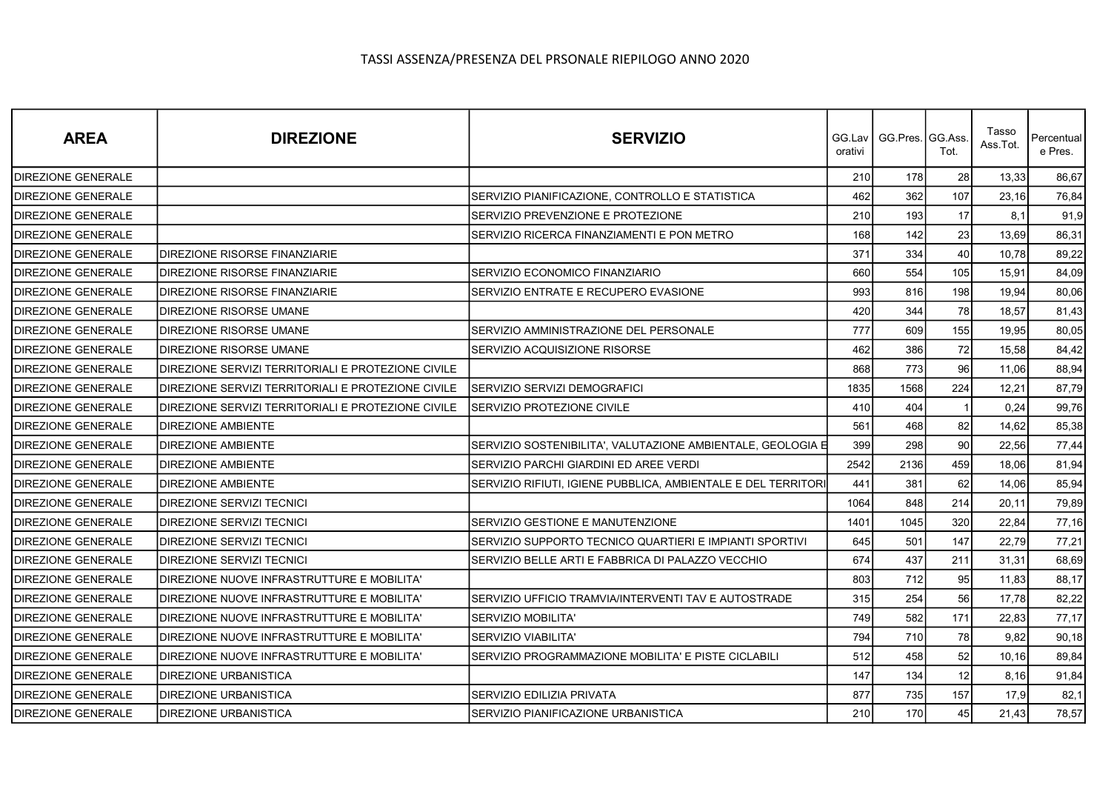| <b>AREA</b>               | <b>DIREZIONE</b>                                   | <b>SERVIZIO</b>                                               | orativi | GG.Lav   GG.Pres.   GG.Ass | Tot. | Tasso<br>Ass.Tot. | Percentual<br>e Pres. |
|---------------------------|----------------------------------------------------|---------------------------------------------------------------|---------|----------------------------|------|-------------------|-----------------------|
| <b>DIREZIONE GENERALE</b> |                                                    |                                                               | 210     | 178                        | 28   | 13,33             | 86,67                 |
| <b>DIREZIONE GENERALE</b> |                                                    | SERVIZIO PIANIFICAZIONE, CONTROLLO E STATISTICA               | 462     | 362                        | 107  | 23,16             | 76,84                 |
| <b>DIREZIONE GENERALE</b> |                                                    | SERVIZIO PREVENZIONE E PROTEZIONE                             | 210     | 193                        | 17   | 8.1               | 91,9                  |
| <b>DIREZIONE GENERALE</b> |                                                    | SERVIZIO RICERCA FINANZIAMENTI E PON METRO                    | 168     | 142                        | 23   | 13,69             | 86,31                 |
| <b>DIREZIONE GENERALE</b> | <b>DIREZIONE RISORSE FINANZIARIE</b>               |                                                               | 371     | 334                        | 40   | 10,78             | 89,22                 |
| DIREZIONE GENERALE        | <b>DIREZIONE RISORSE FINANZIARIE</b>               | SERVIZIO ECONOMICO FINANZIARIO                                | 660     | 554                        | 105  | 15,91             | 84,09                 |
| <b>DIREZIONE GENERALE</b> | <b>DIREZIONE RISORSE FINANZIARIE</b>               | SERVIZIO ENTRATE E RECUPERO EVASIONE                          | 993     | 816                        | 198  | 19,94             | 80,06                 |
| <b>DIREZIONE GENERALE</b> | <b>DIREZIONE RISORSE UMANE</b>                     |                                                               | 420     | 344                        | 78   | 18,57             | 81,43                 |
| <b>DIREZIONE GENERALE</b> | <b>DIREZIONE RISORSE UMANE</b>                     | SERVIZIO AMMINISTRAZIONE DEL PERSONALE                        | 777     | 609                        | 155  | 19,95             | 80,05                 |
| <b>DIREZIONE GENERALE</b> | <b>DIREZIONE RISORSE UMANE</b>                     | SERVIZIO ACQUISIZIONE RISORSE                                 | 462     | 386                        | 72   | 15,58             | 84,42                 |
| <b>DIREZIONE GENERALE</b> | DIREZIONE SERVIZI TERRITORIALI E PROTEZIONE CIVILE |                                                               | 868     | 773                        | 96   | 11,06             | 88,94                 |
| <b>DIREZIONE GENERALE</b> | DIREZIONE SERVIZI TERRITORIALI E PROTEZIONE CIVILE | SERVIZIO SERVIZI DEMOGRAFICI                                  | 1835    | 1568                       | 224  | 12,21             | 87,79                 |
| <b>DIREZIONE GENERALE</b> | DIREZIONE SERVIZI TERRITORIALI E PROTEZIONE CIVILE | SERVIZIO PROTEZIONE CIVILE                                    | 410     | 404                        |      | 0,24              | 99,76                 |
| <b>DIREZIONE GENERALE</b> | <b>DIREZIONE AMBIENTE</b>                          |                                                               | 561     | 468                        | 82   | 14,62             | 85,38                 |
| <b>DIREZIONE GENERALE</b> | <b>DIREZIONE AMBIENTE</b>                          | SERVIZIO SOSTENIBILITA', VALUTAZIONE AMBIENTALE, GEOLOGIA E   | 399     | 298                        | 90   | 22,56             | 77,44                 |
| <b>DIREZIONE GENERALE</b> | <b>DIREZIONE AMBIENTE</b>                          | SERVIZIO PARCHI GIARDINI ED AREE VERDI                        | 2542    | 2136                       | 459  | 18,06             | 81,94                 |
| DIREZIONE GENERALE        | <b>DIREZIONE AMBIENTE</b>                          | SERVIZIO RIFIUTI, IGIENE PUBBLICA, AMBIENTALE E DEL TERRITORI | 441     | 381                        | 62   | 14,06             | 85,94                 |
| <b>DIREZIONE GENERALE</b> | <b>DIREZIONE SERVIZI TECNICI</b>                   |                                                               | 1064    | 848                        | 214  | 20,11             | 79,89                 |
| <b>DIREZIONE GENERALE</b> | <b>DIREZIONE SERVIZI TECNICI</b>                   | SERVIZIO GESTIONE E MANUTENZIONE                              | 1401    | 1045                       | 320  | 22,84             | 77,16                 |
| <b>DIREZIONE GENERALE</b> | <b>DIREZIONE SERVIZI TECNICI</b>                   | SERVIZIO SUPPORTO TECNICO QUARTIERI E IMPIANTI SPORTIVI       | 645     | 501                        | 147  | 22,79             | 77,21                 |
| <b>DIREZIONE GENERALE</b> | <b>DIREZIONE SERVIZI TECNICI</b>                   | SERVIZIO BELLE ARTI E FABBRICA DI PALAZZO VECCHIO             | 674     | 437                        | 211  | 31.31             | 68,69                 |
| <b>DIREZIONE GENERALE</b> | DIREZIONE NUOVE INFRASTRUTTURE E MOBILITA'         |                                                               | 803     | 712                        | 95   | 11,83             | 88,17                 |
| <b>DIREZIONE GENERALE</b> | DIREZIONE NUOVE INFRASTRUTTURE E MOBILITA'         | SERVIZIO UFFICIO TRAMVIA/INTERVENTI TAV E AUTOSTRADE          | 315     | 254                        | 56   | 17,78             | 82,22                 |
| <b>DIREZIONE GENERALE</b> | DIREZIONE NUOVE INFRASTRUTTURE E MOBILITA'         | <b>SERVIZIO MOBILITA'</b>                                     | 749     | 582                        | 171  | 22,83             | 77,17                 |
| <b>DIREZIONE GENERALE</b> | DIREZIONE NUOVE INFRASTRUTTURE E MOBILITA'         | <b>SERVIZIO VIABILITA'</b>                                    | 794     | 710                        | 78   | 9,82              | 90,18                 |
| <b>DIREZIONE GENERALE</b> | DIREZIONE NUOVE INFRASTRUTTURE E MOBILITA'         | SERVIZIO PROGRAMMAZIONE MOBILITA' E PISTE CICLABILI           | 512     | 458                        | 52   | 10, 16            | 89,84                 |
| <b>DIREZIONE GENERALE</b> | <b>DIREZIONE URBANISTICA</b>                       |                                                               | 147     | 134                        | 12   | 8,16              | 91,84                 |
| DIREZIONE GENERALE        | <b>DIREZIONE URBANISTICA</b>                       | SERVIZIO EDILIZIA PRIVATA                                     | 877     | 735                        | 157  | 17,9              | 82,1                  |
| <b>DIREZIONE GENERALE</b> | <b>DIREZIONE URBANISTICA</b>                       | SERVIZIO PIANIFICAZIONE URBANISTICA                           | 210     | 170                        | 45   | 21,43             | 78,57                 |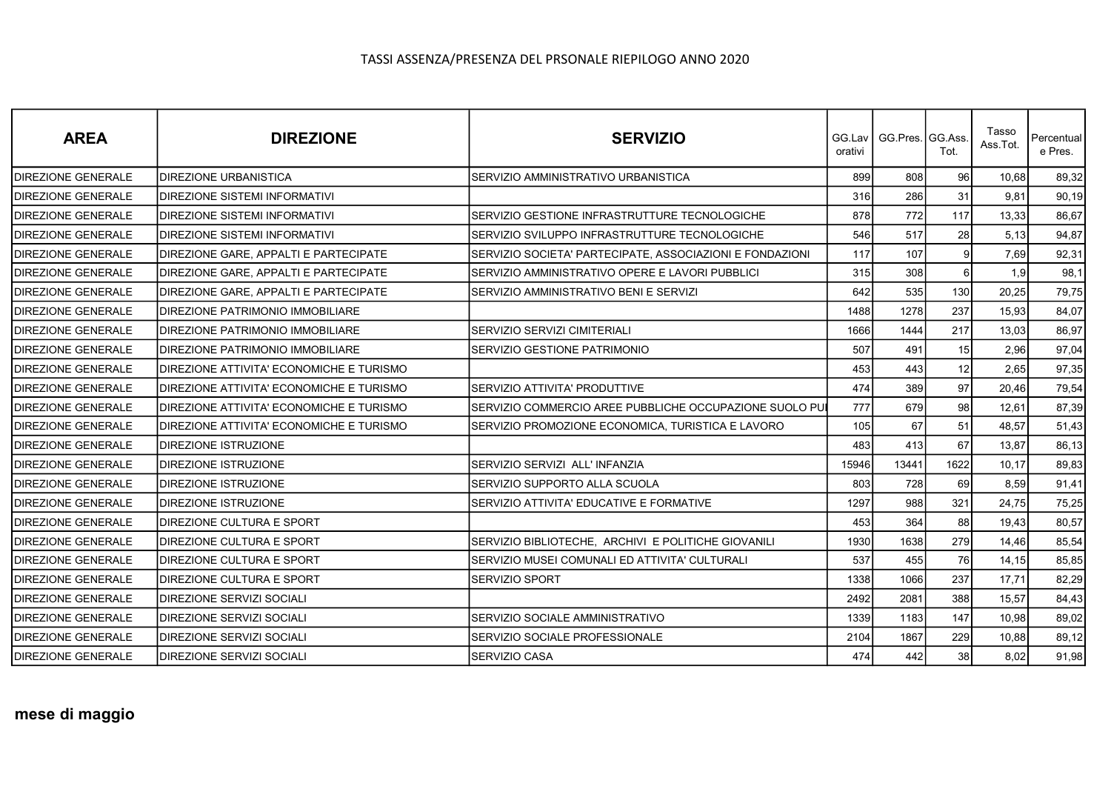| <b>AREA</b>               | <b>DIREZIONE</b>                                 | <b>SERVIZIO</b>                                          | orativi | GG.Lav   GG.Pres. GG.Ass. | Tot.           | Tasso<br>Ass.Tot. | Percentual<br>e Pres. |
|---------------------------|--------------------------------------------------|----------------------------------------------------------|---------|---------------------------|----------------|-------------------|-----------------------|
| <b>DIREZIONE GENERALE</b> | <b>DIREZIONE URBANISTICA</b>                     | SERVIZIO AMMINISTRATIVO URBANISTICA                      | 899     | 808                       | 96             | 10,68             | 89,32                 |
| <b>DIREZIONE GENERALE</b> | <b>IDIREZIONE SISTEMI INFORMATIVI</b>            |                                                          | 316     | 286                       | 31             | 9,81              | 90,19                 |
| <b>DIREZIONE GENERALE</b> | <b>IDIREZIONE SISTEMI INFORMATIVI</b>            | SERVIZIO GESTIONE INFRASTRUTTURE TECNOLOGICHE            | 878     | 772                       | 117            | 13,33             | 86,67                 |
| <b>DIREZIONE GENERALE</b> | <b>DIREZIONE SISTEMI INFORMATIVI</b>             | SERVIZIO SVILUPPO INFRASTRUTTURE TECNOLOGICHE            | 546     | 517                       | 28             | 5,13              | 94,87                 |
| <b>DIREZIONE GENERALE</b> | <b>IDIREZIONE GARE. APPALTI E PARTECIPATE</b>    | SERVIZIO SOCIETA' PARTECIPATE, ASSOCIAZIONI E FONDAZIONI | 117     | 107                       | $\vert$        | 7,69              | 92,31                 |
| <b>DIREZIONE GENERALE</b> | <b>DIREZIONE GARE, APPALTI E PARTECIPATE</b>     | SERVIZIO AMMINISTRATIVO OPERE E LAVORI PUBBLICI          | 315     | 308                       | 6 <sup>1</sup> | 1,9               | 98,1                  |
| DIREZIONE GENERALE        | <b>DIREZIONE GARE, APPALTI E PARTECIPATE</b>     | SERVIZIO AMMINISTRATIVO BENI E SERVIZI                   | 642     | 535                       | 130            | 20,25             | 79,75                 |
| <b>DIREZIONE GENERALE</b> | <b>DIREZIONE PATRIMONIO IMMOBILIARE</b>          |                                                          | 1488    | 1278                      | 237            | 15,93             | 84,07                 |
| <b>DIREZIONE GENERALE</b> | <b>IDIREZIONE PATRIMONIO IMMOBILIARE</b>         | <b>SERVIZIO SERVIZI CIMITERIALI</b>                      | 1666    | 1444                      | 217            | 13,03             | 86,97                 |
| <b>DIREZIONE GENERALE</b> | DIREZIONE PATRIMONIO IMMOBILIARE                 | SERVIZIO GESTIONE PATRIMONIO                             | 507     | 491                       | 15             | 2,96              | 97,04                 |
| <b>DIREZIONE GENERALE</b> | DIREZIONE ATTIVITA' ECONOMICHE E TURISMO         |                                                          | 453     | 443                       | 12             | 2,65              | 97,35                 |
| <b>DIREZIONE GENERALE</b> | DIREZIONE ATTIVITA' ECONOMICHE E TURISMO         | SERVIZIO ATTIVITA' PRODUTTIVE                            | 474     | 389                       | 97             | 20,46             | 79,54                 |
| <b>DIREZIONE GENERALE</b> | DIREZIONE ATTIVITA' ECONOMICHE E TURISMO         | SERVIZIO COMMERCIO AREE PUBBLICHE OCCUPAZIONE SUOLO PUI  | 777     | 679                       | 98             | 12,61             | 87,39                 |
| <b>DIREZIONE GENERALE</b> | <b>IDIREZIONE ATTIVITA' ECONOMICHE E TURISMO</b> | SERVIZIO PROMOZIONE ECONOMICA, TURISTICA E LAVORO        | 105     | 67                        | 51             | 48,57             | 51,43                 |
| DIREZIONE GENERALE        | <b>DIREZIONE ISTRUZIONE</b>                      |                                                          | 483     | 413                       | 67             | 13,87             | 86,13                 |
| <b>DIREZIONE GENERALE</b> | <b>DIREZIONE ISTRUZIONE</b>                      | SERVIZIO SERVIZI ALL' INFANZIA                           | 15946   | 13441                     | 1622           | 10,17             | 89,83                 |
| DIREZIONE GENERALE        | <b>DIREZIONE ISTRUZIONE</b>                      | SERVIZIO SUPPORTO ALLA SCUOLA                            | 803     | 728                       | 69             | 8,59              | 91,41                 |
| DIREZIONE GENERALE        | <b>IDIREZIONE ISTRUZIONE</b>                     | SERVIZIO ATTIVITA' EDUCATIVE E FORMATIVE                 | 1297    | 988                       | 321            | 24,75             | 75,25                 |
| <b>DIREZIONE GENERALE</b> | <b>DIREZIONE CULTURA E SPORT</b>                 |                                                          | 453     | 364                       | 88             | 19,43             | 80,57                 |
| <b>DIREZIONE GENERALE</b> | <b>IDIREZIONE CULTURA E SPORT</b>                | SERVIZIO BIBLIOTECHE, ARCHIVI E POLITICHE GIOVANILI      | 1930    | 1638                      | 279            | 14,46             | 85,54                 |
| <b>DIREZIONE GENERALE</b> | <b>IDIREZIONE CULTURA E SPORT</b>                | SERVIZIO MUSEI COMUNALI ED ATTIVITA' CULTURALI           | 537     | 455                       | 76             | 14, 15            | 85,85                 |
| <b>DIREZIONE GENERALE</b> | <b>DIREZIONE CULTURA E SPORT</b>                 | <b>SERVIZIO SPORT</b>                                    | 1338    | 1066                      | 237            | 17,71             | 82,29                 |
| <b>DIREZIONE GENERALE</b> | <b>DIREZIONE SERVIZI SOCIALI</b>                 |                                                          | 2492    | 2081                      | 388            | 15,57             | 84,43                 |
| <b>DIREZIONE GENERALE</b> | DIREZIONE SERVIZI SOCIALI                        | SERVIZIO SOCIALE AMMINISTRATIVO                          | 1339    | 1183                      | 147            | 10,98             | 89,02                 |
| <b>DIREZIONE GENERALE</b> | IDIREZIONE SERVIZI SOCIALI                       | SERVIZIO SOCIALE PROFESSIONALE                           | 2104    | 1867                      | 229            | 10,88             | 89,12                 |
| <b>DIREZIONE GENERALE</b> | <b>DIREZIONE SERVIZI SOCIALI</b>                 | <b>SERVIZIO CASA</b>                                     | 474     | 442                       | 38             | 8,02              | 91,98                 |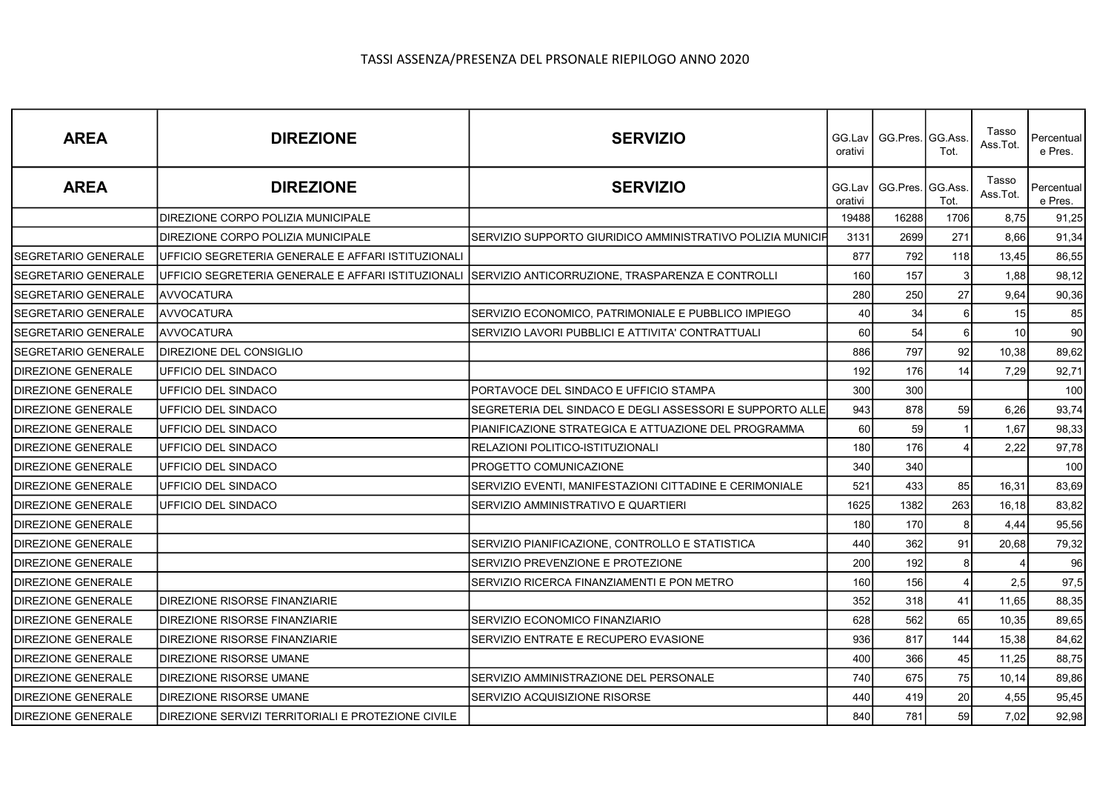| <b>AREA</b>                | <b>DIREZIONE</b>                                   | <b>SERVIZIO</b>                                            | orativi           | GG.Lav   GG.Pres.   GG.Ass | Tot. | Tasso<br>Ass.Tot. | Percentual<br>e Pres. |
|----------------------------|----------------------------------------------------|------------------------------------------------------------|-------------------|----------------------------|------|-------------------|-----------------------|
| <b>AREA</b>                | <b>DIREZIONE</b>                                   | <b>SERVIZIO</b>                                            | GG.Lav<br>orativi | GG.Pres. GG.Ass.           | Tot. | Tasso<br>Ass.Tot. | Percentual<br>e Pres. |
|                            | DIREZIONE CORPO POLIZIA MUNICIPALE                 |                                                            | 19488             | 16288                      | 1706 | 8,75              | 91,25                 |
|                            | DIREZIONE CORPO POLIZIA MUNICIPALE                 | SERVIZIO SUPPORTO GIURIDICO AMMINISTRATIVO POLIZIA MUNICIF | 3131              | 2699                       | 271  | 8.66              | 91,34                 |
| <b>SEGRETARIO GENERALE</b> | UFFICIO SEGRETERIA GENERALE E AFFARI ISTITUZIONALI |                                                            | 877               | 792                        | 118  | 13,45             | 86,55                 |
| SEGRETARIO GENERALE        | UFFICIO SEGRETERIA GENERALE E AFFARI ISTITUZIONALI | SERVIZIO ANTICORRUZIONE, TRASPARENZA E CONTROLLI           | 160               | 157                        | 3    | 1,88              | 98,12                 |
| <b>SEGRETARIO GENERALE</b> | <b>AVVOCATURA</b>                                  |                                                            | 280               | 250                        | 27   | 9,64              | 90,36                 |
| <b>SEGRETARIO GENERALE</b> | <b>AVVOCATURA</b>                                  | SERVIZIO ECONOMICO, PATRIMONIALE E PUBBLICO IMPIEGO        | 40                | 34                         | 6    | 15                | 85                    |
| <b>SEGRETARIO GENERALE</b> | <b>AVVOCATURA</b>                                  | SERVIZIO LAVORI PUBBLICI E ATTIVITA' CONTRATTUALI          | 60                | 54                         | 6    | 10                | 90                    |
| SEGRETARIO GENERALE        | DIREZIONE DEL CONSIGLIO                            |                                                            | 886               | 797                        | 92   | 10,38             | 89,62                 |
| <b>DIREZIONE GENERALE</b>  | UFFICIO DEL SINDACO                                |                                                            | 192               | 176                        | 14   | 7,29              | 92,71                 |
| DIREZIONE GENERALE         | UFFICIO DEL SINDACO                                | PORTAVOCE DEL SINDACO E UFFICIO STAMPA                     | 300               | 300                        |      |                   | 100                   |
| <b>DIREZIONE GENERALE</b>  | UFFICIO DEL SINDACO                                | SEGRETERIA DEL SINDACO E DEGLI ASSESSORI E SUPPORTO ALLE   | 943               | 878                        | 59   | 6,26              | 93,74                 |
| <b>DIREZIONE GENERALE</b>  | UFFICIO DEL SINDACO                                | PIANIFICAZIONE STRATEGICA E ATTUAZIONE DEL PROGRAMMA       | 60                | 59                         |      | 1,67              | 98,33                 |
| DIREZIONE GENERALE         | UFFICIO DEL SINDACO                                | RELAZIONI POLITICO-ISTITUZIONALI                           | 180               | 176                        |      | 2,22              | 97,78                 |
| <b>DIREZIONE GENERALE</b>  | UFFICIO DEL SINDACO                                | PROGETTO COMUNICAZIONE                                     | 340               | 340                        |      |                   | 100                   |
| <b>DIREZIONE GENERALE</b>  | UFFICIO DEL SINDACO                                | SERVIZIO EVENTI, MANIFESTAZIONI CITTADINE E CERIMONIALE    | 521               | 433                        | 85   | 16,31             | 83,69                 |
| <b>DIREZIONE GENERALE</b>  | UFFICIO DEL SINDACO                                | SERVIZIO AMMINISTRATIVO E QUARTIERI                        | 1625              | 1382                       | 263  | 16,18             | 83,82                 |
| <b>DIREZIONE GENERALE</b>  |                                                    |                                                            | 180               | 170                        | 8    | 4,44              | 95,56                 |
| <b>DIREZIONE GENERALE</b>  |                                                    | SERVIZIO PIANIFICAZIONE, CONTROLLO E STATISTICA            | 440               | 362                        | 91   | 20,68             | 79,32                 |
| <b>DIREZIONE GENERALE</b>  |                                                    | SERVIZIO PREVENZIONE E PROTEZIONE                          | 200               | 192                        | 8    |                   | 96                    |
| DIREZIONE GENERALE         |                                                    | SERVIZIO RICERCA FINANZIAMENTI E PON METRO                 | 160               | 156                        |      | 2,5               | 97,5                  |
| <b>DIREZIONE GENERALE</b>  | DIREZIONE RISORSE FINANZIARIE                      |                                                            | 352               | 318                        | 41   | 11,65             | 88,35                 |
| <b>DIREZIONE GENERALE</b>  | DIREZIONE RISORSE FINANZIARIE                      | SERVIZIO ECONOMICO FINANZIARIO                             | 628               | 562                        | 65   | 10,35             | 89,65                 |
| <b>DIREZIONE GENERALE</b>  | DIREZIONE RISORSE FINANZIARIE                      | SERVIZIO ENTRATE E RECUPERO EVASIONE                       | 936               | 817                        | 144  | 15,38             | 84,62                 |
| <b>DIREZIONE GENERALE</b>  | DIREZIONE RISORSE UMANE                            |                                                            | 400               | 366                        | 45   | 11,25             | 88,75                 |
| <b>DIREZIONE GENERALE</b>  | DIREZIONE RISORSE UMANE                            | SERVIZIO AMMINISTRAZIONE DEL PERSONALE                     | 740               | 675                        | 75   | 10, 14            | 89,86                 |
| <b>DIREZIONE GENERALE</b>  | <b>DIREZIONE RISORSE UMANE</b>                     | SERVIZIO ACQUISIZIONE RISORSE                              | 440               | 419                        | 20   | 4,55              | 95,45                 |
| <b>DIREZIONE GENERALE</b>  | DIREZIONE SERVIZI TERRITORIALI E PROTEZIONE CIVILE |                                                            | 840               | 781                        | 59   | 7,02              | 92,98                 |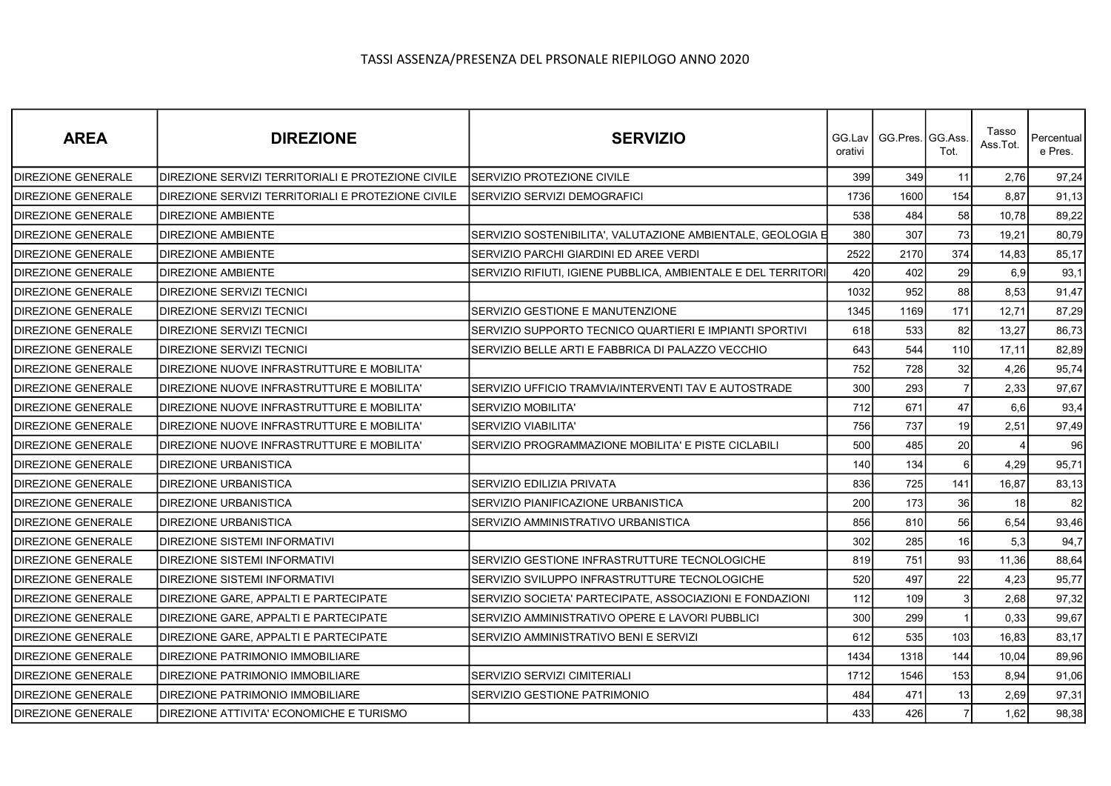| <b>AREA</b>               | <b>DIREZIONE</b>                                   | <b>SERVIZIO</b>                                               | GG.Lav I<br>orativi | GG.Pres. GG.Ass | Tot.           | Tasso<br>Ass.Tot. | Percentual<br>e Pres. |
|---------------------------|----------------------------------------------------|---------------------------------------------------------------|---------------------|-----------------|----------------|-------------------|-----------------------|
| <b>DIREZIONE GENERALE</b> | DIREZIONE SERVIZI TERRITORIALI E PROTEZIONE CIVILE | SERVIZIO PROTEZIONE CIVILE                                    | 399                 | 349             | 11             | 2,76              | 97,24                 |
| <b>DIREZIONE GENERALE</b> | DIREZIONE SERVIZI TERRITORIALI E PROTEZIONE CIVILE | SERVIZIO SERVIZI DEMOGRAFICI                                  | 1736                | 1600            | 154            | 8,87              | 91,13                 |
| <b>DIREZIONE GENERALE</b> | <b>DIREZIONE AMBIENTE</b>                          |                                                               | 538                 | 484             | 58             | 10,78             | 89,22                 |
| <b>DIREZIONE GENERALE</b> | DIREZIONE AMBIENTE                                 | SERVIZIO SOSTENIBILITA', VALUTAZIONE AMBIENTALE, GEOLOGIA E   | 380                 | 307             | 73             | 19,21             | 80,79                 |
| <b>DIREZIONE GENERALE</b> | <b>DIREZIONE AMBIENTE</b>                          | SERVIZIO PARCHI GIARDINI ED AREE VERDI                        | 2522                | 2170            | 374            | 14,83             | 85,17                 |
| <b>DIREZIONE GENERALE</b> | DIREZIONE AMBIENTE                                 | SERVIZIO RIFIUTI, IGIENE PUBBLICA, AMBIENTALE E DEL TERRITORI | 420                 | 402             | 29             | 6,9               | 93,1                  |
| <b>DIREZIONE GENERALE</b> | DIREZIONE SERVIZI TECNICI                          |                                                               | 1032                | 952             | 88             | 8,53              | 91,47                 |
| <b>DIREZIONE GENERALE</b> | DIREZIONE SERVIZI TECNICI                          | SERVIZIO GESTIONE E MANUTENZIONE                              | 1345                | 1169            | 171            | 12,71             | 87,29                 |
| <b>DIREZIONE GENERALE</b> | DIREZIONE SERVIZI TECNICI                          | SERVIZIO SUPPORTO TECNICO QUARTIERI E IMPIANTI SPORTIVI       | 618                 | 533             | 82             | 13,27             | 86,73                 |
| <b>DIREZIONE GENERALE</b> | DIREZIONE SERVIZI TECNICI                          | SERVIZIO BELLE ARTI E FABBRICA DI PALAZZO VECCHIO             | 643                 | 544             | 110            | 17,11             | 82,89                 |
| <b>DIREZIONE GENERALE</b> | DIREZIONE NUOVE INFRASTRUTTURE E MOBILITA'         |                                                               | 752                 | 728             | 32             | 4,26              | 95,74                 |
| <b>DIREZIONE GENERALE</b> | DIREZIONE NUOVE INFRASTRUTTURE E MOBILITA'         | SERVIZIO UFFICIO TRAMVIA/INTERVENTI TAV E AUTOSTRADE          | 300                 | 293             | $\overline{7}$ | 2,33              | 97,67                 |
| <b>DIREZIONE GENERALE</b> | DIREZIONE NUOVE INFRASTRUTTURE E MOBILITA'         | <b>SERVIZIO MOBILITA'</b>                                     | 712                 | 671             | 47             | 6,6               | 93,4                  |
| <b>DIREZIONE GENERALE</b> | DIREZIONE NUOVE INFRASTRUTTURE E MOBILITA'         | <b>SERVIZIO VIABILITA'</b>                                    | 756                 | 737             | 19             | 2,51              | 97,49                 |
| DIREZIONE GENERALE        | DIREZIONE NUOVE INFRASTRUTTURE E MOBILITA'         | SERVIZIO PROGRAMMAZIONE MOBILITA' E PISTE CICLABILI           | 500                 | 485             | 20             |                   | 96                    |
| DIREZIONE GENERALE        | DIREZIONE URBANISTICA                              |                                                               | 140                 | 134             | 6I             | 4,29              | 95,71                 |
| <b>DIREZIONE GENERALE</b> | <b>DIREZIONE URBANISTICA</b>                       | SERVIZIO EDILIZIA PRIVATA                                     | 836                 | 725             | 141            | 16,87             | 83,13                 |
| <b>DIREZIONE GENERALE</b> | DIREZIONE URBANISTICA                              | SERVIZIO PIANIFICAZIONE URBANISTICA                           | 200                 | 173             | 36             | 18                | 82                    |
| DIREZIONE GENERALE        | DIREZIONE URBANISTICA                              | SERVIZIO AMMINISTRATIVO URBANISTICA                           | 856                 | 810             | 56             | 6,54              | 93,46                 |
| <b>DIREZIONE GENERALE</b> | <b>DIREZIONE SISTEMI INFORMATIVI</b>               |                                                               | 302                 | 285             | 16             | 5,3               | 94,7                  |
| <b>DIREZIONE GENERALE</b> | DIREZIONE SISTEMI INFORMATIVI                      | SERVIZIO GESTIONE INFRASTRUTTURE TECNOLOGICHE                 | 819                 | 751             | 93             | 11,36             | 88,64                 |
| <b>DIREZIONE GENERALE</b> | DIREZIONE SISTEMI INFORMATIVI                      | SERVIZIO SVILUPPO INFRASTRUTTURE TECNOLOGICHE                 | 520                 | 497             | 22             | 4,23              | 95,77                 |
| <b>DIREZIONE GENERALE</b> | DIREZIONE GARE, APPALTI E PARTECIPATE              | SERVIZIO SOCIETA' PARTECIPATE, ASSOCIAZIONI E FONDAZIONI      | 112                 | 109             | $\vert$ 3      | 2,68              | 97,32                 |
| DIREZIONE GENERALE        | DIREZIONE GARE, APPALTI E PARTECIPATE              | SERVIZIO AMMINISTRATIVO OPERE E LAVORI PUBBLICI               | 300                 | 299             |                | 0,33              | 99,67                 |
| <b>DIREZIONE GENERALE</b> | DIREZIONE GARE, APPALTI E PARTECIPATE              | SERVIZIO AMMINISTRATIVO BENI E SERVIZI                        | 612                 | 535             | 103            | 16,83             | 83,17                 |
| <b>DIREZIONE GENERALE</b> | DIREZIONE PATRIMONIO IMMOBILIARE                   |                                                               | 1434                | 1318            | 144            | 10,04             | 89,96                 |
| <b>DIREZIONE GENERALE</b> | DIREZIONE PATRIMONIO IMMOBILIARE                   | SERVIZIO SERVIZI CIMITERIALI                                  | 1712                | 1546            | 153            | 8,94              | 91,06                 |
| DIREZIONE GENERALE        | DIREZIONE PATRIMONIO IMMOBILIARE                   | SERVIZIO GESTIONE PATRIMONIO                                  | 484                 | 471             | 13             | 2,69              | 97,31                 |
| <b>DIREZIONE GENERALE</b> | DIREZIONE ATTIVITA' ECONOMICHE E TURISMO           |                                                               | 433                 | 426             | $\overline{7}$ | 1,62              | 98,38                 |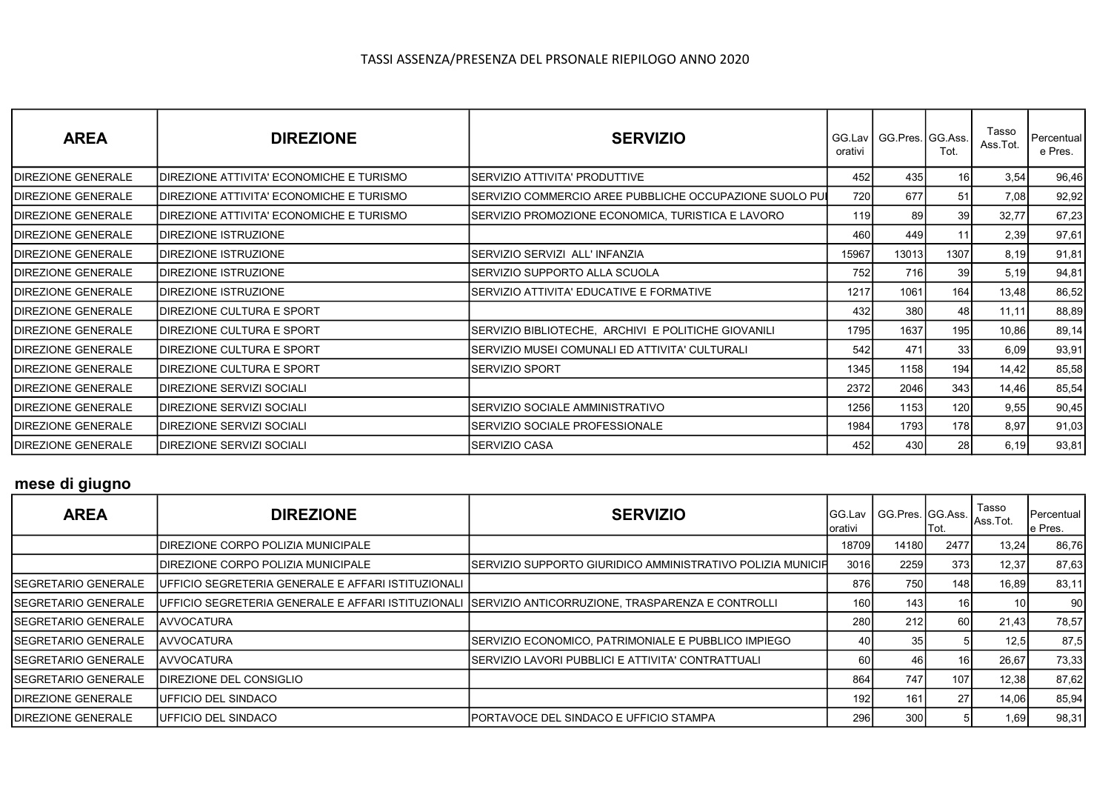| <b>AREA</b>               | <b>DIREZIONE</b>                          | <b>SERVIZIO</b>                                         | GG.Lav<br>orativi | GG.Pres. GG.Ass. | Tot.            | Tasso<br>Ass.Tot. | Percentual<br>e Pres. |
|---------------------------|-------------------------------------------|---------------------------------------------------------|-------------------|------------------|-----------------|-------------------|-----------------------|
| <b>DIREZIONE GENERALE</b> | DIREZIONE ATTIVITA' ECONOMICHE E TURISMO  | SERVIZIO ATTIVITA' PRODUTTIVE                           | 452               | 435              | 16 <sup>1</sup> | 3,54              | 96,46                 |
| <b>DIREZIONE GENERALE</b> | DIREZIONE ATTIVITA' ECONOMICHE E TURISMO  | SERVIZIO COMMERCIO AREE PUBBLICHE OCCUPAZIONE SUOLO PUI | 720               | 677              | 51              | 7,08              | 92,92                 |
| IDIREZIONE GENERALE       | IDIREZIONE ATTIVITA' ECONOMICHE E TURISMO | SERVIZIO PROMOZIONE ECONOMICA, TURISTICA E LAVORO       | 119I              | 89               | 39              | 32,77             | 67,23                 |
| IDIREZIONE GENERALE       | <b>IDIREZIONE ISTRUZIONE</b>              |                                                         | 460               | 449              | 11              | 2,39              | 97,61                 |
| DIREZIONE GENERALE        | <b>DIREZIONE ISTRUZIONE</b>               | SERVIZIO SERVIZI ALL'INFANZIA                           | 15967             | 13013            | 1307            | 8,19              | 91,81                 |
| <b>DIREZIONE GENERALE</b> | <b>IDIREZIONE ISTRUZIONE</b>              | SERVIZIO SUPPORTO ALLA SCUOLA                           | 752l              | 716              | 39              | 5,19              | 94,81                 |
| <b>DIREZIONE GENERALE</b> | <b>IDIREZIONE ISTRUZIONE</b>              | SERVIZIO ATTIVITA' EDUCATIVE E FORMATIVE                | 1217              | 1061             | 164             | 13,48             | 86,52                 |
| <b>DIREZIONE GENERALE</b> | IDIREZIONE CULTURA E SPORT                |                                                         | 432 l             | 380              | 48              | 11, 11            | 88,89                 |
| <b>DIREZIONE GENERALE</b> | <b>DIREZIONE CULTURA E SPORT</b>          | SERVIZIO BIBLIOTECHE, ARCHIVI E POLITICHE GIOVANILI     | 1795              | 1637             | 195             | 10,86             | 89,14                 |
| <b>DIREZIONE GENERALE</b> | IDIREZIONE CULTURA E SPORT                | SERVIZIO MUSEI COMUNALI ED ATTIVITA' CULTURALI          | 542               | 471              | 33              | 6,09              | 93,91                 |
| <b>DIREZIONE GENERALE</b> | IDIREZIONE CULTURA E SPORT                | SERVIZIO SPORT                                          | 1345              | 1158             | 194             | 14,42             | 85,58                 |
| <b>DIREZIONE GENERALE</b> | IDIREZIONE SERVIZI SOCIALI                |                                                         | 2372              | 2046             | 343             | 14,46             | 85,54                 |
| DIREZIONE GENERALE        | IDIREZIONE SERVIZI SOCIALI                | SERVIZIO SOCIALE AMMINISTRATIVO                         | 1256              | 1153             | 120             | 9,55              | 90,45                 |
| <b>DIREZIONE GENERALE</b> | DIREZIONE SERVIZI SOCIALI                 | SERVIZIO SOCIALE PROFESSIONALE                          | 1984              | 1793             | 178             | 8,97              | 91,03                 |
| <b>DIREZIONE GENERALE</b> | IDIREZIONE SERVIZI SOCIALI                | SERVIZIO CASA                                           | 452 l             | 430              | 28              | 6,19              | 93,81                 |

# mese di giugno

| <b>AREA</b>                 | <b>DIREZIONE</b>                                   | <b>SERVIZIO</b>                                                                                      | <b>IGG.Lav</b><br>lorativi |       | lTot.            | Tasso<br>  GG.Pres. GG.Ass. Ass.Tot. | <b>Percentual</b><br>e Pres. |
|-----------------------------|----------------------------------------------------|------------------------------------------------------------------------------------------------------|----------------------------|-------|------------------|--------------------------------------|------------------------------|
|                             | IDIREZIONE CORPO POLIZIA MUNICIPALE                |                                                                                                      | 18709                      | 14180 | 2477             | 13,24                                | 86,76                        |
|                             | <b>IDIREZIONE CORPO POLIZIA MUNICIPALE</b>         | ISERVIZIO SUPPORTO GIURIDICO AMMINISTRATIVO POLIZIA MUNICIFI                                         | 3016                       | 2259  | 373              | 12,37                                | 87,63                        |
| <b>SEGRETARIO GENERALE</b>  | UFFICIO SEGRETERIA GENERALE E AFFARI ISTITUZIONALI |                                                                                                      | 876                        | 750   | 148 l            | 16,89                                | 83,11                        |
| <b>ISEGRETARIO GENERALE</b> |                                                    | UFFICIO SEGRETERIA GENERALE E AFFARI ISTITUZIONALI  SERVIZIO ANTICORRUZIONE, TRASPARENZA E CONTROLLI | 160                        | 143   | 16               | 10 I                                 | 90 <sub>l</sub>              |
| <b>ISEGRETARIO GENERALE</b> | IAVVOCATURA                                        |                                                                                                      | 280                        | 212   | 60               | 21,43                                | 78,57                        |
| <b>ISEGRETARIO GENERALE</b> | <b>JAVVOCATURA</b>                                 | ISERVIZIO ECONOMICO. PATRIMONIALE E PUBBLICO IMPIEGO.                                                | 40                         | 35    |                  | 12,5                                 | 87,5                         |
| <b>ISEGRETARIO GENERALE</b> | IAVVOCATURA                                        | ISERVIZIO LAVORI PUBBLICI E ATTIVITA' CONTRATTUALI                                                   | 60                         | 46    | 16               | 26,67                                | 73,33                        |
| <b>ISEGRETARIO GENERALE</b> | DIREZIONE DEL CONSIGLIO                            |                                                                                                      | 864                        | 747   | 107 <sub>1</sub> | 12,38                                | 87,62                        |
| <b>IDIREZIONE GENERALE</b>  | <b>IUFFICIO DEL SINDACO</b>                        |                                                                                                      | 192                        | 161   | 27 <sup>1</sup>  | 14,06                                | 85,94                        |
| <b>IDIREZIONE GENERALE</b>  | <b>IUFFICIO DEL SINDACO</b>                        | IPORTAVOCE DEL SINDACO E UFFICIO STAMPA                                                              | 296                        | 300   |                  | 1,69                                 | 98,31                        |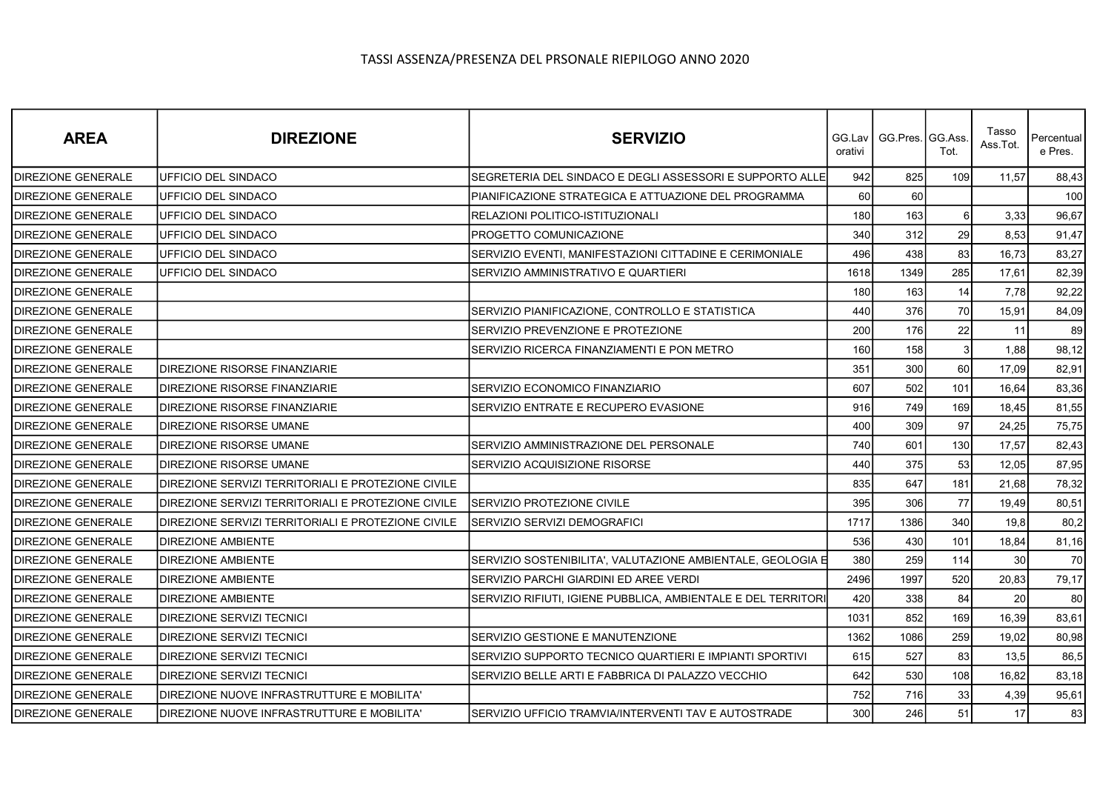| <b>AREA</b>               | <b>DIREZIONE</b>                                   | <b>SERVIZIO</b>                                               | orativi | GG.Lav   GG.Pres.   GG.Ass. | Tot.     | Tasso<br>Ass.Tot. | Percentual<br>e Pres. |
|---------------------------|----------------------------------------------------|---------------------------------------------------------------|---------|-----------------------------|----------|-------------------|-----------------------|
| <b>DIREZIONE GENERALE</b> | UFFICIO DEL SINDACO                                | SEGRETERIA DEL SINDACO E DEGLI ASSESSORI E SUPPORTO ALLE      | 942     | 825                         | 109      | 11,57             | 88,43                 |
| DIREZIONE GENERALE        | UFFICIO DEL SINDACO                                | PIANIFICAZIONE STRATEGICA E ATTUAZIONE DEL PROGRAMMA          | 60      | 60                          |          |                   | 100l                  |
| <b>DIREZIONE GENERALE</b> | UFFICIO DEL SINDACO                                | RELAZIONI POLITICO-ISTITUZIONALI                              | 180     | 163                         | $6 \mid$ | 3,33              | 96,67                 |
| <b>DIREZIONE GENERALE</b> | UFFICIO DEL SINDACO                                | PROGETTO COMUNICAZIONE                                        | 340     | 312                         | 29       | 8,53              | 91,47                 |
| <b>DIREZIONE GENERALE</b> | UFFICIO DEL SINDACO                                | SERVIZIO EVENTI. MANIFESTAZIONI CITTADINE E CERIMONIALE       | 496     | 438                         | 83       | 16,73             | 83,27                 |
| <b>DIREZIONE GENERALE</b> | UFFICIO DEL SINDACO                                | SERVIZIO AMMINISTRATIVO E QUARTIERI                           | 1618    | 1349                        | 285      | 17,61             | 82,39                 |
| DIREZIONE GENERALE        |                                                    |                                                               | 180     | 163                         | 14       | 7,78              | 92,22                 |
| <b>DIREZIONE GENERALE</b> |                                                    | SERVIZIO PIANIFICAZIONE, CONTROLLO E STATISTICA               | 440     | 376                         | 70       | 15,91             | 84,09                 |
| <b>DIREZIONE GENERALE</b> |                                                    | SERVIZIO PREVENZIONE E PROTEZIONE                             | 200     | 176                         | 22       | 11                | 89                    |
| <b>DIREZIONE GENERALE</b> |                                                    | SERVIZIO RICERCA FINANZIAMENTI E PON METRO                    | 160     | 158                         | 3        | 1,88              | 98,12                 |
| DIREZIONE GENERALE        | DIREZIONE RISORSE FINANZIARIE                      |                                                               | 351     | 300                         | 60       | 17,09             | 82,91                 |
| DIREZIONE GENERALE        | DIREZIONE RISORSE FINANZIARIE                      | SERVIZIO ECONOMICO FINANZIARIO                                | 607     | 502                         | 101      | 16,64             | 83,36                 |
| <b>DIREZIONE GENERALE</b> | DIREZIONE RISORSE FINANZIARIE                      | SERVIZIO ENTRATE E RECUPERO EVASIONE                          | 916     | 749                         | 169      | 18,45             | 81,55                 |
| <b>DIREZIONE GENERALE</b> | DIREZIONE RISORSE UMANE                            |                                                               | 400     | 309                         | 97       | 24,25             | 75,75                 |
| DIREZIONE GENERALE        | DIREZIONE RISORSE UMANE                            | SERVIZIO AMMINISTRAZIONE DEL PERSONALE                        | 740     | 601                         | 130      | 17,57             | 82,43                 |
| <b>DIREZIONE GENERALE</b> | DIREZIONE RISORSE UMANE                            | SERVIZIO ACQUISIZIONE RISORSE                                 | 440     | 375                         | 53       | 12,05             | 87,95                 |
| <b>DIREZIONE GENERALE</b> | DIREZIONE SERVIZI TERRITORIALI E PROTEZIONE CIVILE |                                                               | 835     | 647                         | 181      | 21,68             | 78,32                 |
| <b>DIREZIONE GENERALE</b> | DIREZIONE SERVIZI TERRITORIALI E PROTEZIONE CIVILE | SERVIZIO PROTEZIONE CIVILE                                    | 395     | 306                         | 77       | 19,49             | 80,51                 |
| <b>DIREZIONE GENERALE</b> | DIREZIONE SERVIZI TERRITORIALI E PROTEZIONE CIVILE | SERVIZIO SERVIZI DEMOGRAFICI                                  | 1717    | 1386                        | 340      | 19,8              | 80,2                  |
| <b>DIREZIONE GENERALE</b> | <b>DIREZIONE AMBIENTE</b>                          |                                                               | 536     | 430                         | 101      | 18,84             | 81,16                 |
| <b>DIREZIONE GENERALE</b> | <b>DIREZIONE AMBIENTE</b>                          | SERVIZIO SOSTENIBILITA', VALUTAZIONE AMBIENTALE, GEOLOGIA E   | 380     | 259                         | 114      | 30                | 70                    |
| DIREZIONE GENERALE        | DIREZIONE AMBIENTE                                 | SERVIZIO PARCHI GIARDINI ED AREE VERDI                        | 2496    | 1997                        | 520      | 20,83             | 79,17                 |
| <b>DIREZIONE GENERALE</b> | <b>DIREZIONE AMBIENTE</b>                          | SERVIZIO RIFIUTI, IGIENE PUBBLICA, AMBIENTALE E DEL TERRITORI | 420     | 338                         | 84       | 20                | 80                    |
| <b>DIREZIONE GENERALE</b> | DIREZIONE SERVIZI TECNICI                          |                                                               | 1031    | 852                         | 169      | 16,39             | 83,61                 |
| <b>DIREZIONE GENERALE</b> | DIREZIONE SERVIZI TECNICI                          | SERVIZIO GESTIONE E MANUTENZIONE                              | 1362    | 1086                        | 259      | 19,02             | 80,98                 |
| <b>DIREZIONE GENERALE</b> | DIREZIONE SERVIZI TECNICI                          | SERVIZIO SUPPORTO TECNICO QUARTIERI E IMPIANTI SPORTIVI       | 615     | 527                         | 83       | 13,5              | 86,5                  |
| DIREZIONE GENERALE        | DIREZIONE SERVIZI TECNICI                          | SERVIZIO BELLE ARTI E FABBRICA DI PALAZZO VECCHIO             | 642     | 530                         | 108      | 16,82             | 83,18                 |
| <b>DIREZIONE GENERALE</b> | DIREZIONE NUOVE INFRASTRUTTURE E MOBILITA'         |                                                               | 752     | 716                         | 33       | 4,39              | 95,61                 |
| DIREZIONE GENERALE        | DIREZIONE NUOVE INFRASTRUTTURE E MOBILITA'         | SERVIZIO UFFICIO TRAMVIA/INTERVENTI TAV E AUTOSTRADE          | 300     | 246                         | 51       | 17                | 83                    |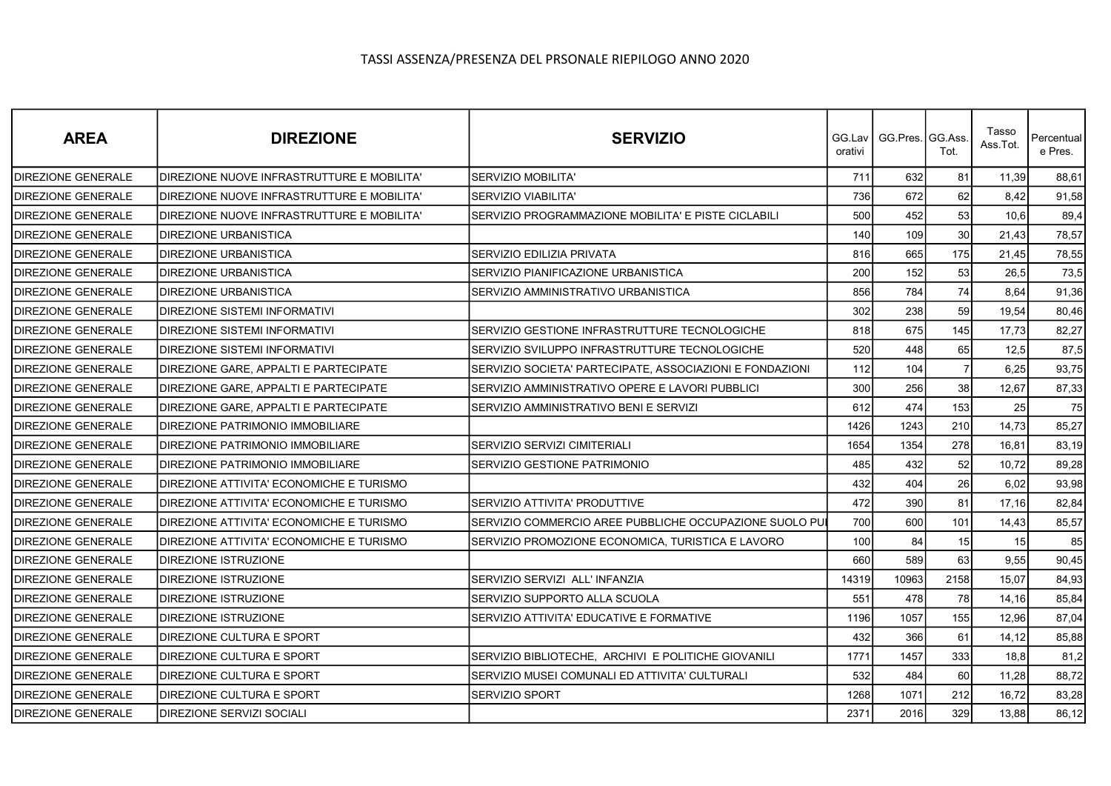| <b>AREA</b>               | <b>DIREZIONE</b>                             | <b>SERVIZIO</b>                                          | orativi | GG.Lav I GG.Pres.IGG.Ass. | Tot.           | Tasso<br>Ass.Tot. | Percentual<br>e Pres. |
|---------------------------|----------------------------------------------|----------------------------------------------------------|---------|---------------------------|----------------|-------------------|-----------------------|
| <b>DIREZIONE GENERALE</b> | DIREZIONE NUOVE INFRASTRUTTURE E MOBILITA'   | <b>SERVIZIO MOBILITA'</b>                                | 711     | 632                       | 81             | 11,39             | 88,61                 |
| DIREZIONE GENERALE        | DIREZIONE NUOVE INFRASTRUTTURE E MOBILITA'   | <b>SERVIZIO VIABILITA'</b>                               | 736     | 672                       | 62             | 8,42              | 91,58                 |
| DIREZIONE GENERALE        | DIREZIONE NUOVE INFRASTRUTTURE E MOBILITA'   | SERVIZIO PROGRAMMAZIONE MOBILITA' E PISTE CICLABILI      | 500     | 452                       | 53             | 10,6              | 89,4                  |
| DIREZIONE GENERALE        | <b>DIREZIONE URBANISTICA</b>                 |                                                          | 140     | 109                       | 30             | 21,43             | 78,57                 |
| <b>DIREZIONE GENERALE</b> | <b>DIREZIONE URBANISTICA</b>                 | SERVIZIO EDILIZIA PRIVATA                                | 816     | 665                       | 175            | 21,45             | 78,55                 |
| DIREZIONE GENERALE        | <b>IDIREZIONE URBANISTICA</b>                | SERVIZIO PIANIFICAZIONE URBANISTICA                      | 200     | 152                       | 53             | 26,5              | 73,5                  |
| <b>DIREZIONE GENERALE</b> | <b>DIREZIONE URBANISTICA</b>                 | SERVIZIO AMMINISTRATIVO URBANISTICA                      | 856     | 784                       | 74             | 8,64              | 91,36                 |
| <b>DIREZIONE GENERALE</b> | <b>DIREZIONE SISTEMI INFORMATIVI</b>         |                                                          | 302     | 238                       | 59             | 19,54             | 80,46                 |
| DIREZIONE GENERALE        | IDIREZIONE SISTEMI INFORMATIVI               | SERVIZIO GESTIONE INFRASTRUTTURE TECNOLOGICHE            | 818     | 675                       | 145            | 17,73             | 82,27                 |
| <b>DIREZIONE GENERALE</b> | <b>DIREZIONE SISTEMI INFORMATIVI</b>         | SERVIZIO SVILUPPO INFRASTRUTTURE TECNOLOGICHE            | 520     | 448                       | 65             | 12,5              | 87,5                  |
| <b>DIREZIONE GENERALE</b> | DIREZIONE GARE. APPALTI E PARTECIPATE        | SERVIZIO SOCIETA' PARTECIPATE, ASSOCIAZIONI E FONDAZIONI | 112     | 104                       | $\overline{7}$ | 6,25              | 93,75                 |
| <b>DIREZIONE GENERALE</b> | <b>DIREZIONE GARE, APPALTI E PARTECIPATE</b> | SERVIZIO AMMINISTRATIVO OPERE E LAVORI PUBBLICI          | 300     | 256                       | 38             | 12,67             | 87,33                 |
| DIREZIONE GENERALE        | DIREZIONE GARE, APPALTI E PARTECIPATE        | SERVIZIO AMMINISTRATIVO BENI E SERVIZI                   | 612     | 474                       | 153            | 25                | 75                    |
| <b>DIREZIONE GENERALE</b> | <b>DIREZIONE PATRIMONIO IMMOBILIARE</b>      |                                                          | 1426    | 1243                      | 210            | 14,73             | 85,27                 |
| <b>DIREZIONE GENERALE</b> | <b>DIREZIONE PATRIMONIO IMMOBILIARE</b>      | SERVIZIO SERVIZI CIMITERIALI                             | 1654    | 1354                      | 278            | 16,81             | 83,19                 |
| <b>DIREZIONE GENERALE</b> | DIREZIONE PATRIMONIO IMMOBILIARE             | SERVIZIO GESTIONE PATRIMONIO                             | 485     | 432                       | 52             | 10,72             | 89,28                 |
| <b>DIREZIONE GENERALE</b> | DIREZIONE ATTIVITA' ECONOMICHE E TURISMO     |                                                          | 432     | 404                       | 26             | 6,02              | 93,98                 |
| <b>DIREZIONE GENERALE</b> | DIREZIONE ATTIVITA' ECONOMICHE E TURISMO     | SERVIZIO ATTIVITA' PRODUTTIVE                            | 472     | 390                       | 81             | 17,16             | 82,84                 |
| <b>DIREZIONE GENERALE</b> | DIREZIONE ATTIVITA' ECONOMICHE E TURISMO     | SERVIZIO COMMERCIO AREE PUBBLICHE OCCUPAZIONE SUOLO PUI  | 700     | 600                       | 101            | 14,43             | 85,57                 |
| <b>DIREZIONE GENERALE</b> | DIREZIONE ATTIVITA' ECONOMICHE E TURISMO     | SERVIZIO PROMOZIONE ECONOMICA, TURISTICA E LAVORO        | 100     | 84                        | 15             | 15                | 85                    |
| <b>DIREZIONE GENERALE</b> | <b>DIREZIONE ISTRUZIONE</b>                  |                                                          | 660     | 589                       | 63             | 9,55              | 90,45                 |
| <b>DIREZIONE GENERALE</b> | <b>DIREZIONE ISTRUZIONE</b>                  | SERVIZIO SERVIZI ALL' INFANZIA                           | 14319   | 10963                     | 2158           | 15,07             | 84,93                 |
| <b>DIREZIONE GENERALE</b> | IDIREZIONE ISTRUZIONE                        | SERVIZIO SUPPORTO ALLA SCUOLA                            | 551     | 478                       | 78             | 14,16             | 85,84                 |
| <b>DIREZIONE GENERALE</b> | <b>DIREZIONE ISTRUZIONE</b>                  | SERVIZIO ATTIVITA' EDUCATIVE E FORMATIVE                 | 1196    | 1057                      | 155            | 12,96             | 87,04                 |
| <b>DIREZIONE GENERALE</b> | DIREZIONE CULTURA E SPORT                    |                                                          | 432     | 366                       | 61             | 14.12             | 85,88                 |
| <b>DIREZIONE GENERALE</b> | DIREZIONE CULTURA E SPORT                    | SERVIZIO BIBLIOTECHE, ARCHIVI E POLITICHE GIOVANILI      | 1771    | 1457                      | 333            | 18,8              | 81,2                  |
| <b>DIREZIONE GENERALE</b> | <b>DIREZIONE CULTURA E SPORT</b>             | SERVIZIO MUSEI COMUNALI ED ATTIVITA' CULTURALI           | 532     | 484                       | 60             | 11,28             | 88,72                 |
| <b>DIREZIONE GENERALE</b> | DIREZIONE CULTURA E SPORT                    | <b>SERVIZIO SPORT</b>                                    | 1268    | 1071                      | 212            | 16,72             | 83,28                 |
| <b>DIREZIONE GENERALE</b> | <b>DIREZIONE SERVIZI SOCIALI</b>             |                                                          | 2371    | 2016                      | 329            | 13,88             | 86,12                 |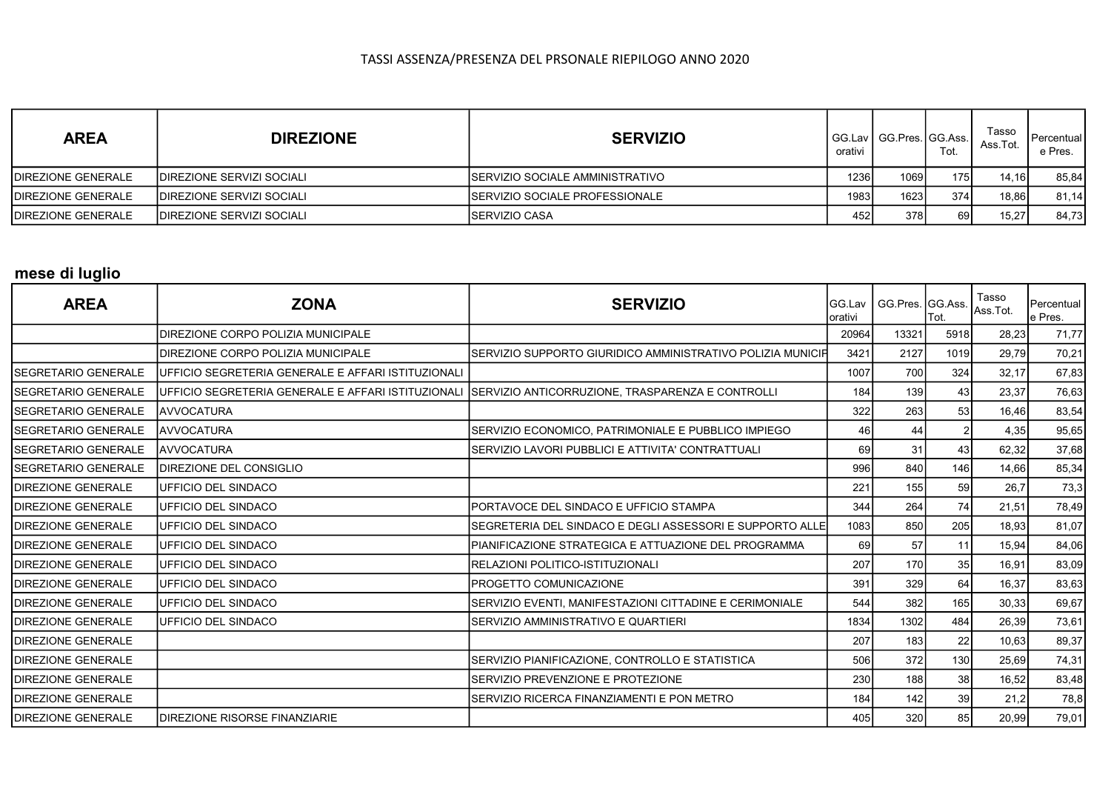| <b>AREA</b>               | <b>DIREZIONE</b>                  | <b>SERVIZIO</b>                        | orativi |      | Tot. | Tasso<br>Ass.Tot. | l Percentual<br>e Pres. |
|---------------------------|-----------------------------------|----------------------------------------|---------|------|------|-------------------|-------------------------|
| DIREZIONE GENERALE        | <b>IDIREZIONE SERVIZI SOCIALI</b> | ISERVIZIO SOCIALE AMMINISTRATIVO       | 1236    | 1069 | 1751 | 14.16             | 85,84                   |
| <b>DIREZIONE GENERALE</b> | <b>IDIREZIONE SERVIZI SOCIALI</b> | <b>ISERVIZIO SOCIALE PROFESSIONALE</b> | 1983    | 1623 | 374  | 18.86             | 81,14                   |
| DIREZIONE GENERALE        | <b>IDIREZIONE SERVIZI SOCIALI</b> | <b>I</b> SERVIZIO CASA                 | 452     | 378  | 69I  | 15,27             | 84,73                   |

# mese di luglio

| <b>AREA</b>                 | <b>ZONA</b>                                                | <b>SERVIZIO</b>                                            | IGG.Lav<br>Iorativi | GG.Pres. GG.Ass. | Tot. | Tasso<br>Ass.Tot. | Percentual<br>e Pres. |
|-----------------------------|------------------------------------------------------------|------------------------------------------------------------|---------------------|------------------|------|-------------------|-----------------------|
|                             | IDIREZIONE CORPO POLIZIA MUNICIPALE                        |                                                            | 20964               | 13321            | 5918 | 28,23             | 71,77                 |
|                             | DIREZIONE CORPO POLIZIA MUNICIPALE                         | SERVIZIO SUPPORTO GIURIDICO AMMINISTRATIVO POLIZIA MUNICIP | 3421                | 2127             | 1019 | 29,79             | 70,21                 |
| <b>SEGRETARIO GENERALE</b>  | <b>IUFFICIO SEGRETERIA GENERALE E AFFARI ISTITUZIONALI</b> |                                                            | 1007                | 700              | 324  | 32,17             | 67,83                 |
| <b>SEGRETARIO GENERALE</b>  | <b>IUFFICIO SEGRETERIA GENERALE E AFFARI ISTITUZIONALI</b> | SERVIZIO ANTICORRUZIONE, TRASPARENZA E CONTROLLI           | 184                 | 139              | 43   | 23,37             | 76,63                 |
| <b>ISEGRETARIO GENERALE</b> | <b>AVVOCATURA</b>                                          |                                                            | 322                 | 263              | 53   | 16,46             | 83,54                 |
| <b>SEGRETARIO GENERALE</b>  | <b>JAVVOCATURA</b>                                         | SERVIZIO ECONOMICO, PATRIMONIALE E PUBBLICO IMPIEGO        | 46                  | 44               |      | 4,35              | 95,65                 |
| <b>SEGRETARIO GENERALE</b>  | <b>AVVOCATURA</b>                                          | SERVIZIO LAVORI PUBBLICI E ATTIVITA' CONTRATTUALI          | 69                  | 31               | 43   | 62,32             | 37,68                 |
| ISEGRETARIO GENERALE        | DIREZIONE DEL CONSIGLIO                                    |                                                            | 996                 | 840              | 146  | 14,66             | 85,34                 |
| <b>DIREZIONE GENERALE</b>   | IUFFICIO DEL SINDACO                                       |                                                            | 221                 | 155              | 59   | 26,7              | 73,3                  |
| <b>DIREZIONE GENERALE</b>   | <b>IUFFICIO DEL SINDACO</b>                                | PORTAVOCE DEL SINDACO E UFFICIO STAMPA                     | 344                 | 264              | 74   | 21,51             | 78,49                 |
| <b>DIREZIONE GENERALE</b>   | UFFICIO DEL SINDACO                                        | SEGRETERIA DEL SINDACO E DEGLI ASSESSORI E SUPPORTO ALLE   | 1083                | 850              | 205  | 18,93             | 81,07                 |
| <b>DIREZIONE GENERALE</b>   | UFFICIO DEL SINDACO                                        | PIANIFICAZIONE STRATEGICA E ATTUAZIONE DEL PROGRAMMA       | 69                  | 57               | 11   | 15,94             | 84,06                 |
| <b>DIREZIONE GENERALE</b>   | UFFICIO DEL SINDACO                                        | RELAZIONI POLITICO-ISTITUZIONALI                           | 207                 | 170              | 35   | 16,91             | 83,09                 |
| <b>DIREZIONE GENERALE</b>   | IUFFICIO DEL SINDACO                                       | PROGETTO COMUNICAZIONE                                     | 391                 | 329              | 64   | 16,37             | 83,63                 |
| <b>DIREZIONE GENERALE</b>   | UFFICIO DEL SINDACO                                        | SERVIZIO EVENTI, MANIFESTAZIONI CITTADINE E CERIMONIALE    | 544                 | 382              | 165  | 30,33             | 69,67                 |
| <b>DIREZIONE GENERALE</b>   | UFFICIO DEL SINDACO                                        | <b>SERVIZIO AMMINISTRATIVO E QUARTIERI</b>                 | 1834                | 1302             | 484  | 26,39             | 73,61                 |
| <b>DIREZIONE GENERALE</b>   |                                                            |                                                            | 207                 | 183              | 22   | 10,63             | 89,37                 |
| <b>DIREZIONE GENERALE</b>   |                                                            | SERVIZIO PIANIFICAZIONE, CONTROLLO E STATISTICA            | 506                 | 372              | 130  | 25,69             | 74,31                 |
| <b>DIREZIONE GENERALE</b>   |                                                            | SERVIZIO PREVENZIONE E PROTEZIONE                          | 230                 | 188              | 38   | 16,52             | 83,48                 |
| <b>DIREZIONE GENERALE</b>   |                                                            | SERVIZIO RICERCA FINANZIAMENTI E PON METRO                 | 184                 | 142              | 39   | 21,2              | 78,8                  |
| <b>DIREZIONE GENERALE</b>   | <b>IDIREZIONE RISORSE FINANZIARIE</b>                      |                                                            | 405                 | 320              | 85   | 20,99             | 79,01                 |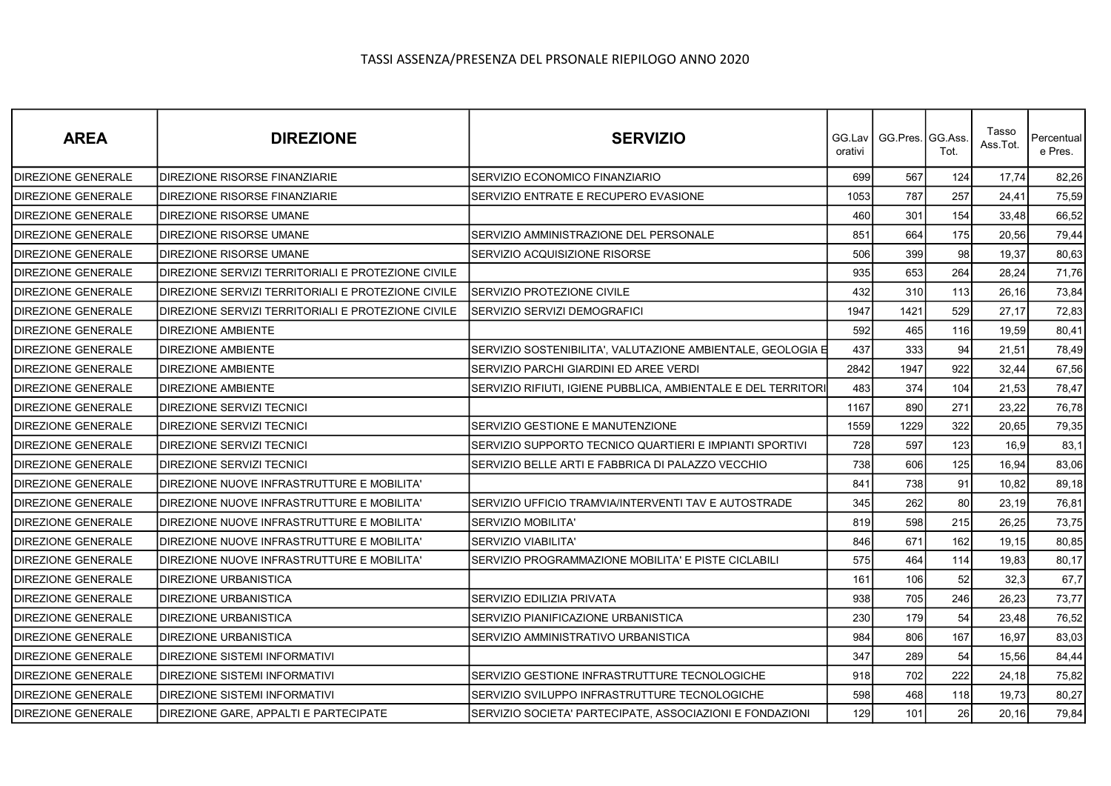| <b>AREA</b>               | <b>DIREZIONE</b>                                   | <b>SERVIZIO</b>                                               | orativi | GG.Lav   GG.Pres.   GG.Ass. | Tot. | Tasso<br>Ass.Tot. | Percentual<br>e Pres. |
|---------------------------|----------------------------------------------------|---------------------------------------------------------------|---------|-----------------------------|------|-------------------|-----------------------|
| <b>DIREZIONE GENERALE</b> | <b>DIREZIONE RISORSE FINANZIARIE</b>               | SERVIZIO ECONOMICO FINANZIARIO                                | 699     | 567                         | 124  | 17,74             | 82,26                 |
| <b>DIREZIONE GENERALE</b> | <b>DIREZIONE RISORSE FINANZIARIE</b>               | SERVIZIO ENTRATE E RECUPERO EVASIONE                          | 1053    | 787                         | 257  | 24,41             | 75,59                 |
| <b>DIREZIONE GENERALE</b> | <b>DIREZIONE RISORSE UMANE</b>                     |                                                               | 460     | 301                         | 154  | 33,48             | 66,52                 |
| DIREZIONE GENERALE        | DIREZIONE RISORSE UMANE                            | SERVIZIO AMMINISTRAZIONE DEL PERSONALE                        | 851     | 664                         | 175  | 20,56             | 79,44                 |
| <b>DIREZIONE GENERALE</b> | <b>DIREZIONE RISORSE UMANE</b>                     | SERVIZIO ACQUISIZIONE RISORSE                                 | 506     | 399                         | 98   | 19,37             | 80,63                 |
| <b>DIREZIONE GENERALE</b> | DIREZIONE SERVIZI TERRITORIALI E PROTEZIONE CIVILE |                                                               | 935     | 653                         | 264  | 28.24             | 71,76                 |
| <b>DIREZIONE GENERALE</b> | DIREZIONE SERVIZI TERRITORIALI E PROTEZIONE CIVILE | SERVIZIO PROTEZIONE CIVILE                                    | 432     | 310                         | 113  | 26,16             | 73,84                 |
| <b>DIREZIONE GENERALE</b> | DIREZIONE SERVIZI TERRITORIALI E PROTEZIONE CIVILE | SERVIZIO SERVIZI DEMOGRAFICI                                  | 1947    | 1421                        | 529  | 27,17             | 72,83                 |
| <b>DIREZIONE GENERALE</b> | <b>DIREZIONE AMBIENTE</b>                          |                                                               | 592     | 465                         | 116  | 19,59             | 80,41                 |
| <b>DIREZIONE GENERALE</b> | DIREZIONE AMBIENTE                                 | SERVIZIO SOSTENIBILITA', VALUTAZIONE AMBIENTALE, GEOLOGIA E   | 437     | 333                         | 94   | 21,51             | 78,49                 |
| <b>DIREZIONE GENERALE</b> | <b>DIREZIONE AMBIENTE</b>                          | SERVIZIO PARCHI GIARDINI ED AREE VERDI                        | 2842    | 1947                        | 922  | 32,44             | 67,56                 |
| <b>DIREZIONE GENERALE</b> | <b>DIREZIONE AMBIENTE</b>                          | SERVIZIO RIFIUTI, IGIENE PUBBLICA, AMBIENTALE E DEL TERRITORI | 483     | 374                         | 104  | 21,53             | 78,47                 |
| <b>DIREZIONE GENERALE</b> | <b>DIREZIONE SERVIZI TECNICI</b>                   |                                                               | 1167    | 890                         | 271  | 23,22             | 76,78                 |
| <b>DIREZIONE GENERALE</b> | <b>DIREZIONE SERVIZI TECNICI</b>                   | SERVIZIO GESTIONE E MANUTENZIONE                              | 1559    | 1229                        | 322  | 20,65             | 79,35                 |
| DIREZIONE GENERALE        | <b>DIREZIONE SERVIZI TECNICI</b>                   | SERVIZIO SUPPORTO TECNICO QUARTIERI E IMPIANTI SPORTIVI       | 728     | 597                         | 123  | 16,9              | 83,1                  |
| <b>DIREZIONE GENERALE</b> | <b>DIREZIONE SERVIZI TECNICI</b>                   | SERVIZIO BELLE ARTI E FABBRICA DI PALAZZO VECCHIO             | 738     | 606                         | 125  | 16,94             | 83,06                 |
| <b>DIREZIONE GENERALE</b> | DIREZIONE NUOVE INFRASTRUTTURE E MOBILITA'         |                                                               | 841     | 738                         | 91   | 10,82             | 89,18                 |
| <b>DIREZIONE GENERALE</b> | DIREZIONE NUOVE INFRASTRUTTURE E MOBILITA'         | SERVIZIO UFFICIO TRAMVIA/INTERVENTI TAV E AUTOSTRADE          | 345     | 262                         | 80   | 23,19             | 76,81                 |
| DIREZIONE GENERALE        | DIREZIONE NUOVE INFRASTRUTTURE E MOBILITA'         | SERVIZIO MOBILITA'                                            | 819     | 598                         | 215  | 26,25             | 73,75                 |
| <b>DIREZIONE GENERALE</b> | DIREZIONE NUOVE INFRASTRUTTURE E MOBILITA'         | SERVIZIO VIABILITA'                                           | 846     | 671                         | 162  | 19,15             | 80,85                 |
| <b>DIREZIONE GENERALE</b> | DIREZIONE NUOVE INFRASTRUTTURE E MOBILITA'         | SERVIZIO PROGRAMMAZIONE MOBILITA' E PISTE CICLABILI           | 575     | 464                         | 114  | 19,83             | 80,17                 |
| <b>DIREZIONE GENERALE</b> | <b>DIREZIONE URBANISTICA</b>                       |                                                               | 161     | 106                         | 52   | 32,3              | 67,7                  |
| <b>DIREZIONE GENERALE</b> | <b>DIREZIONE URBANISTICA</b>                       | <b>SERVIZIO EDILIZIA PRIVATA</b>                              | 938     | 705                         | 246  | 26,23             | 73,77                 |
| DIREZIONE GENERALE        | <b>DIREZIONE URBANISTICA</b>                       | SERVIZIO PIANIFICAZIONE URBANISTICA                           | 230     | 179                         | 54   | 23,48             | 76,52                 |
| <b>DIREZIONE GENERALE</b> | <b>DIREZIONE URBANISTICA</b>                       | SERVIZIO AMMINISTRATIVO URBANISTICA                           | 984     | 806                         | 167  | 16,97             | 83,03                 |
| <b>DIREZIONE GENERALE</b> | <b>DIREZIONE SISTEMI INFORMATIVI</b>               |                                                               | 347     | 289                         | 54   | 15,56             | 84,44                 |
| <b>DIREZIONE GENERALE</b> | <b>DIREZIONE SISTEMI INFORMATIVI</b>               | SERVIZIO GESTIONE INFRASTRUTTURE TECNOLOGICHE                 | 918     | 702                         | 222  | 24,18             | 75,82                 |
| <b>DIREZIONE GENERALE</b> | <b>DIREZIONE SISTEMI INFORMATIVI</b>               | SERVIZIO SVILUPPO INFRASTRUTTURE TECNOLOGICHE                 | 598     | 468                         | 118  | 19,73             | 80,27                 |
| <b>DIREZIONE GENERALE</b> | DIREZIONE GARE, APPALTI E PARTECIPATE              | SERVIZIO SOCIETA' PARTECIPATE, ASSOCIAZIONI E FONDAZIONI      | 129     | 101                         | 26   | 20,16             | 79,84                 |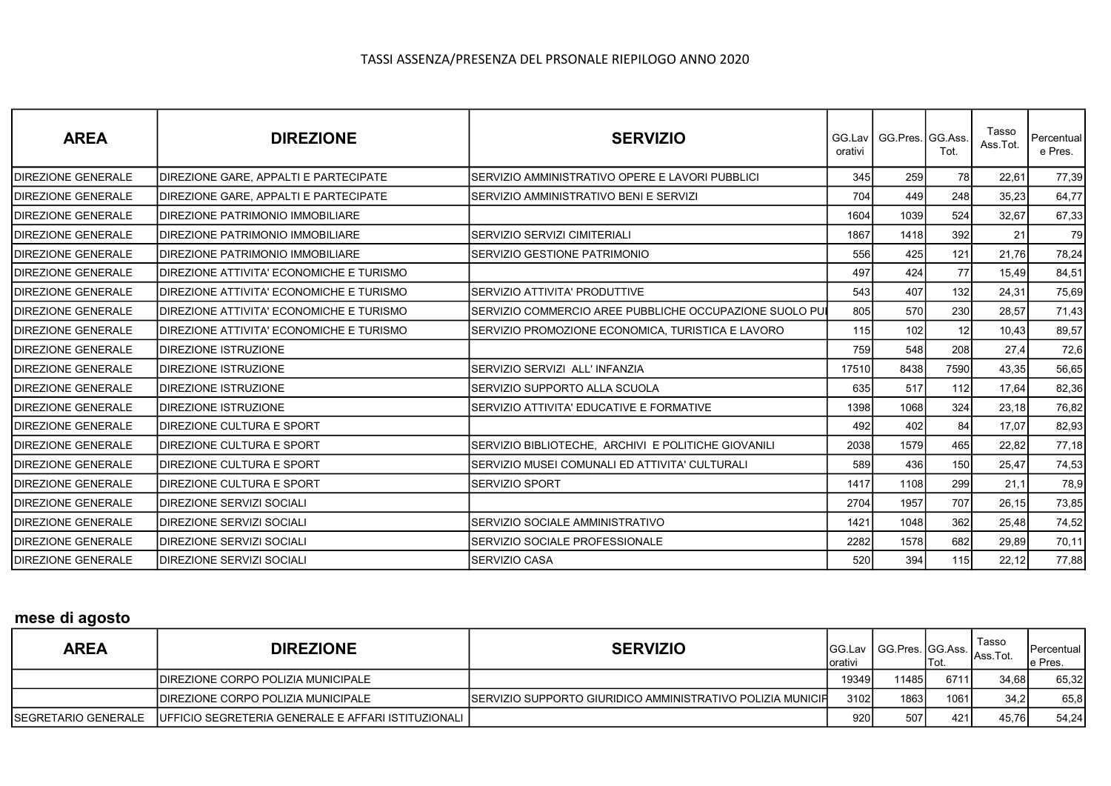| <b>AREA</b>               | <b>DIREZIONE</b>                             | <b>SERVIZIO</b>                                          | GG.Lav<br>orativi | GG.Pres. GG.Ass. | Tot. | Tasso<br>Ass.Tot. | Percentual<br>e Pres. |
|---------------------------|----------------------------------------------|----------------------------------------------------------|-------------------|------------------|------|-------------------|-----------------------|
| <b>DIREZIONE GENERALE</b> | <b>DIREZIONE GARE, APPALTI E PARTECIPATE</b> | SERVIZIO AMMINISTRATIVO OPERE E LAVORI PUBBLICI          | 345               | 259              | 78   | 22,61             | 77,39                 |
| <b>DIREZIONE GENERALE</b> | <b>DIREZIONE GARE, APPALTI E PARTECIPATE</b> | SERVIZIO AMMINISTRATIVO BENI E SERVIZI                   | 704               | 449              | 248  | 35,23             | 64,77                 |
| <b>DIREZIONE GENERALE</b> | <b>IDIREZIONE PATRIMONIO IMMOBILIARE</b>     |                                                          | 1604              | 1039             | 524  | 32,67             | 67,33                 |
| <b>DIREZIONE GENERALE</b> | <b>IDIREZIONE PATRIMONIO IMMOBILIARE</b>     | SERVIZIO SERVIZI CIMITERIALI                             | 1867              | 1418             | 392  | 21                | 79                    |
| <b>DIREZIONE GENERALE</b> | <b>IDIREZIONE PATRIMONIO IMMOBILIARE</b>     | SERVIZIO GESTIONE PATRIMONIO                             | 556               | 425              | 121  | 21,76             | 78,24                 |
| <b>DIREZIONE GENERALE</b> | IDIREZIONE ATTIVITA' ECONOMICHE E TURISMO    |                                                          | 497               | 424              | 77   | 15,49             | 84,51                 |
| <b>DIREZIONE GENERALE</b> | DIREZIONE ATTIVITA' ECONOMICHE E TURISMO     | SERVIZIO ATTIVITA' PRODUTTIVE                            | 543               | 407              | 132  | 24,31             | 75,69                 |
| <b>DIREZIONE GENERALE</b> | IDIREZIONE ATTIVITA' ECONOMICHE E TURISMO    | ISERVIZIO COMMERCIO AREE PUBBLICHE OCCUPAZIONE SUOLO PU∎ | 805               | 570              | 230  | 28,57             | 71,43                 |
| <b>DIREZIONE GENERALE</b> | IDIREZIONE ATTIVITA' ECONOMICHE E TURISMO    | SERVIZIO PROMOZIONE ECONOMICA, TURISTICA E LAVORO        | 115               | 102              | 12   | 10,43             | 89,57                 |
| <b>DIREZIONE GENERALE</b> | <b>IDIREZIONE ISTRUZIONE</b>                 |                                                          | 759               | 548              | 208  | 27,4              | 72,6                  |
| <b>DIREZIONE GENERALE</b> | <b>DIREZIONE ISTRUZIONE</b>                  | SERVIZIO SERVIZI ALL' INFANZIA                           | 17510             | 8438             | 7590 | 43,35             | 56,65                 |
| <b>DIREZIONE GENERALE</b> | <b>DIREZIONE ISTRUZIONE</b>                  | SERVIZIO SUPPORTO ALLA SCUOLA                            | 635               | 517              | 112  | 17,64             | 82,36                 |
| <b>DIREZIONE GENERALE</b> | <b>IDIREZIONE ISTRUZIONE</b>                 | SERVIZIO ATTIVITA' EDUCATIVE E FORMATIVE                 | 1398              | 1068             | 324  | 23,18             | 76,82                 |
| <b>DIREZIONE GENERALE</b> | <b>IDIREZIONE CULTURA E SPORT</b>            |                                                          | 492               | 402              | 84   | 17,07             | 82,93                 |
| <b>DIREZIONE GENERALE</b> | <b>IDIREZIONE CULTURA E SPORT</b>            | SERVIZIO BIBLIOTECHE, ARCHIVI E POLITICHE GIOVANILI      | 2038              | 1579             | 465  | 22,82             | 77,18                 |
| <b>DIREZIONE GENERALE</b> | <b>IDIREZIONE CULTURA E SPORT</b>            | SERVIZIO MUSEI COMUNALI ED ATTIVITA' CULTURALI           | 589               | 436              | 150  | 25,47             | 74,53                 |
| <b>DIREZIONE GENERALE</b> | <b>IDIREZIONE CULTURA E SPORT</b>            | ISERVIZIO SPORT                                          | 1417              | 1108             | 299  | 21,1              | 78,9                  |
| <b>DIREZIONE GENERALE</b> | DIREZIONE SERVIZI SOCIALI                    |                                                          | 2704              | 1957             | 707  | 26,15             | 73,85                 |
| <b>DIREZIONE GENERALE</b> | DIREZIONE SERVIZI SOCIALI                    | SERVIZIO SOCIALE AMMINISTRATIVO                          | 1421              | 1048             | 362  | 25,48             | 74,52                 |
| <b>DIREZIONE GENERALE</b> | <b>IDIREZIONE SERVIZI SOCIALI</b>            | SERVIZIO SOCIALE PROFESSIONALE                           | 2282              | 1578             | 682  | 29,89             | 70,11                 |
| <b>DIREZIONE GENERALE</b> | <b>DIREZIONE SERVIZI SOCIALI</b>             | <b>SERVIZIO CASA</b>                                     | 520               | 394              | 115  | 22,12             | 77,88                 |

# mese di agosto

| <b>AREA</b> | <b>DIREZIONE</b>                                                              | <b>SERVIZIO</b>                                             | Iorativi |        | 'Tot. | Tasso<br> GG.Lav   GG.Pres. GG.Ass.   Ass.Tot.   Percent | Percentual<br>e Pres. |
|-------------|-------------------------------------------------------------------------------|-------------------------------------------------------------|----------|--------|-------|----------------------------------------------------------|-----------------------|
|             | <b>IDIREZIONE CORPO POLIZIA MUNICIPALE</b>                                    |                                                             | 19349    | 114851 | 671   | 34.681                                                   | 65.32                 |
|             | DIREZIONE CORPO POLIZIA MUNICIPALE                                            | SERVIZIO SUPPORTO GIURIDICO AMMINISTRATIVO POLIZIA MUNICIPI | 31021    | 1863   | 106'  | 34.2                                                     | 65,8                  |
|             | ISEGRETARIO GENERALE    IUFFICIO SEGRETERIA GENERALE E AFFARI ISTITUZIONALI I |                                                             | 920      | 507    | 421   | 45.76I                                                   | 54,24                 |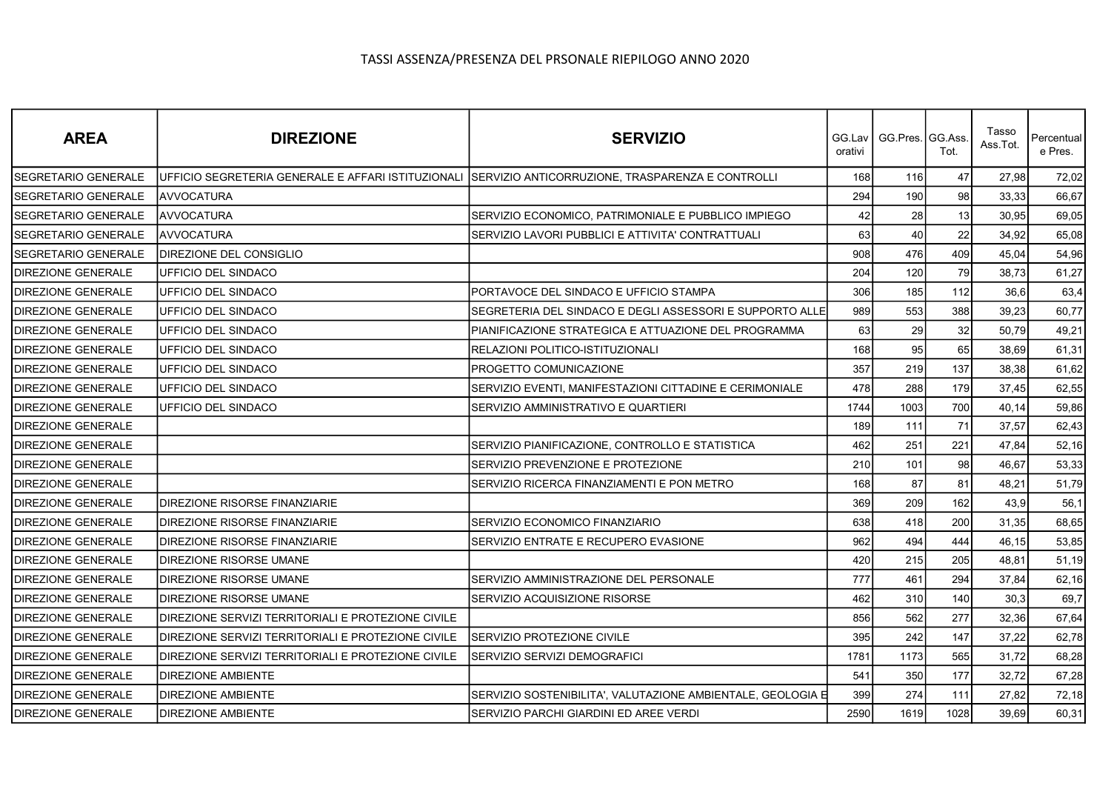| <b>AREA</b>                | <b>DIREZIONE</b>                                                                                    | <b>SERVIZIO</b>                                             | GG.Lav I<br>orativi | GG.Pres. GG.Ass | Tot. | Tasso<br>Ass.Tot. | Percentual<br>e Pres. |
|----------------------------|-----------------------------------------------------------------------------------------------------|-------------------------------------------------------------|---------------------|-----------------|------|-------------------|-----------------------|
| <b>SEGRETARIO GENERALE</b> | UFFICIO SEGRETERIA GENERALE E AFFARI ISTITUZIONALI SERVIZIO ANTICORRUZIONE, TRASPARENZA E CONTROLLI |                                                             | 168                 | 116             | 47   | 27,98             | 72,02                 |
| <b>SEGRETARIO GENERALE</b> | <b>AVVOCATURA</b>                                                                                   |                                                             | 294                 | 190             | 98   | 33,33             | 66,67                 |
| <b>SEGRETARIO GENERALE</b> | <b>JAVVOCATURA</b>                                                                                  | SERVIZIO ECONOMICO, PATRIMONIALE E PUBBLICO IMPIEGO         | 42                  | 28              | 13   | 30,95             | 69,05                 |
| <b>SEGRETARIO GENERALE</b> | AVVOCATURA                                                                                          | SERVIZIO LAVORI PUBBLICI E ATTIVITA' CONTRATTUALI           | 63                  | 40              | 22   | 34,92             | 65,08                 |
| <b>SEGRETARIO GENERALE</b> | <b>DIREZIONE DEL CONSIGLIO</b>                                                                      |                                                             | 908                 | 476             | 409  | 45,04             | 54,96                 |
| <b>DIREZIONE GENERALE</b>  | UFFICIO DEL SINDACO                                                                                 |                                                             | 204                 | 120             | 79   | 38.73             | 61,27                 |
| <b>DIREZIONE GENERALE</b>  | UFFICIO DEL SINDACO                                                                                 | PORTAVOCE DEL SINDACO E UFFICIO STAMPA                      | 306                 | 185             | 112  | 36,6              | 63,4                  |
| <b>DIREZIONE GENERALE</b>  | UFFICIO DEL SINDACO                                                                                 | SEGRETERIA DEL SINDACO E DEGLI ASSESSORI E SUPPORTO ALLE    | 989                 | 553             | 388  | 39,23             | 60,77                 |
| DIREZIONE GENERALE         | UFFICIO DEL SINDACO                                                                                 | PIANIFICAZIONE STRATEGICA E ATTUAZIONE DEL PROGRAMMA        | 63                  | 29              | 32   | 50,79             | 49,21                 |
| <b>DIREZIONE GENERALE</b>  | UFFICIO DEL SINDACO                                                                                 | RELAZIONI POLITICO-ISTITUZIONALI                            | 168                 | 95              | 65   | 38,69             | 61,31                 |
| <b>DIREZIONE GENERALE</b>  | UFFICIO DEL SINDACO                                                                                 | PROGETTO COMUNICAZIONE                                      | 357                 | 219             | 137  | 38,38             | 61,62                 |
| <b>DIREZIONE GENERALE</b>  | UFFICIO DEL SINDACO                                                                                 | SERVIZIO EVENTI, MANIFESTAZIONI CITTADINE E CERIMONIALE     | 478                 | 288             | 179  | 37,45             | 62,55                 |
| <b>DIREZIONE GENERALE</b>  | UFFICIO DEL SINDACO                                                                                 | SERVIZIO AMMINISTRATIVO E QUARTIERI                         | 1744                | 1003            | 700  | 40,14             | 59,86                 |
| <b>DIREZIONE GENERALE</b>  |                                                                                                     |                                                             | 189                 | 111             | 71   | 37,57             | 62,43                 |
| DIREZIONE GENERALE         |                                                                                                     | SERVIZIO PIANIFICAZIONE, CONTROLLO E STATISTICA             | 462                 | 251             | 221  | 47,84             | 52,16                 |
| <b>DIREZIONE GENERALE</b>  |                                                                                                     | SERVIZIO PREVENZIONE E PROTEZIONE                           | 210                 | 101             | 98   | 46,67             | 53,33                 |
| <b>DIREZIONE GENERALE</b>  |                                                                                                     | SERVIZIO RICERCA FINANZIAMENTI E PON METRO                  | 168                 | 87              | 81   | 48,21             | 51,79                 |
| <b>DIREZIONE GENERALE</b>  | DIREZIONE RISORSE FINANZIARIE                                                                       |                                                             | 369                 | 209             | 162  | 43,9              | 56,1                  |
| <b>DIREZIONE GENERALE</b>  | DIREZIONE RISORSE FINANZIARIE                                                                       | SERVIZIO ECONOMICO FINANZIARIO                              | 638                 | 418             | 200  | 31,35             | 68,65                 |
| <b>DIREZIONE GENERALE</b>  | DIREZIONE RISORSE FINANZIARIE                                                                       | SERVIZIO ENTRATE E RECUPERO EVASIONE                        | 962                 | 494             | 444  | 46,15             | 53,85                 |
| <b>DIREZIONE GENERALE</b>  | DIREZIONE RISORSE UMANE                                                                             |                                                             | 420                 | 215             | 205  | 48.81             | 51,19                 |
| <b>DIREZIONE GENERALE</b>  | DIREZIONE RISORSE UMANE                                                                             | SERVIZIO AMMINISTRAZIONE DEL PERSONALE                      | 777                 | 461             | 294  | 37,84             | 62,16                 |
| <b>DIREZIONE GENERALE</b>  | DIREZIONE RISORSE UMANE                                                                             | SERVIZIO ACQUISIZIONE RISORSE                               | 462                 | 310             | 140  | 30,3              | 69,7                  |
| <b>DIREZIONE GENERALE</b>  | DIREZIONE SERVIZI TERRITORIALI E PROTEZIONE CIVILE                                                  |                                                             | 856                 | 562             | 277  | 32,36             | 67,64                 |
| <b>DIREZIONE GENERALE</b>  | DIREZIONE SERVIZI TERRITORIALI E PROTEZIONE CIVILE                                                  | SERVIZIO PROTEZIONE CIVILE                                  | 395                 | 242             | 147  | 37,22             | 62,78                 |
| <b>DIREZIONE GENERALE</b>  | DIREZIONE SERVIZI TERRITORIALI E PROTEZIONE CIVILE                                                  | SERVIZIO SERVIZI DEMOGRAFICI                                | 1781                | 1173            | 565  | 31,72             | 68,28                 |
| <b>DIREZIONE GENERALE</b>  | <b>DIREZIONE AMBIENTE</b>                                                                           |                                                             | 541                 | 350             | 177  | 32,72             | 67,28                 |
| <b>DIREZIONE GENERALE</b>  | DIREZIONE AMBIENTE                                                                                  | SERVIZIO SOSTENIBILITA', VALUTAZIONE AMBIENTALE, GEOLOGIA E | 399                 | 274             | 111  | 27,82             | 72,18                 |
| <b>DIREZIONE GENERALE</b>  | <b>DIREZIONE AMBIENTE</b>                                                                           | SERVIZIO PARCHI GIARDINI ED AREE VERDI                      | 2590                | 1619            | 1028 | 39,69             | 60,31                 |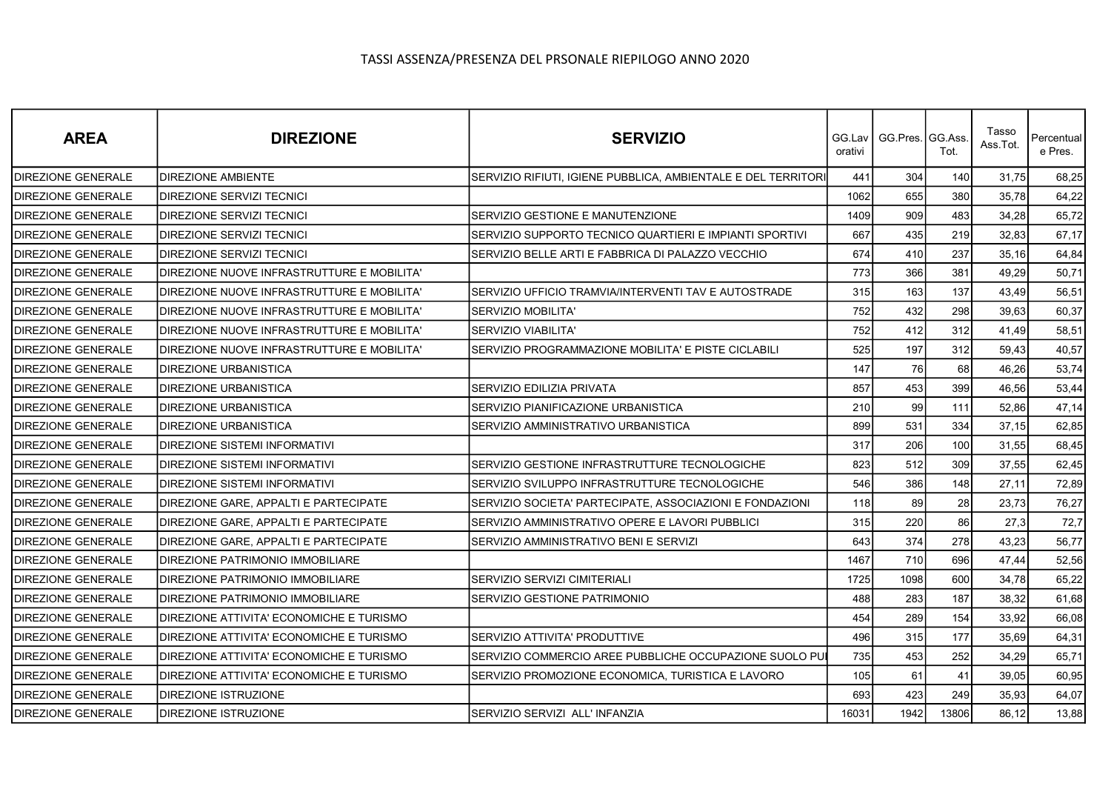| <b>AREA</b>               | <b>DIREZIONE</b>                           | <b>SERVIZIO</b>                                               | orativi | GG.Lav   GG.Pres. GG.Ass. | Tot.  | Tasso<br>Ass.Tot. | Percentual<br>e Pres. |
|---------------------------|--------------------------------------------|---------------------------------------------------------------|---------|---------------------------|-------|-------------------|-----------------------|
| <b>DIREZIONE GENERALE</b> | DIREZIONE AMBIENTE                         | SERVIZIO RIFIUTI, IGIENE PUBBLICA, AMBIENTALE E DEL TERRITORI | 441     | 304                       | 140   | 31,75             | 68,25                 |
| <b>DIREZIONE GENERALE</b> | DIREZIONE SERVIZI TECNICI                  |                                                               | 1062    | 655                       | 380   | 35,78             | 64,22                 |
| <b>DIREZIONE GENERALE</b> | DIREZIONE SERVIZI TECNICI                  | SERVIZIO GESTIONE E MANUTENZIONE                              | 1409    | 909                       | 483   | 34,28             | 65,72                 |
| <b>DIREZIONE GENERALE</b> | DIREZIONE SERVIZI TECNICI                  | SERVIZIO SUPPORTO TECNICO QUARTIERI E IMPIANTI SPORTIVI       | 667     | 435                       | 219   | 32,83             | 67,17                 |
| <b>DIREZIONE GENERALE</b> | DIREZIONE SERVIZI TECNICI                  | SERVIZIO BELLE ARTI E FABBRICA DI PALAZZO VECCHIO             | 674     | 410                       | 237   | 35,16             | 64,84                 |
| <b>DIREZIONE GENERALE</b> | DIREZIONE NUOVE INFRASTRUTTURE E MOBILITA' |                                                               | 773     | 366                       | 381   | 49,29             | 50,71                 |
| <b>DIREZIONE GENERALE</b> | DIREZIONE NUOVE INFRASTRUTTURE E MOBILITA' | SERVIZIO UFFICIO TRAMVIA/INTERVENTI TAV E AUTOSTRADE          | 315     | 163                       | 137   | 43,49             | 56,51                 |
| <b>DIREZIONE GENERALE</b> | DIREZIONE NUOVE INFRASTRUTTURE E MOBILITA' | <b>SERVIZIO MOBILITA'</b>                                     | 752     | 432                       | 298   | 39,63             | 60,37                 |
| <b>DIREZIONE GENERALE</b> | DIREZIONE NUOVE INFRASTRUTTURE E MOBILITA' | SERVIZIO VIABILITA'                                           | 752     | 412                       | 312   | 41,49             | 58,51                 |
| <b>DIREZIONE GENERALE</b> | DIREZIONE NUOVE INFRASTRUTTURE E MOBILITA' | SERVIZIO PROGRAMMAZIONE MOBILITA' E PISTE CICLABILI           | 525     | 197                       | 312   | 59,43             | 40,57                 |
| <b>DIREZIONE GENERALE</b> | DIREZIONE URBANISTICA                      |                                                               | 147     | 76                        | 68    | 46,26             | 53,74                 |
| <b>DIREZIONE GENERALE</b> | DIREZIONE URBANISTICA                      | SERVIZIO EDILIZIA PRIVATA                                     | 857     | 453                       | 399   | 46,56             | 53,44                 |
| <b>DIREZIONE GENERALE</b> | DIREZIONE URBANISTICA                      | SERVIZIO PIANIFICAZIONE URBANISTICA                           | 210     | 99                        | 111   | 52,86             | 47,14                 |
| <b>DIREZIONE GENERALE</b> | <b>DIREZIONE URBANISTICA</b>               | SERVIZIO AMMINISTRATIVO URBANISTICA                           | 899     | 531                       | 334   | 37,15             | 62,85                 |
| <b>DIREZIONE GENERALE</b> | DIREZIONE SISTEMI INFORMATIVI              |                                                               | 317     | 206                       | 100   | 31,55             | 68,45                 |
| DIREZIONE GENERALE        | DIREZIONE SISTEMI INFORMATIVI              | SERVIZIO GESTIONE INFRASTRUTTURE TECNOLOGICHE                 | 823     | 512                       | 309   | 37,55             | 62,45                 |
| <b>DIREZIONE GENERALE</b> | DIREZIONE SISTEMI INFORMATIVI              | SERVIZIO SVILUPPO INFRASTRUTTURE TECNOLOGICHE                 | 546     | 386                       | 148   | 27,11             | 72,89                 |
| <b>DIREZIONE GENERALE</b> | DIREZIONE GARE, APPALTI E PARTECIPATE      | SERVIZIO SOCIETA' PARTECIPATE, ASSOCIAZIONI E FONDAZIONI      | 118     | 89                        | 28    | 23,73             | 76,27                 |
| <b>DIREZIONE GENERALE</b> | DIREZIONE GARE, APPALTI E PARTECIPATE      | SERVIZIO AMMINISTRATIVO OPERE E LAVORI PUBBLICI               | 315     | 220                       | 86    | 27.3              | 72,7                  |
| <b>DIREZIONE GENERALE</b> | DIREZIONE GARE, APPALTI E PARTECIPATE      | SERVIZIO AMMINISTRATIVO BENI E SERVIZI                        | 643     | 374                       | 278   | 43,23             | 56,77                 |
| <b>DIREZIONE GENERALE</b> | DIREZIONE PATRIMONIO IMMOBILIARE           |                                                               | 1467    | 710                       | 696   | 47,44             | 52,56                 |
| DIREZIONE GENERALE        | DIREZIONE PATRIMONIO IMMOBILIARE           | SERVIZIO SERVIZI CIMITERIALI                                  | 1725    | 1098                      | 600   | 34,78             | 65,22                 |
| <b>DIREZIONE GENERALE</b> | DIREZIONE PATRIMONIO IMMOBILIARE           | SERVIZIO GESTIONE PATRIMONIO                                  | 488     | 283                       | 187   | 38,32             | 61,68                 |
| <b>DIREZIONE GENERALE</b> | DIREZIONE ATTIVITA' ECONOMICHE E TURISMO   |                                                               | 454     | 289                       | 154   | 33,92             | 66,08                 |
| <b>DIREZIONE GENERALE</b> | DIREZIONE ATTIVITA' ECONOMICHE E TURISMO   | SERVIZIO ATTIVITA' PRODUTTIVE                                 | 496     | 315                       | 177   | 35,69             | 64,31                 |
| DIREZIONE GENERALE        | DIREZIONE ATTIVITA' ECONOMICHE E TURISMO   | SERVIZIO COMMERCIO AREE PUBBLICHE OCCUPAZIONE SUOLO PUI       | 735     | 453                       | 252   | 34,29             | 65,71                 |
| <b>DIREZIONE GENERALE</b> | DIREZIONE ATTIVITA' ECONOMICHE E TURISMO   | SERVIZIO PROMOZIONE ECONOMICA, TURISTICA E LAVORO             | 105     | 61                        | 41    | 39,05             | 60,95                 |
| DIREZIONE GENERALE        | DIREZIONE ISTRUZIONE                       |                                                               | 693     | 423                       | 249   | 35,93             | 64,07                 |
| <b>DIREZIONE GENERALE</b> | <b>DIREZIONE ISTRUZIONE</b>                | SERVIZIO SERVIZI ALL'INFANZIA                                 | 16031   | 1942                      | 13806 | 86,12             | 13,88                 |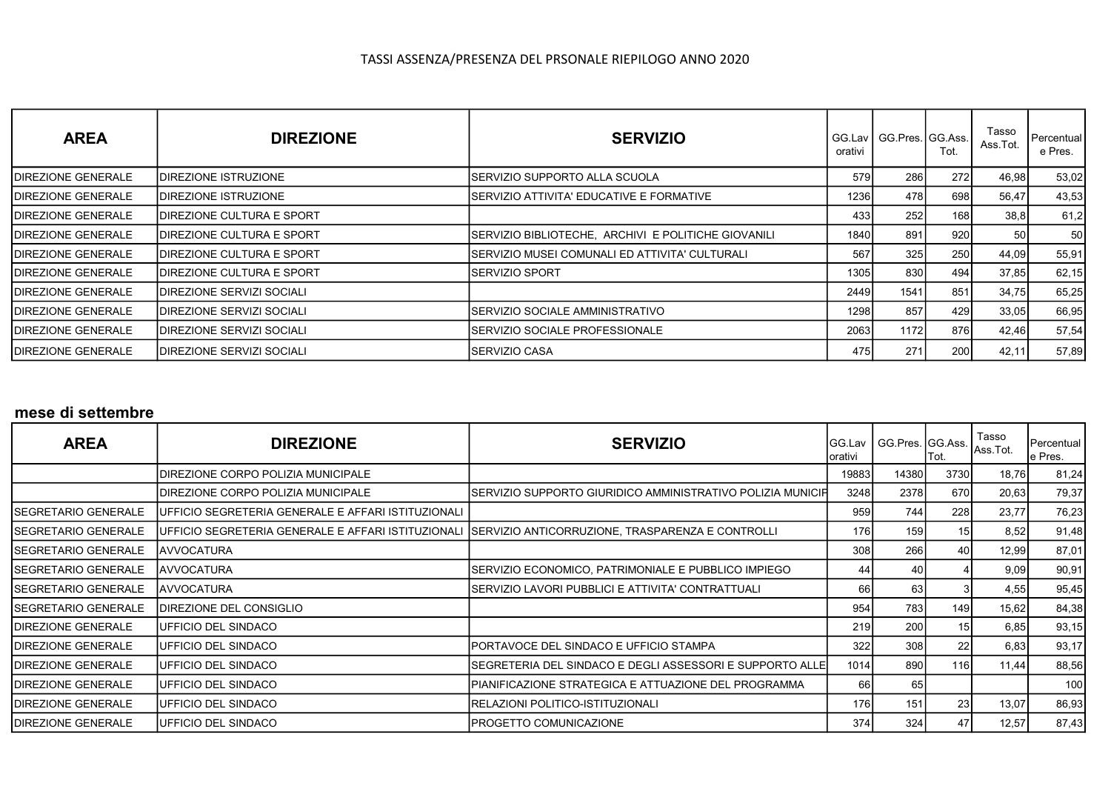| <b>AREA</b>                | <b>DIREZIONE</b>            | <b>SERVIZIO</b>                                     | GG.Lav<br>orativi | l GG.Pres.IGG.Ass.I | Tot.       | Tasso<br>Ass.Tot. | Percentual <sup>1</sup><br>e Pres. |
|----------------------------|-----------------------------|-----------------------------------------------------|-------------------|---------------------|------------|-------------------|------------------------------------|
| <b>IDIREZIONE GENERALE</b> | <b>DIREZIONE ISTRUZIONE</b> | ISERVIZIO SUPPORTO ALLA SCUOLA                      | 579               | <b>286</b>          | 272        | 46,98             | 53,02                              |
| <b>IDIREZIONE GENERALE</b> | IDIREZIONE ISTRUZIONE       | ISERVIZIO ATTIVITA' EDUCATIVE E FORMATIVE           | 1236              | 478I                | 698        | 56,47             | 43,53                              |
| <b>IDIREZIONE GENERALE</b> | IDIREZIONE CULTURA E SPORT  |                                                     | 4331              | <b>2521</b>         | 168        | 38,8              | 61,2                               |
| <b>IDIREZIONE GENERALE</b> | DIREZIONE CULTURA E SPORT   | SERVIZIO BIBLIOTECHE, ARCHIVI E POLITICHE GIOVANILI | 1840 <b>I</b>     | 891                 | 920        | 50                | 50                                 |
| <b>IDIREZIONE GENERALE</b> | IDIREZIONE CULTURA E SPORT  | ISERVIZIO MUSEI COMUNALI ED ATTIVITA' CULTURALI     | 567               | 325I                | <b>250</b> | 44,09             | 55,91                              |
| <b>IDIREZIONE GENERALE</b> | DIREZIONE CULTURA E SPORT   | ISERVIZIO SPORT                                     | 1305              | 830l                | 494        | 37,85             | 62,15                              |
| <b>IDIREZIONE GENERALE</b> | DIREZIONE SERVIZI SOCIALI   |                                                     | 2449              | 1541                | 851        | 34,75             | 65,25                              |
| <b>IDIREZIONE GENERALE</b> | IDIREZIONE SERVIZI SOCIALI  | ISERVIZIO SOCIALE AMMINISTRATIVO                    | 1298              | 857                 | 429        | 33,05             | 66,95                              |
| <b>IDIREZIONE GENERALE</b> | DIREZIONE SERVIZI SOCIALI   | ISERVIZIO SOCIALE PROFESSIONALE                     | 2063              | 1172l               | 876        | 42,46             | 57,54                              |
| <b>IDIREZIONE GENERALE</b> | IDIREZIONE SERVIZI SOCIALI  | ISERVIZIO CASA                                      | 475I              | 271                 | <b>200</b> | 42,11             | 57,89                              |

### mese di settembre

| <b>AREA</b>                | <b>DIREZIONE</b>                                   | <b>SERVIZIO</b>                                             | <b>GG.Lav</b><br> orativi | GG.Pres. GG.Ass. Ass.Tot. | Tot.            | Tasso | Percentual<br>e Pres. |
|----------------------------|----------------------------------------------------|-------------------------------------------------------------|---------------------------|---------------------------|-----------------|-------|-----------------------|
|                            | DIREZIONE CORPO POLIZIA MUNICIPALE                 |                                                             | 19883                     | 14380                     | 3730            | 18,76 | 81,24                 |
|                            | DIREZIONE CORPO POLIZIA MUNICIPALE                 | SERVIZIO SUPPORTO GIURIDICO AMMINISTRATIVO POLIZIA MUNICIFI | 3248                      | 2378                      | 670l            | 20,63 | 79,37                 |
| SEGRETARIO GENERALE        | UFFICIO SEGRETERIA GENERALE E AFFARI ISTITUZIONALI |                                                             | 959                       | 744                       | 228             | 23,77 | 76,23                 |
| ISEGRETARIO GENERALE       | UFFICIO SEGRETERIA GENERALE E AFFARI ISTITUZIONALI | SERVIZIO ANTICORRUZIONE, TRASPARENZA E CONTROLLI            | 176                       | 159                       | 15I             | 8,52  | 91,48                 |
| ISEGRETARIO GENERALE       | <b>AVVOCATURA</b>                                  |                                                             | 308                       | 266                       | 40              | 12,99 | 87,01                 |
| ISEGRETARIO GENERALE       | <b>JAVVOCATURA</b>                                 | SERVIZIO ECONOMICO, PATRIMONIALE E PUBBLICO IMPIEGO         | 44                        | 40                        |                 | 9,09  | 90,91                 |
| <b>SEGRETARIO GENERALE</b> | <b>IAVVOCATURA</b>                                 | SERVIZIO LAVORI PUBBLICI E ATTIVITA' CONTRATTUALI           | 66                        | 63                        |                 | 4,55  | 95,45                 |
| ISEGRETARIO GENERALE       | DIREZIONE DEL CONSIGLIO                            |                                                             | 954                       | 783                       | 149 l           | 15,62 | 84,38                 |
| <b>DIREZIONE GENERALE</b>  | UFFICIO DEL SINDACO                                |                                                             | 219                       | 200                       | 15I             | 6,85  | 93,15                 |
| <b>DIREZIONE GENERALE</b>  | UFFICIO DEL SINDACO                                | PORTAVOCE DEL SINDACO E UFFICIO STAMPA                      | 322                       | 308                       | 22 <sub>1</sub> | 6,83  | 93,17                 |
| DIREZIONE GENERALE         | UFFICIO DEL SINDACO                                | SEGRETERIA DEL SINDACO E DEGLI ASSESSORI E SUPPORTO ALLEI   | 1014                      | 890                       | 116             | 11,44 | 88,56                 |
| DIREZIONE GENERALE         | IUFFICIO DEL SINDACO                               | PIANIFICAZIONE STRATEGICA E ATTUAZIONE DEL PROGRAMMA        | 66                        | 65                        |                 |       | 100                   |
| <b>DIREZIONE GENERALE</b>  | UFFICIO DEL SINDACO                                | RELAZIONI POLITICO-ISTITUZIONALI                            | 176                       | 151                       | 23              | 13,07 | 86,93                 |
| <b>DIREZIONE GENERALE</b>  | IUFFICIO DEL SINDACO                               | PROGETTO COMUNICAZIONE                                      | 374                       | 324                       | 47              | 12,57 | 87,43                 |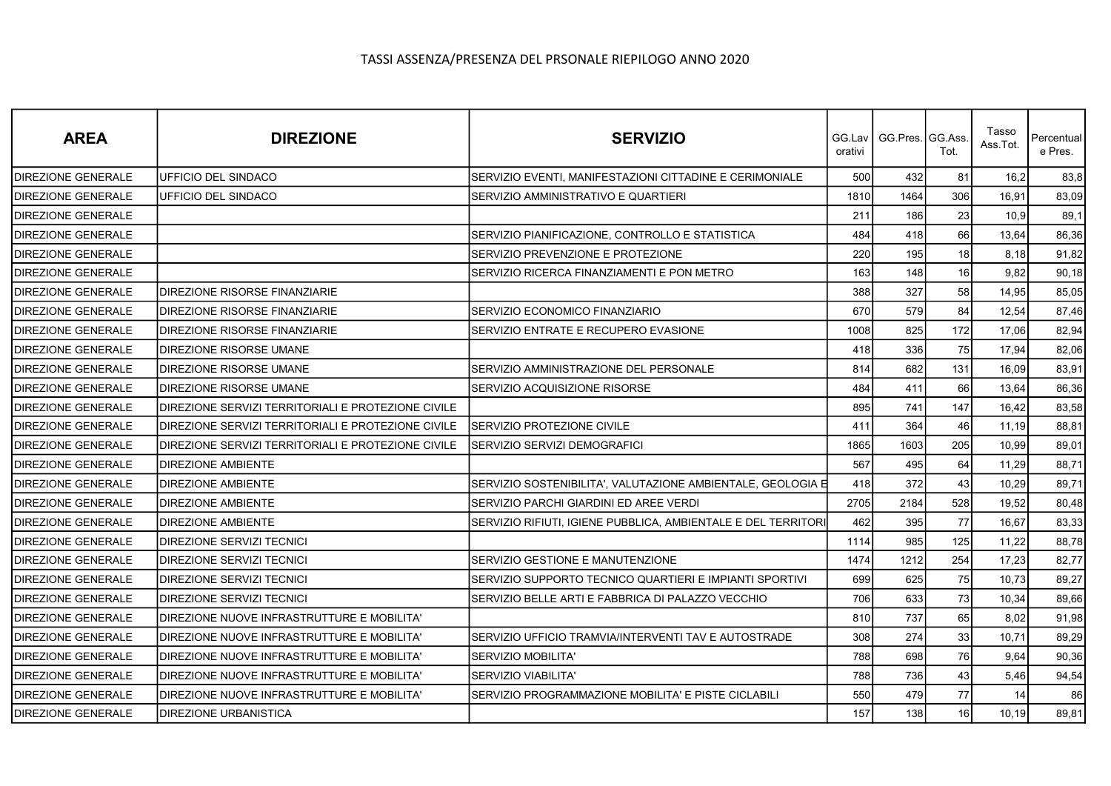| <b>AREA</b>               | <b>DIREZIONE</b>                                   | <b>SERVIZIO</b>                                               | orativi | GG.Lav   GG.Pres. GG.Ass. | Tot.            | Tasso<br>Ass.Tot. | Percentual<br>e Pres. |
|---------------------------|----------------------------------------------------|---------------------------------------------------------------|---------|---------------------------|-----------------|-------------------|-----------------------|
| <b>DIREZIONE GENERALE</b> | UFFICIO DEL SINDACO                                | SERVIZIO EVENTI, MANIFESTAZIONI CITTADINE E CERIMONIALE       | 500     | 432                       | 81              | 16,2              | 83,8                  |
| <b>DIREZIONE GENERALE</b> | UFFICIO DEL SINDACO                                | SERVIZIO AMMINISTRATIVO E QUARTIERI                           | 1810    | 1464                      | 306             | 16,91             | 83,09                 |
| <b>DIREZIONE GENERALE</b> |                                                    |                                                               | 211     | 186                       | 23              | 10,9              | 89,1                  |
| <b>DIREZIONE GENERALE</b> |                                                    | SERVIZIO PIANIFICAZIONE, CONTROLLO E STATISTICA               | 484     | 418                       | 66              | 13,64             | 86,36                 |
| <b>DIREZIONE GENERALE</b> |                                                    | SERVIZIO PREVENZIONE E PROTEZIONE                             | 220     | 195                       | 18              | 8,18              | 91,82                 |
| <b>DIREZIONE GENERALE</b> |                                                    | SERVIZIO RICERCA FINANZIAMENTI E PON METRO                    | 163     | 148                       | 16 <sup>1</sup> | 9.82              | 90,18                 |
| <b>DIREZIONE GENERALE</b> | <b>IDIREZIONE RISORSE FINANZIARIE</b>              |                                                               | 388     | 327                       | 58              | 14,95             | 85,05                 |
| <b>DIREZIONE GENERALE</b> | <b>DIREZIONE RISORSE FINANZIARIE</b>               | SERVIZIO ECONOMICO FINANZIARIO                                | 670     | 579                       | 84              | 12,54             | 87,46                 |
| <b>DIREZIONE GENERALE</b> | <b>DIREZIONE RISORSE FINANZIARIE</b>               | SERVIZIO ENTRATE E RECUPERO EVASIONE                          | 1008    | 825                       | 172             | 17,06             | 82,94                 |
| <b>DIREZIONE GENERALE</b> | <b>DIREZIONE RISORSE UMANE</b>                     |                                                               | 418     | 336                       | 75              | 17,94             | 82,06                 |
| <b>DIREZIONE GENERALE</b> | DIREZIONE RISORSE UMANE                            | SERVIZIO AMMINISTRAZIONE DEL PERSONALE                        | 814     | 682                       | 131             | 16,09             | 83,91                 |
| <b>DIREZIONE GENERALE</b> | <b>DIREZIONE RISORSE UMANE</b>                     | SERVIZIO ACQUISIZIONE RISORSE                                 | 484     | 411                       | 66              | 13,64             | 86,36                 |
| <b>DIREZIONE GENERALE</b> | DIREZIONE SERVIZI TERRITORIALI E PROTEZIONE CIVILE |                                                               | 895     | 741                       | 147             | 16,42             | 83,58                 |
| <b>DIREZIONE GENERALE</b> | DIREZIONE SERVIZI TERRITORIALI E PROTEZIONE CIVILE | <b>SERVIZIO PROTEZIONE CIVILE</b>                             | 411     | 364                       | 46              | 11,19             | 88,81                 |
| <b>DIREZIONE GENERALE</b> | DIREZIONE SERVIZI TERRITORIALI E PROTEZIONE CIVILE | SERVIZIO SERVIZI DEMOGRAFICI                                  | 1865    | 1603                      | 205             | 10,99             | 89,01                 |
| DIREZIONE GENERALE        | <b>DIREZIONE AMBIENTE</b>                          |                                                               | 567     | 495                       | 64              | 11,29             | 88,71                 |
| <b>DIREZIONE GENERALE</b> | <b>DIREZIONE AMBIENTE</b>                          | SERVIZIO SOSTENIBILITA', VALUTAZIONE AMBIENTALE, GEOLOGIA E   | 418     | 372                       | 43              | 10,29             | 89,71                 |
| <b>DIREZIONE GENERALE</b> | <b>DIREZIONE AMBIENTE</b>                          | SERVIZIO PARCHI GIARDINI ED AREE VERDI                        | 2705    | 2184                      | 528             | 19,52             | 80,48                 |
| DIREZIONE GENERALE        | <b>DIREZIONE AMBIENTE</b>                          | SERVIZIO RIFIUTI, IGIENE PUBBLICA, AMBIENTALE E DEL TERRITORI | 462     | 395                       | 77              | 16,67             | 83,33                 |
| <b>DIREZIONE GENERALE</b> | <b>DIREZIONE SERVIZI TECNICI</b>                   |                                                               | 1114    | 985                       | 125             | 11,22             | 88,78                 |
| DIREZIONE GENERALE        | <b>DIREZIONE SERVIZI TECNICI</b>                   | SERVIZIO GESTIONE E MANUTENZIONE                              | 1474    | 1212                      | 254             | 17,23             | 82,77                 |
| <b>DIREZIONE GENERALE</b> | <b>DIREZIONE SERVIZI TECNICI</b>                   | SERVIZIO SUPPORTO TECNICO QUARTIERI E IMPIANTI SPORTIVI       | 699     | 625                       | 75              | 10,73             | 89,27                 |
| <b>DIREZIONE GENERALE</b> | <b>DIREZIONE SERVIZI TECNICI</b>                   | SERVIZIO BELLE ARTI E FABBRICA DI PALAZZO VECCHIO             | 706     | 633                       | 73              | 10,34             | 89,66                 |
| <b>DIREZIONE GENERALE</b> | DIREZIONE NUOVE INFRASTRUTTURE E MOBILITA'         |                                                               | 810     | 737                       | 65              | 8,02              | 91,98                 |
| DIREZIONE GENERALE        | DIREZIONE NUOVE INFRASTRUTTURE E MOBILITA'         | SERVIZIO UFFICIO TRAMVIA/INTERVENTI TAV E AUTOSTRADE          | 308     | 274                       | 33              | 10,71             | 89,29                 |
| DIREZIONE GENERALE        | DIREZIONE NUOVE INFRASTRUTTURE E MOBILITA'         | SERVIZIO MOBILITA'                                            | 788     | 698                       | 76              | 9,64              | 90,36                 |
| <b>DIREZIONE GENERALE</b> | IDIREZIONE NUOVE INFRASTRUTTURE E MOBILITA'        | <b>SERVIZIO VIABILITA'</b>                                    | 788     | 736                       | 43              | 5,46              | 94,54                 |
| DIREZIONE GENERALE        | DIREZIONE NUOVE INFRASTRUTTURE E MOBILITA'         | SERVIZIO PROGRAMMAZIONE MOBILITA' E PISTE CICLABILI           | 550     | 479                       | 77              | 14                | 86                    |
| <b>DIREZIONE GENERALE</b> | <b>DIREZIONE URBANISTICA</b>                       |                                                               | 157     | 138                       | 16              | 10, 19            | 89,81                 |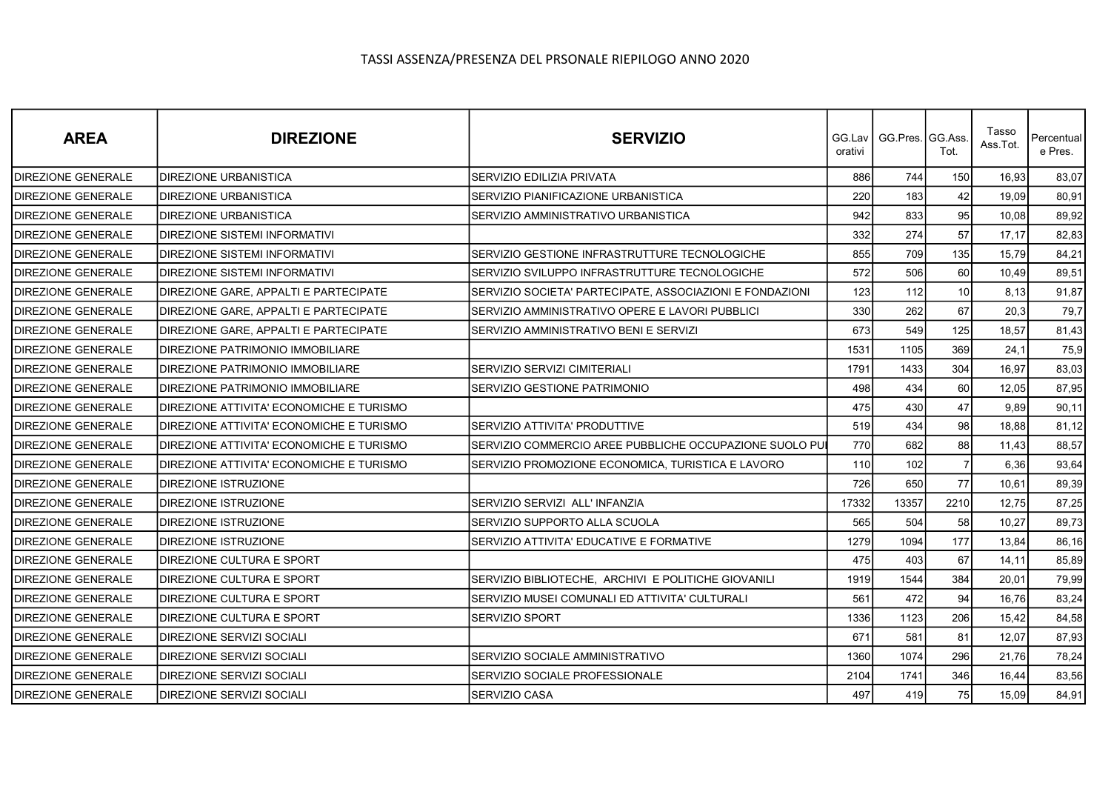| <b>AREA</b>               | <b>DIREZIONE</b>                         | <b>SERVIZIO</b>                                          | orativi | GG.Lav   GG.Pres.   GG.Ass. | Tot.            | Tasso<br>Ass.Tot. | Percentual<br>e Pres. |
|---------------------------|------------------------------------------|----------------------------------------------------------|---------|-----------------------------|-----------------|-------------------|-----------------------|
| <b>DIREZIONE GENERALE</b> | DIREZIONE URBANISTICA                    | SERVIZIO EDILIZIA PRIVATA                                | 886     | 744                         | 150             | 16,93             | 83,07                 |
| DIREZIONE GENERALE        | DIREZIONE URBANISTICA                    | SERVIZIO PIANIFICAZIONE URBANISTICA                      | 220     | 183                         | 42              | 19.09             | 80,91                 |
| <b>DIREZIONE GENERALE</b> | DIREZIONE URBANISTICA                    | SERVIZIO AMMINISTRATIVO URBANISTICA                      | 942     | 833                         | 95              | 10,08             | 89,92                 |
| <b>DIREZIONE GENERALE</b> | DIREZIONE SISTEMI INFORMATIVI            |                                                          | 332     | 274                         | 57              | 17,17             | 82,83                 |
| DIREZIONE GENERALE        | DIREZIONE SISTEMI INFORMATIVI            | SERVIZIO GESTIONE INFRASTRUTTURE TECNOLOGICHE            | 855     | 709                         | 135             | 15,79             | 84,21                 |
| <b>DIREZIONE GENERALE</b> | DIREZIONE SISTEMI INFORMATIVI            | SERVIZIO SVILUPPO INFRASTRUTTURE TECNOLOGICHE            | 572     | 506                         | 60              | 10,49             | 89,51                 |
| <b>DIREZIONE GENERALE</b> | DIREZIONE GARE, APPALTI E PARTECIPATE    | SERVIZIO SOCIETA' PARTECIPATE, ASSOCIAZIONI E FONDAZIONI | 123     | 112                         | 10 <sup>1</sup> | 8,13              | 91,87                 |
| <b>DIREZIONE GENERALE</b> | DIREZIONE GARE, APPALTI E PARTECIPATE    | SERVIZIO AMMINISTRATIVO OPERE E LAVORI PUBBLICI          | 330     | 262                         | 67              | 20,3              | 79,7                  |
| <b>DIREZIONE GENERALE</b> | DIREZIONE GARE, APPALTI E PARTECIPATE    | SERVIZIO AMMINISTRATIVO BENI E SERVIZI                   | 673     | 549                         | 125             | 18,57             | 81,43                 |
| <b>DIREZIONE GENERALE</b> | DIREZIONE PATRIMONIO IMMOBILIARE         |                                                          | 1531    | 1105                        | 369             | 24,1              | 75,9                  |
| <b>DIREZIONE GENERALE</b> | DIREZIONE PATRIMONIO IMMOBILIARE         | SERVIZIO SERVIZI CIMITERIALI                             | 1791    | 1433                        | 304             | 16,97             | 83,03                 |
| <b>DIREZIONE GENERALE</b> | DIREZIONE PATRIMONIO IMMOBILIARE         | SERVIZIO GESTIONE PATRIMONIO                             | 498     | 434                         | 60              | 12.05             | 87,95                 |
| <b>DIREZIONE GENERALE</b> | DIREZIONE ATTIVITA' ECONOMICHE E TURISMO |                                                          | 475     | 430                         | 47              | 9,89              | 90,11                 |
| <b>DIREZIONE GENERALE</b> | DIREZIONE ATTIVITA' ECONOMICHE E TURISMO | SERVIZIO ATTIVITA' PRODUTTIVE                            | 519     | 434                         | 98              | 18,88             | 81,12                 |
| DIREZIONE GENERALE        | DIREZIONE ATTIVITA' ECONOMICHE E TURISMO | SERVIZIO COMMERCIO AREE PUBBLICHE OCCUPAZIONE SUOLO PUI  | 770     | 682                         | 88              | 11.43             | 88,57                 |
| <b>DIREZIONE GENERALE</b> | DIREZIONE ATTIVITA' ECONOMICHE E TURISMO | SERVIZIO PROMOZIONE ECONOMICA, TURISTICA E LAVORO        | 110     | 102                         | 7               | 6,36              | 93,64                 |
| <b>DIREZIONE GENERALE</b> | DIREZIONE ISTRUZIONE                     |                                                          | 726     | 650                         | 77              | 10.61             | 89,39                 |
| <b>DIREZIONE GENERALE</b> | DIREZIONE ISTRUZIONE                     | SERVIZIO SERVIZI ALL'INFANZIA                            | 17332   | 13357                       | 2210            | 12,75             | 87,25                 |
| <b>DIREZIONE GENERALE</b> | DIREZIONE ISTRUZIONE                     | SERVIZIO SUPPORTO ALLA SCUOLA                            | 565     | 504                         | 58              | 10,27             | 89,73                 |
| <b>DIREZIONE GENERALE</b> | DIREZIONE ISTRUZIONE                     | SERVIZIO ATTIVITA' EDUCATIVE E FORMATIVE                 | 1279    | 1094                        | 177             | 13,84             | 86,16                 |
| <b>DIREZIONE GENERALE</b> | DIREZIONE CULTURA E SPORT                |                                                          | 475     | 403                         | 67              | 14,11             | 85,89                 |
| DIREZIONE GENERALE        | DIREZIONE CULTURA E SPORT                | SERVIZIO BIBLIOTECHE, ARCHIVI E POLITICHE GIOVANILI      | 1919    | 1544                        | 384             | 20.01             | 79,99                 |
| <b>DIREZIONE GENERALE</b> | DIREZIONE CULTURA E SPORT                | SERVIZIO MUSEI COMUNALI ED ATTIVITA' CULTURALI           | 561     | 472                         | 94              | 16,76             | 83,24                 |
| <b>DIREZIONE GENERALE</b> | DIREZIONE CULTURA E SPORT                | <b>SERVIZIO SPORT</b>                                    | 1336    | 1123                        | 206             | 15,42             | 84,58                 |
| <b>DIREZIONE GENERALE</b> | DIREZIONE SERVIZI SOCIALI                |                                                          | 671     | 581                         | 81              | 12,07             | 87,93                 |
| <b>DIREZIONE GENERALE</b> | DIREZIONE SERVIZI SOCIALI                | SERVIZIO SOCIALE AMMINISTRATIVO                          | 1360    | 1074                        | 296             | 21,76             | 78,24                 |
| <b>DIREZIONE GENERALE</b> | DIREZIONE SERVIZI SOCIALI                | SERVIZIO SOCIALE PROFESSIONALE                           | 2104    | 1741                        | 346             | 16,44             | 83,56                 |
| <b>DIREZIONE GENERALE</b> | DIREZIONE SERVIZI SOCIALI                | SERVIZIO CASA                                            | 497     | 419                         | 75              | 15.09             | 84,91                 |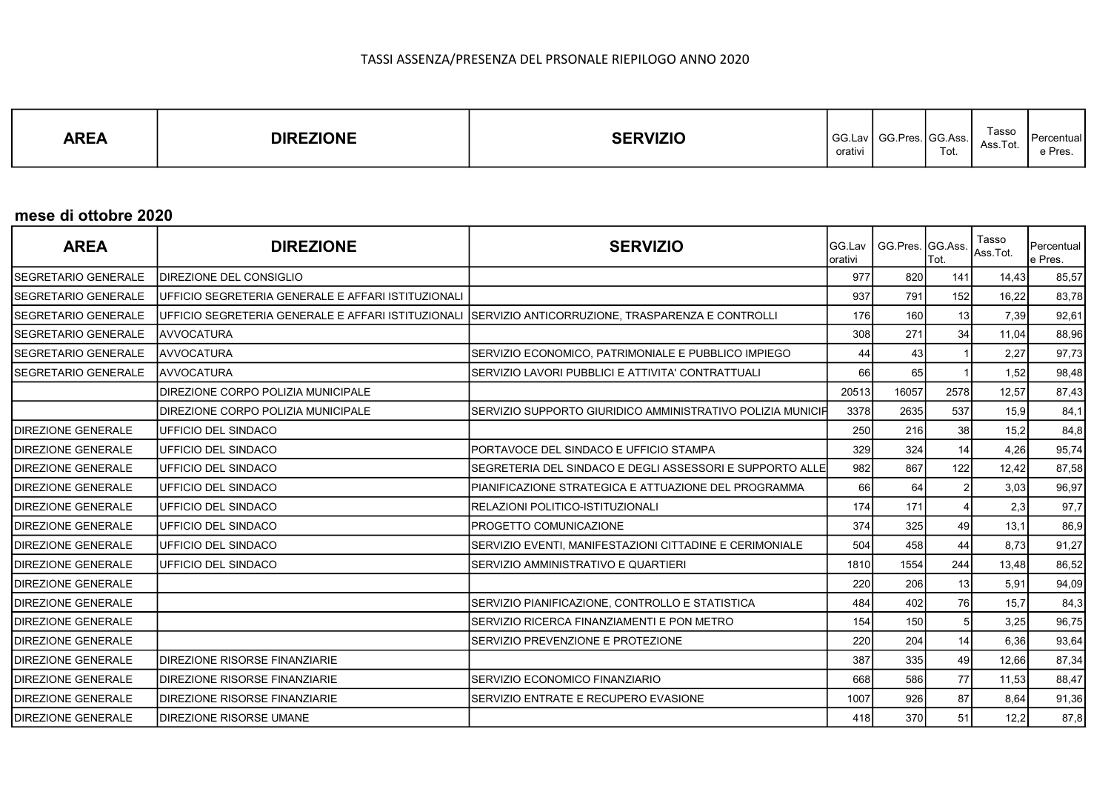| Tasso<br><b>AREA</b><br><b>DIREZIONE</b><br><b>SERVIZIO</b><br>GG.Lav<br>. I GG.Ass.<br>$OC_{Dose}$<br><b>OU.I IGS.</b><br>Ass.Tot.<br>Tot.<br>.<br>orativi | Percentual<br>e Pres. |
|-------------------------------------------------------------------------------------------------------------------------------------------------------------|-----------------------|
|-------------------------------------------------------------------------------------------------------------------------------------------------------------|-----------------------|

### mese di ottobre 2020

| <b>AREA</b>                 | <b>DIREZIONE</b>                                   | <b>SERVIZIO</b>                                                                                     | Iorativi | GG.Lav   GG.Pres. GG.Ass. | Tot.           | Tasso<br>Ass.Tot. | Percentual<br>le Pres. |
|-----------------------------|----------------------------------------------------|-----------------------------------------------------------------------------------------------------|----------|---------------------------|----------------|-------------------|------------------------|
| <b>SEGRETARIO GENERALE</b>  | <b>DIREZIONE DEL CONSIGLIO</b>                     |                                                                                                     | 977      | 820                       | 141            | 14,43             | 85,57                  |
| <b>ISEGRETARIO GENERALE</b> | UFFICIO SEGRETERIA GENERALE E AFFARI ISTITUZIONALI |                                                                                                     | 937      | 791                       | 152            | 16,22             | 83,78                  |
| SEGRETARIO GENERALE         |                                                    | UFFICIO SEGRETERIA GENERALE E AFFARI ISTITUZIONALI SERVIZIO ANTICORRUZIONE, TRASPARENZA E CONTROLLI | 176      | 160                       | 13             | 7,39              | 92,61                  |
| <b>ISEGRETARIO GENERALE</b> | <b>AVVOCATURA</b>                                  |                                                                                                     | 308      | 271                       | 34             | 11,04             | 88,96                  |
| <b>ISEGRETARIO GENERALE</b> | AVVOCATURA                                         | SERVIZIO ECONOMICO, PATRIMONIALE E PUBBLICO IMPIEGO                                                 | 44       | 43                        |                | 2,27              | 97,73                  |
| SEGRETARIO GENERALE         | AVVOCATURA                                         | SERVIZIO LAVORI PUBBLICI E ATTIVITA' CONTRATTUALI                                                   | 66       | 65                        |                | 1,52              | 98,48                  |
|                             | <b>IDIREZIONE CORPO POLIZIA MUNICIPALE</b>         |                                                                                                     | 20513    | 16057                     | 2578           | 12,57             | 87,43                  |
|                             | <b>DIREZIONE CORPO POLIZIA MUNICIPALE</b>          | SERVIZIO SUPPORTO GIURIDICO AMMINISTRATIVO POLIZIA MUNICIF                                          | 3378     | 2635                      | 537            | 15,9              | 84,1                   |
| <b>IDIREZIONE GENERALE</b>  | <b>IUFFICIO DEL SINDACO</b>                        |                                                                                                     | 250      | 216                       | 38             | 15,2              | 84,8                   |
| <b>IDIREZIONE GENERALE</b>  | <b>IUFFICIO DEL SINDACO</b>                        | IPORTAVOCE DEL SINDACO E UFFICIO STAMPA                                                             | 329      | 324                       | 14             | 4,26              | 95,74                  |
| <b>IDIREZIONE GENERALE</b>  | UFFICIO DEL SINDACO                                | SEGRETERIA DEL SINDACO E DEGLI ASSESSORI E SUPPORTO ALLE                                            | 982      | 867                       | 122            | 12,42             | 87,58                  |
| <b>IDIREZIONE GENERALE</b>  | <b>IUFFICIO DEL SINDACO</b>                        | PIANIFICAZIONE STRATEGICA E ATTUAZIONE DEL PROGRAMMA                                                | 66       | 64                        |                | 3,03              | 96,97                  |
| <b>IDIREZIONE GENERALE</b>  | UFFICIO DEL SINDACO                                | <b>IRELAZIONI POLITICO-ISTITUZIONALI</b>                                                            | 174      | 171                       |                | 2,3               | 97,7                   |
| <b>IDIREZIONE GENERALE</b>  | <b>IUFFICIO DEL SINDACO</b>                        | <b>IPROGETTO COMUNICAZIONE</b>                                                                      | 374      | 325                       | 49             | 13,1              | 86,9                   |
| <b>IDIREZIONE GENERALE</b>  | <b>IUFFICIO DEL SINDACO</b>                        | SERVIZIO EVENTI, MANIFESTAZIONI CITTADINE E CERIMONIALE                                             | 504      | 458                       | 44             | 8,73              | 91,27                  |
| <b>IDIREZIONE GENERALE</b>  | UFFICIO DEL SINDACO                                | ISERVIZIO AMMINISTRATIVO E QUARTIERI                                                                | 1810     | 1554                      | 244            | 13,48             | 86,52                  |
| <b>DIREZIONE GENERALE</b>   |                                                    |                                                                                                     | 220      | 206                       | 13             | 5,91              | 94,09                  |
| <b>IDIREZIONE GENERALE</b>  |                                                    | SERVIZIO PIANIFICAZIONE, CONTROLLO E STATISTICA                                                     | 484      | 402                       | 76             | 15,7              | 84,3                   |
| <b>DIREZIONE GENERALE</b>   |                                                    | ISERVIZIO RICERCA FINANZIAMENTI E PON METRO                                                         | 154      | 150                       | 5 <sup>1</sup> | 3,25              | 96,75                  |
| <b>IDIREZIONE GENERALE</b>  |                                                    | ISERVIZIO PREVENZIONE E PROTEZIONE                                                                  | 220      | 204                       | 14             | 6,36              | 93,64                  |
| <b>IDIREZIONE GENERALE</b>  | <b>DIREZIONE RISORSE FINANZIARIE</b>               |                                                                                                     | 387      | 335                       | 49             | 12,66             | 87,34                  |
| <b>IDIREZIONE GENERALE</b>  | <b>DIREZIONE RISORSE FINANZIARIE</b>               | SERVIZIO ECONOMICO FINANZIARIO                                                                      | 668      | 586                       | 77             | 11,53             | 88,47                  |
| <b>IDIREZIONE GENERALE</b>  | <b>IDIREZIONE RISORSE FINANZIARIE</b>              | SERVIZIO ENTRATE E RECUPERO EVASIONE                                                                | 1007     | 926                       | 87             | 8,64              | 91,36                  |
| <b>IDIREZIONE GENERALE</b>  | <b>IDIREZIONE RISORSE UMANE</b>                    |                                                                                                     | 418      | 370                       | 51             | 12,2              | 87,8                   |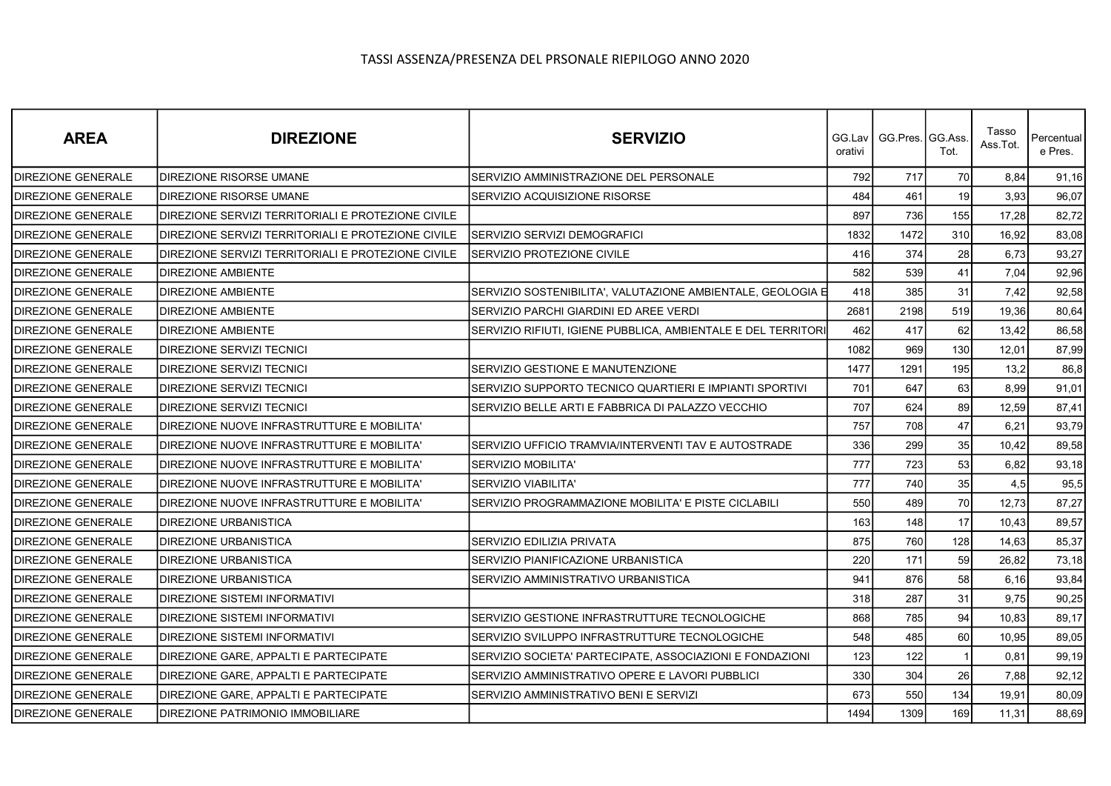| <b>AREA</b>               | <b>DIREZIONE</b>                                   | <b>SERVIZIO</b>                                               | GG.Lav I<br>orativi | GG.Pres. GG.Ass | Tot. | Tasso<br>Ass.Tot. | Percentual<br>e Pres. |
|---------------------------|----------------------------------------------------|---------------------------------------------------------------|---------------------|-----------------|------|-------------------|-----------------------|
| <b>DIREZIONE GENERALE</b> | DIREZIONE RISORSE UMANE                            | SERVIZIO AMMINISTRAZIONE DEL PERSONALE                        | 792                 | 717             | 70   | 8,84              | 91,16                 |
| <b>DIREZIONE GENERALE</b> | DIREZIONE RISORSE UMANE                            | SERVIZIO ACQUISIZIONE RISORSE                                 | 484                 | 461             | 19   | 3,93              | 96,07                 |
| <b>DIREZIONE GENERALE</b> | DIREZIONE SERVIZI TERRITORIALI E PROTEZIONE CIVILE |                                                               | 897                 | 736             | 155  | 17,28             | 82,72                 |
| <b>DIREZIONE GENERALE</b> | DIREZIONE SERVIZI TERRITORIALI E PROTEZIONE CIVILE | SERVIZIO SERVIZI DEMOGRAFICI                                  | 1832                | 1472            | 310  | 16,92             | 83,08                 |
| <b>DIREZIONE GENERALE</b> | DIREZIONE SERVIZI TERRITORIALI E PROTEZIONE CIVILE | SERVIZIO PROTEZIONE CIVILE                                    | 416                 | 374             | 28   | 6,73              | 93,27                 |
| DIREZIONE GENERALE        | DIREZIONE AMBIENTE                                 |                                                               | 582                 | 539             | 41   | 7,04              | 92,96                 |
| <b>DIREZIONE GENERALE</b> | <b>DIREZIONE AMBIENTE</b>                          | SERVIZIO SOSTENIBILITA', VALUTAZIONE AMBIENTALE, GEOLOGIA E   | 418                 | 385             | 31   | 7,42              | 92,58                 |
| <b>DIREZIONE GENERALE</b> | <b>DIREZIONE AMBIENTE</b>                          | SERVIZIO PARCHI GIARDINI ED AREE VERDI                        | 2681                | 2198            | 519  | 19,36             | 80,64                 |
| DIREZIONE GENERALE        | <b>DIREZIONE AMBIENTE</b>                          | SERVIZIO RIFIUTI, IGIENE PUBBLICA, AMBIENTALE E DEL TERRITORI | 462                 | 417             | 62   | 13,42             | 86,58                 |
| DIREZIONE GENERALE        | DIREZIONE SERVIZI TECNICI                          |                                                               | 1082                | 969             | 130  | 12,01             | 87,99                 |
| <b>DIREZIONE GENERALE</b> | <b>DIREZIONE SERVIZI TECNICI</b>                   | SERVIZIO GESTIONE E MANUTENZIONE                              | 1477                | 1291            | 195  | 13,2              | 86,8                  |
| <b>DIREZIONE GENERALE</b> | DIREZIONE SERVIZI TECNICI                          | SERVIZIO SUPPORTO TECNICO QUARTIERI E IMPIANTI SPORTIVI       | 701                 | 647             | 63   | 8,99              | 91,01                 |
| <b>DIREZIONE GENERALE</b> | DIREZIONE SERVIZI TECNICI                          | SERVIZIO BELLE ARTI E FABBRICA DI PALAZZO VECCHIO             | 707                 | 624             | 89   | 12,59             | 87,41                 |
| <b>DIREZIONE GENERALE</b> | DIREZIONE NUOVE INFRASTRUTTURE E MOBILITA'         |                                                               | 757                 | 708             | 47   | 6,21              | 93,79                 |
| DIREZIONE GENERALE        | DIREZIONE NUOVE INFRASTRUTTURE E MOBILITA'         | SERVIZIO UFFICIO TRAMVIA/INTERVENTI TAV E AUTOSTRADE          | 336                 | 299             | 35   | 10,42             | 89,58                 |
| DIREZIONE GENERALE        | DIREZIONE NUOVE INFRASTRUTTURE E MOBILITA'         | SERVIZIO MOBILITA'                                            | 777                 | 723             | 53   | 6,82              | 93,18                 |
| <b>DIREZIONE GENERALE</b> | DIREZIONE NUOVE INFRASTRUTTURE E MOBILITA'         | <b>SERVIZIO VIABILITA'</b>                                    | 777                 | 740             | 35   | 4,5               | 95,5                  |
| <b>DIREZIONE GENERALE</b> | DIREZIONE NUOVE INFRASTRUTTURE E MOBILITA'         | SERVIZIO PROGRAMMAZIONE MOBILITA' E PISTE CICLABILI           | 550                 | 489             | 70   | 12,73             | 87,27                 |
| DIREZIONE GENERALE        | DIREZIONE URBANISTICA                              |                                                               | 163                 | 148             | 17   | 10,43             | 89,57                 |
| <b>DIREZIONE GENERALE</b> | <b>DIREZIONE URBANISTICA</b>                       | SERVIZIO EDILIZIA PRIVATA                                     | 875                 | 760             | 128  | 14,63             | 85,37                 |
| <b>DIREZIONE GENERALE</b> | <b>DIREZIONE URBANISTICA</b>                       | SERVIZIO PIANIFICAZIONE URBANISTICA                           | 220                 | 171             | 59   | 26,82             | 73,18                 |
| DIREZIONE GENERALE        | DIREZIONE URBANISTICA                              | SERVIZIO AMMINISTRATIVO URBANISTICA                           | 941                 | 876             | 58   | 6, 16             | 93,84                 |
| <b>DIREZIONE GENERALE</b> | DIREZIONE SISTEMI INFORMATIVI                      |                                                               | 318                 | 287             | 31   | 9,75              | 90,25                 |
| <b>DIREZIONE GENERALE</b> | DIREZIONE SISTEMI INFORMATIVI                      | SERVIZIO GESTIONE INFRASTRUTTURE TECNOLOGICHE                 | 868                 | 785             | 94   | 10,83             | 89,17                 |
| DIREZIONE GENERALE        | DIREZIONE SISTEMI INFORMATIVI                      | SERVIZIO SVILUPPO INFRASTRUTTURE TECNOLOGICHE                 | 548                 | 485             | 60   | 10,95             | 89,05                 |
| <b>DIREZIONE GENERALE</b> | DIREZIONE GARE, APPALTI E PARTECIPATE              | SERVIZIO SOCIETA' PARTECIPATE, ASSOCIAZIONI E FONDAZIONI      | 123                 | 122             |      | 0,81              | 99,19                 |
| <b>DIREZIONE GENERALE</b> | DIREZIONE GARE, APPALTI E PARTECIPATE              | SERVIZIO AMMINISTRATIVO OPERE E LAVORI PUBBLICI               | 330                 | 304             | 26   | 7,88              | 92,12                 |
| DIREZIONE GENERALE        | DIREZIONE GARE, APPALTI E PARTECIPATE              | SERVIZIO AMMINISTRATIVO BENI E SERVIZI                        | 673                 | 550             | 134  | 19,91             | 80,09                 |
| <b>DIREZIONE GENERALE</b> | DIREZIONE PATRIMONIO IMMOBILIARE                   |                                                               | 1494                | 1309            | 169  | 11,31             | 88,69                 |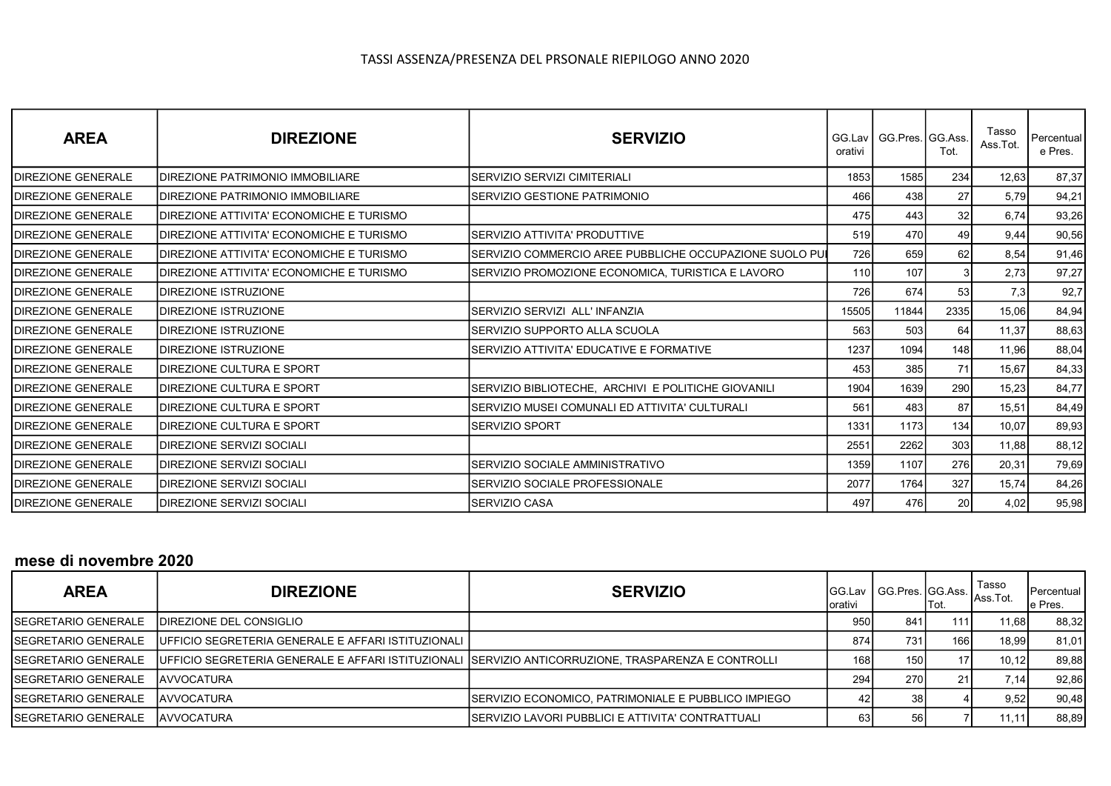| <b>AREA</b>                | <b>DIREZIONE</b>                          | <b>SERVIZIO</b>                                         | orativi    | GG.Lav   GG.Pres. GG.Ass. | Tot. | Tasso<br>Ass.Tot. | Percentual<br>e Pres. |
|----------------------------|-------------------------------------------|---------------------------------------------------------|------------|---------------------------|------|-------------------|-----------------------|
| <b>IDIREZIONE GENERALE</b> | <b>IDIREZIONE PATRIMONIO IMMOBILIARE</b>  | SERVIZIO SERVIZI CIMITERIALI                            | 1853       | 1585                      | 234  | 12,63             | 87,37                 |
| <b>IDIREZIONE GENERALE</b> | <b>IDIREZIONE PATRIMONIO IMMOBILIARE</b>  | SERVIZIO GESTIONE PATRIMONIO                            | 466        | 438                       | 27   | 5,79              | 94,21                 |
| <b>IDIREZIONE GENERALE</b> | IDIREZIONE ATTIVITA' ECONOMICHE E TURISMO |                                                         | 475        | 443                       | 32   | 6,74              | 93,26                 |
| <b>IDIREZIONE GENERALE</b> | DIREZIONE ATTIVITA' ECONOMICHE E TURISMO  | SERVIZIO ATTIVITA' PRODUTTIVE                           | 519        | 470                       | 49   | 9,44              | 90,56                 |
| <b>IDIREZIONE GENERALE</b> | IDIREZIONE ATTIVITA' ECONOMICHE E TURISMO | SERVIZIO COMMERCIO AREE PUBBLICHE OCCUPAZIONE SUOLO PUI | <b>726</b> | 659                       | 62   | 8,54              | 91,46                 |
| <b>IDIREZIONE GENERALE</b> | IDIREZIONE ATTIVITA' ECONOMICHE E TURISMO | SERVIZIO PROMOZIONE ECONOMICA, TURISTICA E LAVORO       | 110I       | 107                       | 3    | 2,73              | 97,27                 |
| <b>IDIREZIONE GENERALE</b> | <b>IDIREZIONE ISTRUZIONE</b>              |                                                         | 726        | 674                       | 53   | 7,3               | 92,7                  |
| <b>IDIREZIONE GENERALE</b> | <b>IDIREZIONE ISTRUZIONE</b>              | SERVIZIO SERVIZI ALL' INFANZIA                          | 15505      | 11844                     | 2335 | 15,06             | 84,94                 |
| <b>IDIREZIONE GENERALE</b> | <b>IDIREZIONE ISTRUZIONE</b>              | SERVIZIO SUPPORTO ALLA SCUOLA                           | 563        | 503                       | 64   | 11,37             | 88,63                 |
| <b>IDIREZIONE GENERALE</b> | <b>IDIREZIONE ISTRUZIONE</b>              | SERVIZIO ATTIVITA' EDUCATIVE E FORMATIVE                | 1237       | 1094                      | 148  | 11,96             | 88,04                 |
| <b>IDIREZIONE GENERALE</b> | <b>IDIREZIONE CULTURA E SPORT</b>         |                                                         | 453        | 385                       | 71   | 15,67             | 84,33                 |
| <b>IDIREZIONE GENERALE</b> | <b>IDIREZIONE CULTURA E SPORT</b>         | SERVIZIO BIBLIOTECHE, ARCHIVI E POLITICHE GIOVANILI     | 1904       | 1639                      | 290  | 15,23             | 84,77                 |
| <b>IDIREZIONE GENERALE</b> | <b>IDIREZIONE CULTURA E SPORT</b>         | SERVIZIO MUSEI COMUNALI ED ATTIVITA' CULTURALI          | 561        | 483                       | 87   | 15,51             | 84,49                 |
| <b>IDIREZIONE GENERALE</b> | <b>IDIREZIONE CULTURA E SPORT</b>         | SERVIZIO SPORT                                          | 1331       | 1173                      | 134  | 10,07             | 89,93                 |
| <b>IDIREZIONE GENERALE</b> | IDIREZIONE SERVIZI SOCIALI                |                                                         | 2551       | 2262                      | 303  | 11,88             | 88,12                 |
| <b>IDIREZIONE GENERALE</b> | <b>DIREZIONE SERVIZI SOCIALI</b>          | SERVIZIO SOCIALE AMMINISTRATIVO                         | 1359       | 1107                      | 276  | 20,31             | 79,69                 |
| <b>IDIREZIONE GENERALE</b> | IDIREZIONE SERVIZI SOCIALI                | SERVIZIO SOCIALE PROFESSIONALE                          | 2077       | 1764                      | 327  | 15,74             | 84,26                 |
| <b>IDIREZIONE GENERALE</b> | IDIREZIONE SERVIZI SOCIALI                | SERVIZIO CASA                                           | 497        | 476                       | 20   | 4,02              | 95,98                 |

### mese di novembre 2020

| <b>AREA</b>                 | <b>DIREZIONE</b>                                      | <b>SERVIZIO</b>                                                                                       | Iorativi |     | 'Tot. | <sub>l</sub> Tasso<br>GG.Lav GG.Pres. GG.Ass. Ass.Tot. | <b>I</b> Percentual<br>e Pres. |
|-----------------------------|-------------------------------------------------------|-------------------------------------------------------------------------------------------------------|----------|-----|-------|--------------------------------------------------------|--------------------------------|
| <b>ISEGRETARIO GENERALE</b> | <b>IDIREZIONE DEL CONSIGLIO</b>                       |                                                                                                       | 950      | 841 | 111   | 11,681                                                 | 88,32                          |
| ISEGRETARIO GENERALE        | IUFFICIO SEGRETERIA GENERALE E AFFARI ISTITUZIONALI I |                                                                                                       | 874      | 731 | 1661  | 18.99                                                  | 81,01                          |
| <b>ISEGRETARIO GENERALE</b> |                                                       | IUFFICIO SEGRETERIA GENERALE E AFFARI ISTITUZIONALI ISERVIZIO ANTICORRUZIONE. TRASPARENZA E CONTROLLI | 168      | 150 | 17 I  | 10.12                                                  | 89,88                          |
| <b>ISEGRETARIO GENERALE</b> | <b>IAVVOCATURA</b>                                    |                                                                                                       | 294      | 270 | 211   | 7.14                                                   | 92,86                          |
| <b>ISEGRETARIO GENERALE</b> | <b>JAVVOCATURA</b>                                    | SERVIZIO ECONOMICO, PATRIMONIALE E PUBBLICO IMPIEGO                                                   |          | 38  |       | 9,52                                                   | 90,48                          |
| <b>ISEGRETARIO GENERALE</b> | <b>IAVVOCATURA</b>                                    | SERVIZIO LAVORI PUBBLICI E ATTIVITA' CONTRATTUALI                                                     |          | 56  |       | 11,11                                                  | 88,89                          |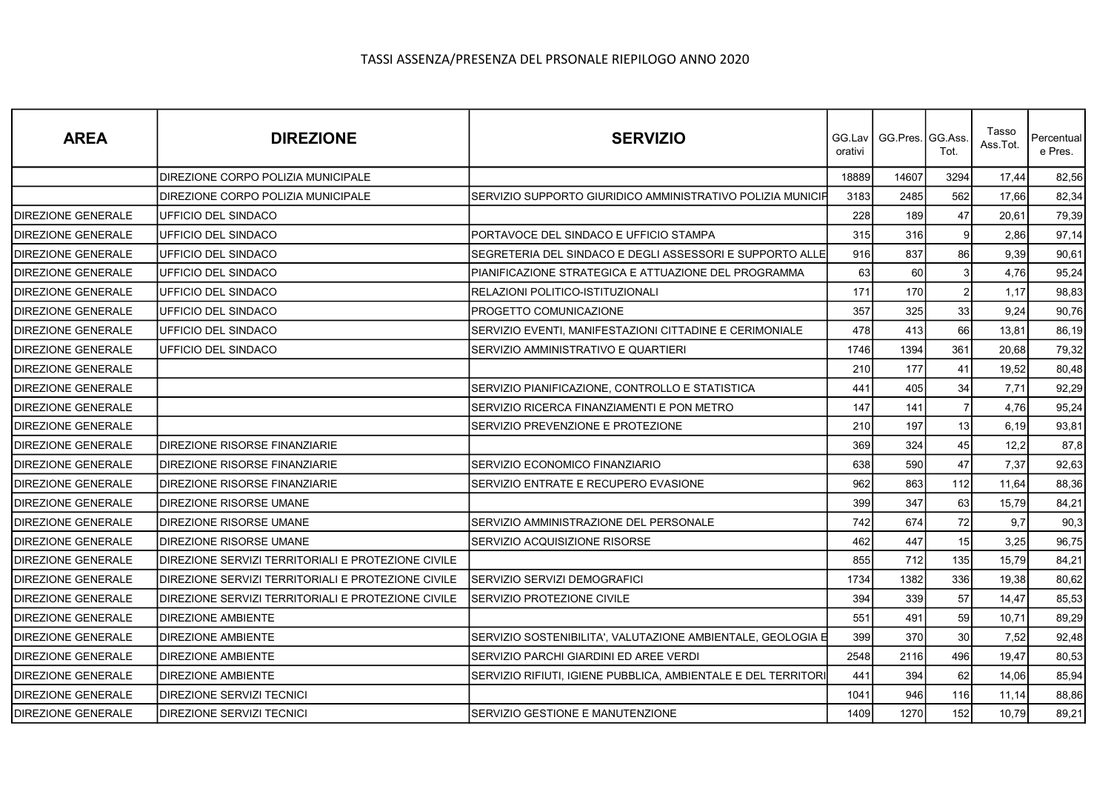| <b>AREA</b>               | <b>DIREZIONE</b>                                   | <b>SERVIZIO</b>                                               | orativi | GG.Lav   GG.Pres.   GG.Ass | Tot.           | Tasso<br>Ass.Tot. | Percentual<br>e Pres. |
|---------------------------|----------------------------------------------------|---------------------------------------------------------------|---------|----------------------------|----------------|-------------------|-----------------------|
|                           | DIREZIONE CORPO POLIZIA MUNICIPALE                 |                                                               | 18889   | 14607                      | 3294           | 17,44             | 82,56                 |
|                           | DIREZIONE CORPO POLIZIA MUNICIPALE                 | SERVIZIO SUPPORTO GIURIDICO AMMINISTRATIVO POLIZIA MUNICIP    | 3183    | 2485                       | 562            | 17,66             | 82,34                 |
| <b>DIREZIONE GENERALE</b> | UFFICIO DEL SINDACO                                |                                                               | 228     | 189                        | 47             | 20.61             | 79,39                 |
| DIREZIONE GENERALE        | UFFICIO DEL SINDACO                                | PORTAVOCE DEL SINDACO E UFFICIO STAMPA                        | 315     | 316                        | 9              | 2,86              | 97,14                 |
| <b>DIREZIONE GENERALE</b> | UFFICIO DEL SINDACO                                | SEGRETERIA DEL SINDACO E DEGLI ASSESSORI E SUPPORTO ALLE      | 916     | 837                        | 86             | 9,39              | 90,61                 |
| <b>DIREZIONE GENERALE</b> | UFFICIO DEL SINDACO                                | PIANIFICAZIONE STRATEGICA E ATTUAZIONE DEL PROGRAMMA          | 63      | 60                         | 3              | 4.76              | 95,24                 |
| <b>DIREZIONE GENERALE</b> | <b>UFFICIO DEL SINDACO</b>                         | RELAZIONI POLITICO-ISTITUZIONALI                              | 171     | 170                        | 2 <sub>1</sub> | 1,17              | 98,83                 |
| <b>DIREZIONE GENERALE</b> | UFFICIO DEL SINDACO                                | PROGETTO COMUNICAZIONE                                        | 357     | 325                        | 33             | 9,24              | 90,76                 |
| <b>DIREZIONE GENERALE</b> | UFFICIO DEL SINDACO                                | SERVIZIO EVENTI, MANIFESTAZIONI CITTADINE E CERIMONIALE       | 478     | 413                        | 66             | 13,81             | 86,19                 |
| DIREZIONE GENERALE        | UFFICIO DEL SINDACO                                | SERVIZIO AMMINISTRATIVO E QUARTIERI                           | 1746    | 1394                       | 361            | 20,68             | 79,32                 |
| <b>DIREZIONE GENERALE</b> |                                                    |                                                               | 210     | 177                        | 41             | 19,52             | 80,48                 |
| DIREZIONE GENERALE        |                                                    | SERVIZIO PIANIFICAZIONE, CONTROLLO E STATISTICA               | 441     | 405                        | 34             | 7,71              | 92,29                 |
| <b>DIREZIONE GENERALE</b> |                                                    | SERVIZIO RICERCA FINANZIAMENTI E PON METRO                    | 147     | 141                        | $\overline{7}$ | 4,76              | 95,24                 |
| <b>DIREZIONE GENERALE</b> |                                                    | SERVIZIO PREVENZIONE E PROTEZIONE                             | 210     | 197                        | 13             | 6, 19             | 93,81                 |
| DIREZIONE GENERALE        | <b>DIREZIONE RISORSE FINANZIARIE</b>               |                                                               | 369     | 324                        | 45             | 12,2              | 87,8                  |
| <b>DIREZIONE GENERALE</b> | <b>DIREZIONE RISORSE FINANZIARIE</b>               | SERVIZIO ECONOMICO FINANZIARIO                                | 638     | 590                        | 47             | 7,37              | 92,63                 |
| <b>DIREZIONE GENERALE</b> | <b>DIREZIONE RISORSE FINANZIARIE</b>               | SERVIZIO ENTRATE E RECUPERO EVASIONE                          | 962     | 863                        | 112            | 11,64             | 88,36                 |
| <b>DIREZIONE GENERALE</b> | <b>DIREZIONE RISORSE UMANE</b>                     |                                                               | 399     | 347                        | 63             | 15,79             | 84,21                 |
| DIREZIONE GENERALE        | DIREZIONE RISORSE UMANE                            | SERVIZIO AMMINISTRAZIONE DEL PERSONALE                        | 742     | 674                        | 72             | 9.7               | 90,3                  |
| <b>DIREZIONE GENERALE</b> | <b>DIREZIONE RISORSE UMANE</b>                     | SERVIZIO ACQUISIZIONE RISORSE                                 | 462     | 447                        | 15             | 3,25              | 96,75                 |
| <b>DIREZIONE GENERALE</b> | DIREZIONE SERVIZI TERRITORIALI E PROTEZIONE CIVILE |                                                               | 855     | 712                        | 135            | 15,79             | 84,21                 |
| <b>DIREZIONE GENERALE</b> | DIREZIONE SERVIZI TERRITORIALI E PROTEZIONE CIVILE | SERVIZIO SERVIZI DEMOGRAFICI                                  | 1734    | 1382                       | 336            | 19,38             | 80,62                 |
| <b>DIREZIONE GENERALE</b> | DIREZIONE SERVIZI TERRITORIALI E PROTEZIONE CIVILE | SERVIZIO PROTEZIONE CIVILE                                    | 394     | 339                        | 57             | 14,47             | 85,53                 |
| DIREZIONE GENERALE        | <b>DIREZIONE AMBIENTE</b>                          |                                                               | 551     | 491                        | 59             | 10,71             | 89,29                 |
| <b>DIREZIONE GENERALE</b> | <b>DIREZIONE AMBIENTE</b>                          | SERVIZIO SOSTENIBILITA', VALUTAZIONE AMBIENTALE, GEOLOGIA E   | 399     | 370                        | 30             | 7,52              | 92,48                 |
| <b>DIREZIONE GENERALE</b> | <b>DIREZIONE AMBIENTE</b>                          | SERVIZIO PARCHI GIARDINI ED AREE VERDI                        | 2548    | 2116                       | 496            | 19,47             | 80,53                 |
| <b>DIREZIONE GENERALE</b> | <b>DIREZIONE AMBIENTE</b>                          | SERVIZIO RIFIUTI, IGIENE PUBBLICA, AMBIENTALE E DEL TERRITORI | 441     | 394                        | 62             | 14,06             | 85,94                 |
| DIREZIONE GENERALE        | <b>DIREZIONE SERVIZI TECNICI</b>                   |                                                               | 1041    | 946                        | 116            | 11,14             | 88,86                 |
| <b>DIREZIONE GENERALE</b> | <b>DIREZIONE SERVIZI TECNICI</b>                   | SERVIZIO GESTIONE E MANUTENZIONE                              | 1409    | 1270                       | 152            | 10,79             | 89,21                 |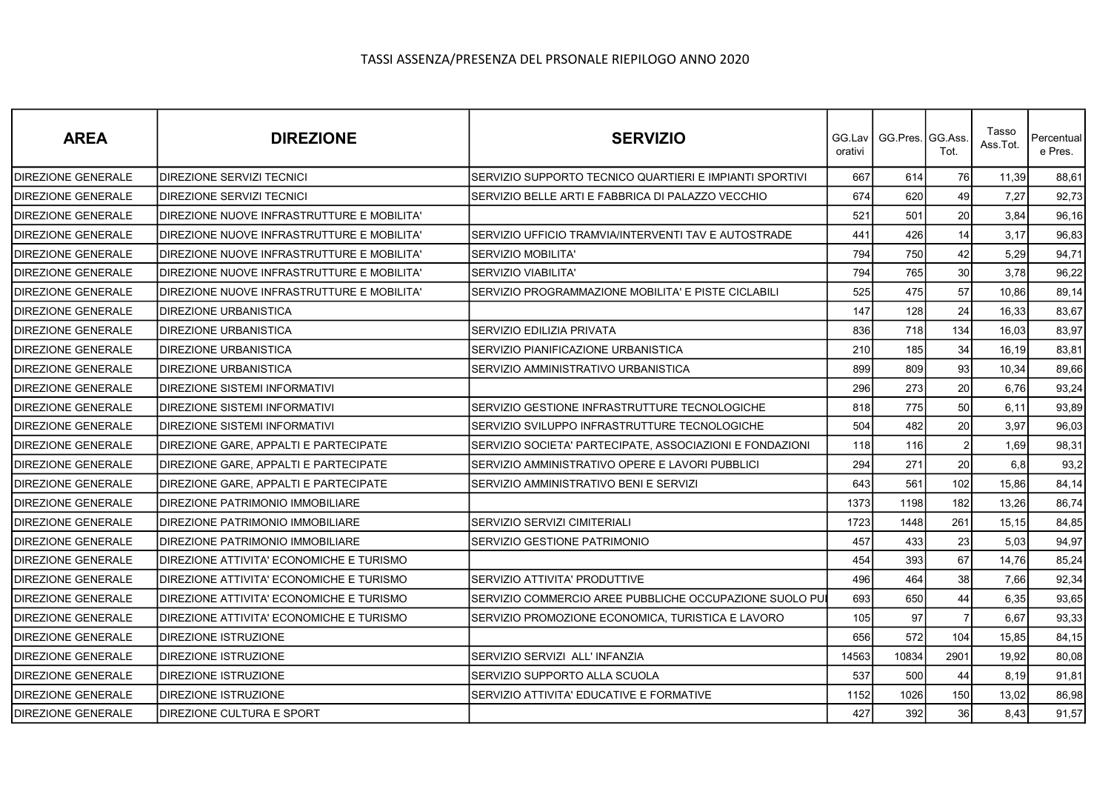| <b>AREA</b>               | <b>DIREZIONE</b>                           | <b>SERVIZIO</b>                                          | GG.Lav I<br>orativi | GG.Pres. GG.Ass | Tot.           | Tasso<br>Ass.Tot. | Percentual<br>e Pres. |
|---------------------------|--------------------------------------------|----------------------------------------------------------|---------------------|-----------------|----------------|-------------------|-----------------------|
| <b>DIREZIONE GENERALE</b> | DIREZIONE SERVIZI TECNICI                  | SERVIZIO SUPPORTO TECNICO QUARTIERI E IMPIANTI SPORTIVI  | 667                 | 614             | 76             | 11,39             | 88,61                 |
| DIREZIONE GENERALE        | DIREZIONE SERVIZI TECNICI                  | SERVIZIO BELLE ARTI E FABBRICA DI PALAZZO VECCHIO        | 674                 | 620             | 49             | 7,27              | 92,73                 |
| <b>DIREZIONE GENERALE</b> | DIREZIONE NUOVE INFRASTRUTTURE E MOBILITA' |                                                          | 521                 | 501             | 20             | 3,84              | 96,16                 |
| <b>DIREZIONE GENERALE</b> | DIREZIONE NUOVE INFRASTRUTTURE E MOBILITA' | SERVIZIO UFFICIO TRAMVIA/INTERVENTI TAV E AUTOSTRADE     | 441                 | 426             | 14             | 3,17              | 96,83                 |
| <b>DIREZIONE GENERALE</b> | DIREZIONE NUOVE INFRASTRUTTURE E MOBILITA' | <b>SERVIZIO MOBILITA'</b>                                | 794                 | 750             | 42             | 5,29              | 94,71                 |
| <b>DIREZIONE GENERALE</b> | DIREZIONE NUOVE INFRASTRUTTURE E MOBILITA' | SERVIZIO VIABILITA'                                      | 794                 | 765             | 30             | 3,78              | 96,22                 |
| <b>DIREZIONE GENERALE</b> | DIREZIONE NUOVE INFRASTRUTTURE E MOBILITA' | SERVIZIO PROGRAMMAZIONE MOBILITA' E PISTE CICLABILI      | 525                 | 475             | 57             | 10,86             | 89,14                 |
| <b>DIREZIONE GENERALE</b> | <b>DIREZIONE URBANISTICA</b>               |                                                          | 147                 | 128             | 24             | 16,33             | 83,67                 |
| DIREZIONE GENERALE        | <b>DIREZIONE URBANISTICA</b>               | SERVIZIO EDILIZIA PRIVATA                                | 836                 | 718             | 134            | 16,03             | 83,97                 |
| DIREZIONE GENERALE        | DIREZIONE URBANISTICA                      | SERVIZIO PIANIFICAZIONE URBANISTICA                      | 210                 | 185             | 34             | 16,19             | 83,81                 |
| <b>DIREZIONE GENERALE</b> | <b>DIREZIONE URBANISTICA</b>               | SERVIZIO AMMINISTRATIVO URBANISTICA                      | 899                 | 809             | 93             | 10,34             | 89,66                 |
| DIREZIONE GENERALE        | DIREZIONE SISTEMI INFORMATIVI              |                                                          | 296                 | 273             | 20             | 6,76              | 93,24                 |
| <b>DIREZIONE GENERALE</b> | DIREZIONE SISTEMI INFORMATIVI              | SERVIZIO GESTIONE INFRASTRUTTURE TECNOLOGICHE            | 818                 | 775             | 50             | 6,11              | 93,89                 |
| <b>DIREZIONE GENERALE</b> | DIREZIONE SISTEMI INFORMATIVI              | SERVIZIO SVILUPPO INFRASTRUTTURE TECNOLOGICHE            | 504                 | 482             | 20             | 3,97              | 96,03                 |
| <b>DIREZIONE GENERALE</b> | DIREZIONE GARE, APPALTI E PARTECIPATE      | SERVIZIO SOCIETA' PARTECIPATE. ASSOCIAZIONI E FONDAZIONI | 118                 | 116             | $\overline{2}$ | 1,69              | 98,31                 |
| <b>DIREZIONE GENERALE</b> | DIREZIONE GARE, APPALTI E PARTECIPATE      | SERVIZIO AMMINISTRATIVO OPERE E LAVORI PUBBLICI          | 294                 | 271             | 20             | 6,8               | 93,2                  |
| DIREZIONE GENERALE        | DIREZIONE GARE. APPALTI E PARTECIPATE      | SERVIZIO AMMINISTRATIVO BENI E SERVIZI                   | 643                 | 561             | 102            | 15,86             | 84,14                 |
| <b>DIREZIONE GENERALE</b> | DIREZIONE PATRIMONIO IMMOBILIARE           |                                                          | 1373                | 1198            | 182            | 13,26             | 86,74                 |
| <b>DIREZIONE GENERALE</b> | DIREZIONE PATRIMONIO IMMOBILIARE           | SERVIZIO SERVIZI CIMITERIALI                             | 1723                | 1448            | 261            | 15,15             | 84,85                 |
| <b>DIREZIONE GENERALE</b> | DIREZIONE PATRIMONIO IMMOBILIARE           | SERVIZIO GESTIONE PATRIMONIO                             | 457                 | 433             | 23             | 5,03              | 94,97                 |
| <b>DIREZIONE GENERALE</b> | DIREZIONE ATTIVITA' ECONOMICHE E TURISMO   |                                                          | 454                 | 393             | 67             | 14,76             | 85,24                 |
| DIREZIONE GENERALE        | DIREZIONE ATTIVITA' ECONOMICHE E TURISMO   | SERVIZIO ATTIVITA' PRODUTTIVE                            | 496                 | 464             | 38             | 7,66              | 92,34                 |
| <b>DIREZIONE GENERALE</b> | DIREZIONE ATTIVITA' ECONOMICHE E TURISMO   | SERVIZIO COMMERCIO AREE PUBBLICHE OCCUPAZIONE SUOLO PUI  | 693                 | 650             | 44             | 6,35              | 93,65                 |
| <b>DIREZIONE GENERALE</b> | DIREZIONE ATTIVITA' ECONOMICHE E TURISMO   | SERVIZIO PROMOZIONE ECONOMICA, TURISTICA E LAVORO        | 105                 | 97              |                | 6,67              | 93,33                 |
| <b>DIREZIONE GENERALE</b> | DIREZIONE ISTRUZIONE                       |                                                          | 656                 | 572             | 104            | 15,85             | 84,15                 |
| <b>DIREZIONE GENERALE</b> | <b>DIREZIONE ISTRUZIONE</b>                | SERVIZIO SERVIZI ALL'INFANZIA                            | 14563               | 10834           | 2901           | 19,92             | 80,08                 |
| DIREZIONE GENERALE        | DIREZIONE ISTRUZIONE                       | SERVIZIO SUPPORTO ALLA SCUOLA                            | 537                 | 500             | 44             | 8,19              | 91,81                 |
| <b>DIREZIONE GENERALE</b> | <b>DIREZIONE ISTRUZIONE</b>                | SERVIZIO ATTIVITA' EDUCATIVE E FORMATIVE                 | 1152                | 1026            | 150            | 13,02             | 86,98                 |
| <b>DIREZIONE GENERALE</b> | DIREZIONE CULTURA E SPORT                  |                                                          | 427                 | 392             | 36             | 8,43              | 91,57                 |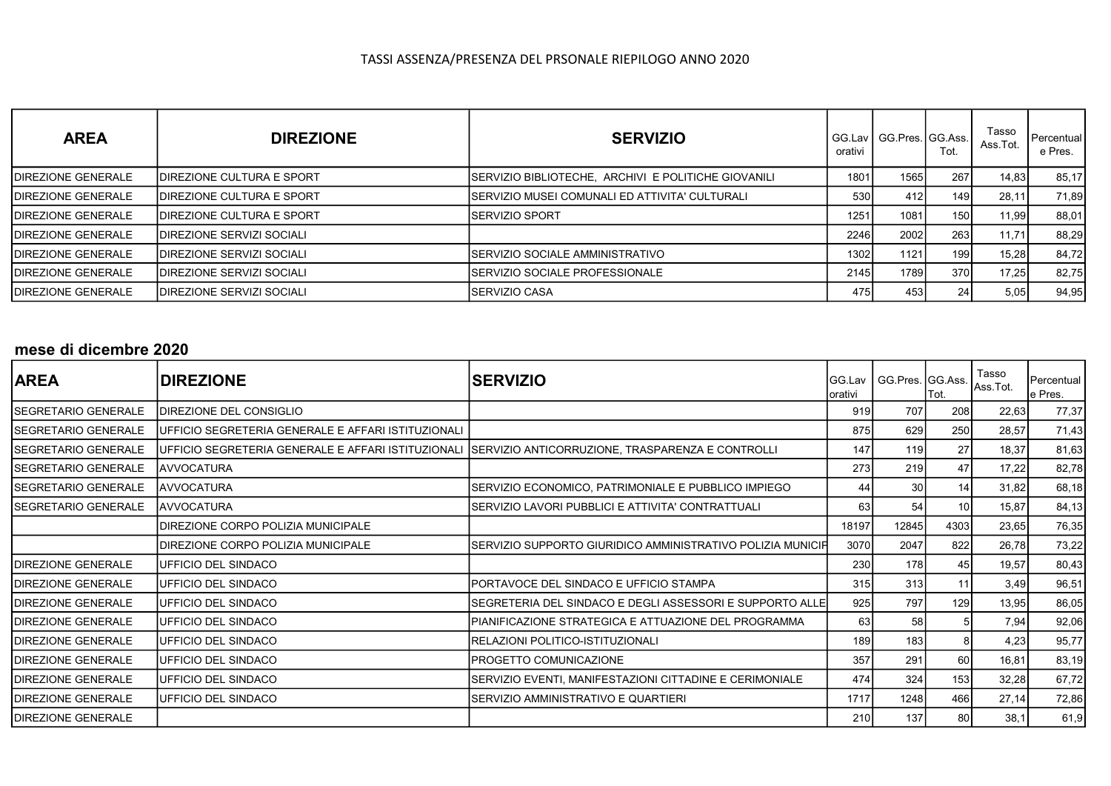| <b>AREA</b>               | <b>DIREZIONE</b>                  | <b>SERVIZIO</b>                                      | GG.Lav<br>orativi | GG.Pres.IGG.Ass.I | Tot.  | Tasso<br>Ass.Tot. | Percentual<br>e Pres. |
|---------------------------|-----------------------------------|------------------------------------------------------|-------------------|-------------------|-------|-------------------|-----------------------|
| <b>DIREZIONE GENERALE</b> | IDIREZIONE CULTURA E SPORT        | ISERVIZIO BIBLIOTECHE. ARCHIVI E POLITICHE GIOVANILI | 1801              | 1565              | 267   | 14,83             | 85,17                 |
| <b>DIREZIONE GENERALE</b> | IDIREZIONE CULTURA E SPORT        | ISERVIZIO MUSEI COMUNALI ED ATTIVITA' CULTURALI      | 530               | 412               | 149 I | 28,11             | 71,89                 |
| <b>DIREZIONE GENERALE</b> | IDIREZIONE CULTURA E SPORT        | ISERVIZIO SPORT                                      | 1251              | 1081              | 150 l | 11,99             | 88,01                 |
| <b>DIREZIONE GENERALE</b> | <b>IDIREZIONE SERVIZI SOCIALI</b> |                                                      | 2246              | 2002              | 263   | 11.71             | 88,29                 |
| <b>DIREZIONE GENERALE</b> | <b>IDIREZIONE SERVIZI SOCIALI</b> | SERVIZIO SOCIALE AMMINISTRATIVO                      | 1302              | 1121              | 199 l | 15,28             | 84,72                 |
| <b>DIREZIONE GENERALE</b> | IDIREZIONE SERVIZI SOCIALI        | SERVIZIO SOCIALE PROFESSIONALE                       | 2145              | 1789              | 370I  | 17,25             | 82,75                 |
| <b>DIREZIONE GENERALE</b> | <b>IDIREZIONE SERVIZI SOCIALI</b> | <b>SERVIZIO CASA</b>                                 | 475.              | 453               | 24    | 5,05              | 94,95                 |

### mese di dicembre 2020

| <b>AREA</b>                | <b>DIREZIONE</b>                                           | <b>SERVIZIO</b>                                            | GG.Lav<br>orativi | GG.Pres. GG.Ass. | Гоt.            | Tasso<br>Ass.Tot. | Percentual<br>e Pres. |
|----------------------------|------------------------------------------------------------|------------------------------------------------------------|-------------------|------------------|-----------------|-------------------|-----------------------|
| ISEGRETARIO GENERALE       | <b>IDIREZIONE DEL CONSIGLIO</b>                            |                                                            | 919               | 707              | 208             | 22,63             | 77,37                 |
| ISEGRETARIO GENERALE       | <b>IUFFICIO SEGRETERIA GENERALE E AFFARI ISTITUZIONALI</b> |                                                            | 875               | 629              | 250             | 28,57             | 71,43                 |
| SEGRETARIO GENERALE        | UFFICIO SEGRETERIA GENERALE E AFFARI ISTITUZIONALI         | SERVIZIO ANTICORRUZIONE, TRASPARENZA E CONTROLLI           | 147               | 119              | 27              | 18,37             | 81,63                 |
| ISEGRETARIO GENERALE       | <b>JAVVOCATURA</b>                                         |                                                            | 273               | 219              | 47              | 17,22             | 82,78                 |
| ISEGRETARIO GENERALE       | <b>JAVVOCATURA</b>                                         | SERVIZIO ECONOMICO, PATRIMONIALE E PUBBLICO IMPIEGO        | 44                | 30 <sup>1</sup>  | 14              | 31,82             | 68,18                 |
| ISEGRETARIO GENERALE       | <b>JAVVOCATURA</b>                                         | SERVIZIO LAVORI PUBBLICI E ATTIVITA' CONTRATTUALI          | 63                | 54               | 10 <sup>1</sup> | 15,87             | 84,13                 |
|                            | IDIREZIONE CORPO POLIZIA MUNICIPALE                        |                                                            | 18197             | 12845            | 4303            | 23,65             | 76,35                 |
|                            | IDIREZIONE CORPO POLIZIA MUNICIPALE                        | SERVIZIO SUPPORTO GIURIDICO AMMINISTRATIVO POLIZIA MUNICIP | 3070              | 2047             | 822             | 26,78             | 73,22                 |
| <b>IDIREZIONE GENERALE</b> | <b>IUFFICIO DEL SINDACO</b>                                |                                                            | 230               | 178              | 45              | 19,57             | 80,43                 |
| <b>IDIREZIONE GENERALE</b> | <b>IUFFICIO DEL SINDACO</b>                                | PORTAVOCE DEL SINDACO E UFFICIO STAMPA                     | 315               | 313              | 11              | 3,49              | 96,51                 |
| <b>IDIREZIONE GENERALE</b> | UFFICIO DEL SINDACO                                        | SEGRETERIA DEL SINDACO E DEGLI ASSESSORI E SUPPORTO ALLE   | 925               | 797              | 129             | 13,95             | 86,05                 |
| <b>IDIREZIONE GENERALE</b> | <b>IUFFICIO DEL SINDACO</b>                                | PIANIFICAZIONE STRATEGICA E ATTUAZIONE DEL PROGRAMMA       | 63                | 58               |                 | 7,94              | 92,06                 |
| <b>IDIREZIONE GENERALE</b> | UFFICIO DEL SINDACO                                        | RELAZIONI POLITICO-ISTITUZIONALI                           | 189               | 183              |                 | 4,23              | 95,77                 |
| <b>DIREZIONE GENERALE</b>  | UFFICIO DEL SINDACO                                        | PROGETTO COMUNICAZIONE                                     | 357               | 291              | 60              | 16,81             | 83,19                 |
| <b>IDIREZIONE GENERALE</b> | IUFFICIO DEL SINDACO                                       | SERVIZIO EVENTI, MANIFESTAZIONI CITTADINE E CERIMONIALE    | 474               | 324              | 153             | 32,28             | 67,72                 |
| <b>IDIREZIONE GENERALE</b> | IUFFICIO DEL SINDACO                                       | SERVIZIO AMMINISTRATIVO E QUARTIERI                        | 1717              | 1248             | 466             | 27,14             | 72,86                 |
| <b>IDIREZIONE GENERALE</b> |                                                            |                                                            | 210               | 137              | 80              | 38,1              | 61,9                  |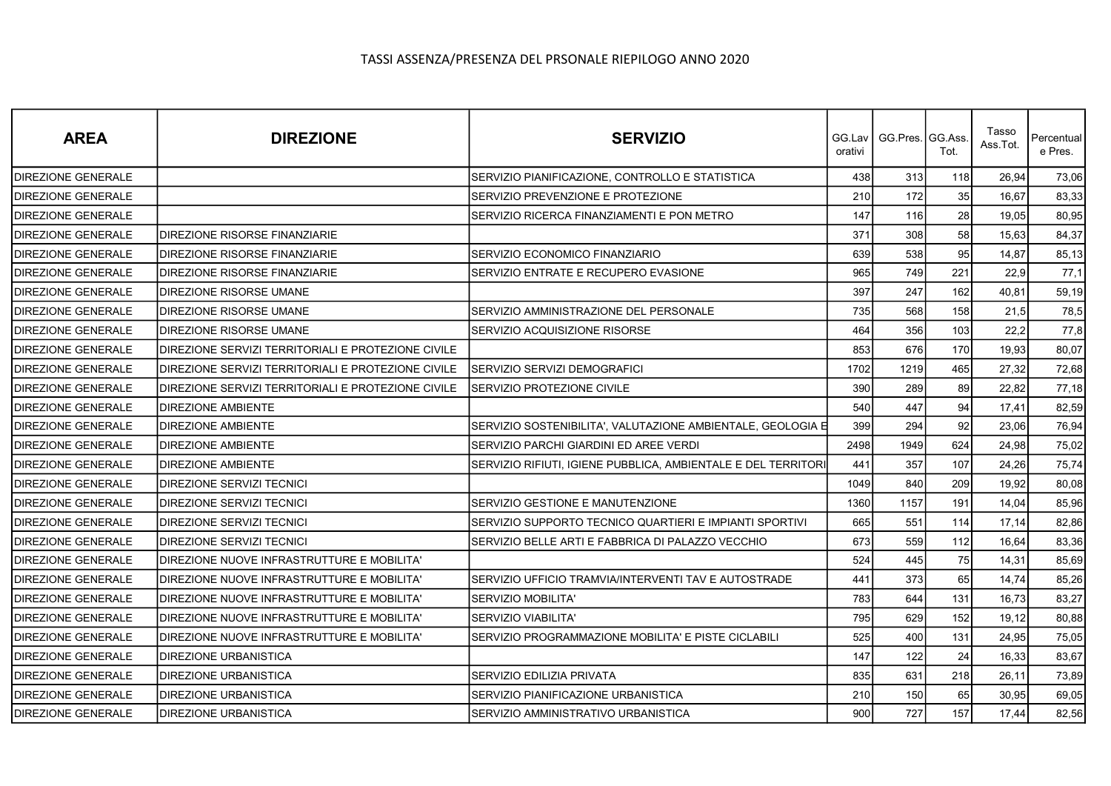| <b>AREA</b>               | <b>DIREZIONE</b>                                   | <b>SERVIZIO</b>                                               | orativi | GG.Lav丨GG.Pres.丨GG.Ass | Tot. | Tasso<br>Ass.Tot. | Percentual<br>e Pres. |
|---------------------------|----------------------------------------------------|---------------------------------------------------------------|---------|------------------------|------|-------------------|-----------------------|
| <b>DIREZIONE GENERALE</b> |                                                    | SERVIZIO PIANIFICAZIONE, CONTROLLO E STATISTICA               | 438     | 313                    | 118  | 26,94             | 73,06                 |
| <b>DIREZIONE GENERALE</b> |                                                    | SERVIZIO PREVENZIONE E PROTEZIONE                             | 210     | 172                    | 35   | 16,67             | 83,33                 |
| <b>DIREZIONE GENERALE</b> |                                                    | SERVIZIO RICERCA FINANZIAMENTI E PON METRO                    | 147     | 116                    | 28   | 19,05             | 80,95                 |
| <b>DIREZIONE GENERALE</b> | <b>DIREZIONE RISORSE FINANZIARIE</b>               |                                                               | 371     | 308                    | 58   | 15,63             | 84,37                 |
| <b>DIREZIONE GENERALE</b> | <b>DIREZIONE RISORSE FINANZIARIE</b>               | SERVIZIO ECONOMICO FINANZIARIO                                | 639     | 538                    | 95   | 14,87             | 85,13                 |
| <b>DIREZIONE GENERALE</b> | DIREZIONE RISORSE FINANZIARIE                      | SERVIZIO ENTRATE E RECUPERO EVASIONE                          | 965     | 749                    | 221  | 22,9              | 77,1                  |
| <b>DIREZIONE GENERALE</b> | <b>DIREZIONE RISORSE UMANE</b>                     |                                                               | 397     | 247                    | 162  | 40,81             | 59,19                 |
| <b>DIREZIONE GENERALE</b> | <b>DIREZIONE RISORSE UMANE</b>                     | SERVIZIO AMMINISTRAZIONE DEL PERSONALE                        | 735     | 568                    | 158  | 21,5              | 78,5                  |
| <b>DIREZIONE GENERALE</b> | <b>DIREZIONE RISORSE UMANE</b>                     | SERVIZIO ACQUISIZIONE RISORSE                                 | 464     | 356                    | 103  | 22,2              | 77,8                  |
| <b>DIREZIONE GENERALE</b> | DIREZIONE SERVIZI TERRITORIALI E PROTEZIONE CIVILE |                                                               | 853     | 676                    | 170  | 19,93             | 80,07                 |
| <b>DIREZIONE GENERALE</b> | DIREZIONE SERVIZI TERRITORIALI E PROTEZIONE CIVILE | SERVIZIO SERVIZI DEMOGRAFICI                                  | 1702    | 1219                   | 465  | 27,32             | 72,68                 |
| DIREZIONE GENERALE        | DIREZIONE SERVIZI TERRITORIALI E PROTEZIONE CIVILE | SERVIZIO PROTEZIONE CIVILE                                    | 390     | 289                    | 89   | 22,82             | 77,18                 |
| <b>DIREZIONE GENERALE</b> | <b>DIREZIONE AMBIENTE</b>                          |                                                               | 540     | 447                    | 94   | 17,41             | 82,59                 |
| <b>DIREZIONE GENERALE</b> | <b>DIREZIONE AMBIENTE</b>                          | SERVIZIO SOSTENIBILITA', VALUTAZIONE AMBIENTALE, GEOLOGIA E   | 399     | 294                    | 92   | 23,06             | 76,94                 |
| <b>DIREZIONE GENERALE</b> | <b>DIREZIONE AMBIENTE</b>                          | SERVIZIO PARCHI GIARDINI ED AREE VERDI                        | 2498    | 1949                   | 624  | 24,98             | 75,02                 |
| DIREZIONE GENERALE        | <b>DIREZIONE AMBIENTE</b>                          | SERVIZIO RIFIUTI, IGIENE PUBBLICA, AMBIENTALE E DEL TERRITORI | 441     | 357                    | 107  | 24,26             | 75,74                 |
| DIREZIONE GENERALE        | <b>DIREZIONE SERVIZI TECNICI</b>                   |                                                               | 1049    | 840                    | 209  | 19,92             | 80,08                 |
| DIREZIONE GENERALE        | <b>DIREZIONE SERVIZI TECNICI</b>                   | SERVIZIO GESTIONE E MANUTENZIONE                              | 1360    | 1157                   | 191  | 14,04             | 85,96                 |
| DIREZIONE GENERALE        | <b>DIREZIONE SERVIZI TECNICI</b>                   | SERVIZIO SUPPORTO TECNICO QUARTIERI E IMPIANTI SPORTIVI       | 665     | 551                    | 114  | 17,14             | 82,86                 |
| <b>DIREZIONE GENERALE</b> | <b>DIREZIONE SERVIZI TECNICI</b>                   | SERVIZIO BELLE ARTI E FABBRICA DI PALAZZO VECCHIO             | 673     | 559                    | 112  | 16,64             | 83,36                 |
| DIREZIONE GENERALE        | IDIREZIONE NUOVE INFRASTRUTTURE E MOBILITA'        |                                                               | 524     | 445                    | 75   | 14,31             | 85,69                 |
| <b>DIREZIONE GENERALE</b> | DIREZIONE NUOVE INFRASTRUTTURE E MOBILITA'         | SERVIZIO UFFICIO TRAMVIA/INTERVENTI TAV E AUTOSTRADE          | 441     | 373                    | 65   | 14,74             | 85,26                 |
| <b>DIREZIONE GENERALE</b> | DIREZIONE NUOVE INFRASTRUTTURE E MOBILITA'         | <b>SERVIZIO MOBILITA'</b>                                     | 783     | 644                    | 131  | 16,73             | 83,27                 |
| <b>DIREZIONE GENERALE</b> | DIREZIONE NUOVE INFRASTRUTTURE E MOBILITA'         | <b>SERVIZIO VIABILITA'</b>                                    | 795     | 629                    | 152  | 19,12             | 80,88                 |
| DIREZIONE GENERALE        | DIREZIONE NUOVE INFRASTRUTTURE E MOBILITA'         | SERVIZIO PROGRAMMAZIONE MOBILITA' E PISTE CICLABILI           | 525     | 400                    | 131  | 24,95             | 75,05                 |
| DIREZIONE GENERALE        | <b>DIREZIONE URBANISTICA</b>                       |                                                               | 147     | 122                    | 24   | 16,33             | 83,67                 |
| <b>DIREZIONE GENERALE</b> | <b>IDIREZIONE URBANISTICA</b>                      | SERVIZIO EDILIZIA PRIVATA                                     | 835     | 631                    | 218  | 26,11             | 73,89                 |
| DIREZIONE GENERALE        | <b>DIREZIONE URBANISTICA</b>                       | SERVIZIO PIANIFICAZIONE URBANISTICA                           | 210     | 150                    | 65   | 30,95             | 69,05                 |
| <b>DIREZIONE GENERALE</b> | <b>DIREZIONE URBANISTICA</b>                       | SERVIZIO AMMINISTRATIVO URBANISTICA                           | 900     | 727                    | 157  | 17,44             | 82,56                 |